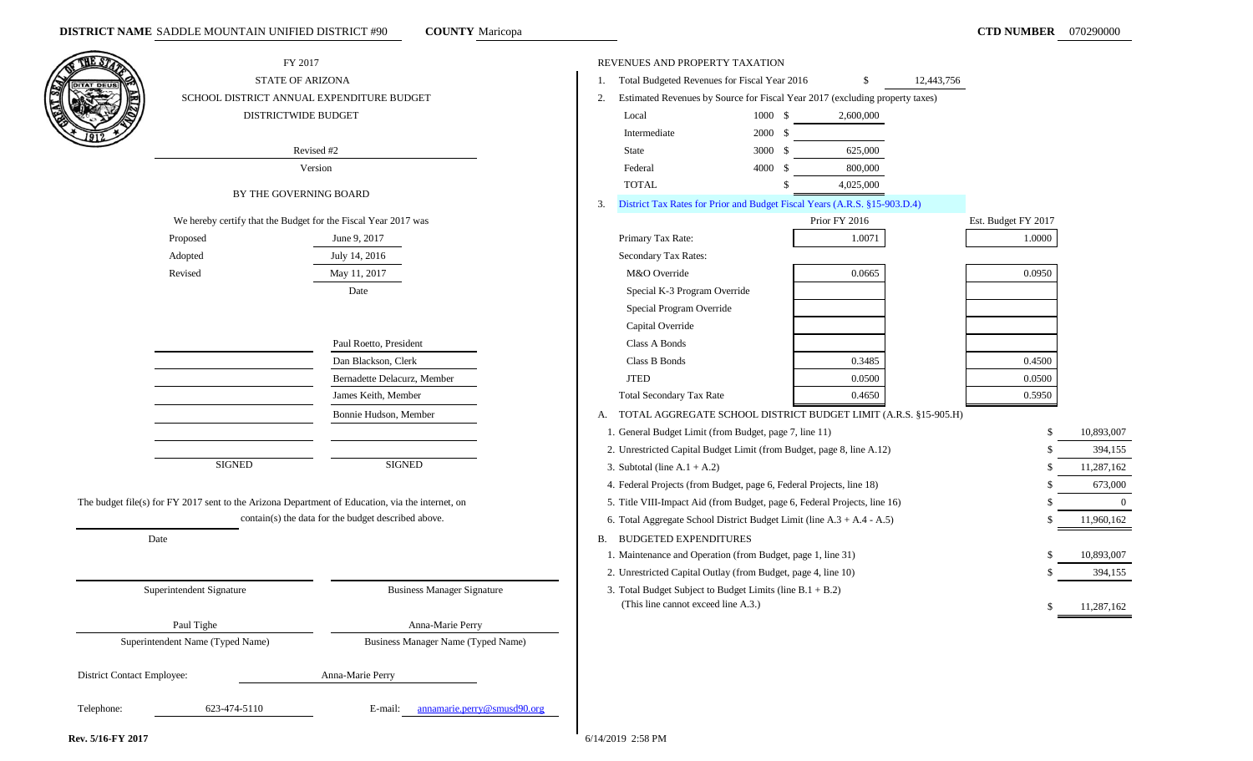| THE S7                     |                                  | FY 2017                                                                                          | REVENUES AND PROPERTY TAXATION                                                     |                    |               |                     |            |
|----------------------------|----------------------------------|--------------------------------------------------------------------------------------------------|------------------------------------------------------------------------------------|--------------------|---------------|---------------------|------------|
| <b>JITAT DEUS</b>          |                                  | <b>STATE OF ARIZONA</b>                                                                          | Total Budgeted Revenues for Fiscal Year 2016                                       |                    | \$            | 12,443,756          |            |
|                            |                                  | SCHOOL DISTRICT ANNUAL EXPENDITURE BUDGET                                                        | Estimated Revenues by Source for Fiscal Year 2017 (excluding property taxes)<br>2. |                    |               |                     |            |
|                            |                                  | DISTRICTWIDE BUDGET                                                                              | Local                                                                              | $1000 \, \text{S}$ | 2,600,000     |                     |            |
|                            |                                  |                                                                                                  | Intermediate                                                                       | 2000 \$            |               |                     |            |
|                            |                                  | Revised #2                                                                                       | State                                                                              | 3000 \$            | 625,000       |                     |            |
|                            |                                  | Version                                                                                          | Federal                                                                            | 4000S              | 800,000       |                     |            |
|                            |                                  | BY THE GOVERNING BOARD                                                                           | <b>TOTAL</b>                                                                       |                    | 4,025,000     |                     |            |
|                            |                                  |                                                                                                  | District Tax Rates for Prior and Budget Fiscal Years (A.R.S. §15-903.D.4)<br>3.    |                    |               |                     |            |
|                            |                                  | We hereby certify that the Budget for the Fiscal Year 2017 was                                   |                                                                                    |                    | Prior FY 2016 | Est. Budget FY 2017 |            |
|                            | Proposed                         | June 9, 2017                                                                                     | Primary Tax Rate:                                                                  |                    | 1.0071        | 1.0000              |            |
|                            | Adopted                          | July 14, 2016                                                                                    | Secondary Tax Rates:                                                               |                    |               |                     |            |
|                            | Revised                          | May 11, 2017                                                                                     | M&O Override                                                                       |                    | 0.0665        | 0.0950              |            |
|                            |                                  | Date                                                                                             | Special K-3 Program Override                                                       |                    |               |                     |            |
|                            |                                  |                                                                                                  | Special Program Override                                                           |                    |               |                     |            |
|                            |                                  |                                                                                                  | Capital Override                                                                   |                    |               |                     |            |
|                            |                                  | Paul Roetto, President                                                                           | Class A Bonds                                                                      |                    |               |                     |            |
|                            |                                  | Dan Blackson, Clerk                                                                              | Class B Bonds                                                                      |                    | 0.3485        | 0.4500              |            |
|                            |                                  | Bernadette Delacurz, Member                                                                      | <b>JTED</b>                                                                        |                    | 0.0500        | 0.0500              |            |
|                            |                                  | James Keith, Member                                                                              | <b>Total Secondary Tax Rate</b>                                                    |                    | 0.4650        | 0.5950              |            |
|                            |                                  | Bonnie Hudson, Member                                                                            | TOTAL AGGREGATE SCHOOL DISTRICT BUDGET LIMIT (A.R.S. §15-905.H)<br>А.              |                    |               |                     |            |
|                            |                                  |                                                                                                  | 1. General Budget Limit (from Budget, page 7, line 11)                             |                    |               |                     | 10,893,007 |
|                            |                                  |                                                                                                  | 2. Unrestricted Capital Budget Limit (from Budget, page 8, line A.12)              |                    |               |                     | 394,155    |
|                            | <b>SIGNED</b>                    | <b>SIGNED</b>                                                                                    | 3. Subtotal (line $A.1 + A.2$ )                                                    |                    |               |                     | 11,287,162 |
|                            |                                  |                                                                                                  | 4. Federal Projects (from Budget, page 6, Federal Projects, line 18)               |                    |               |                     | 673,000    |
|                            |                                  | The budget file(s) for FY 2017 sent to the Arizona Department of Education, via the internet, on | 5. Title VIII-Impact Aid (from Budget, page 6, Federal Projects, line 16)          |                    |               |                     | $\Omega$   |
|                            |                                  | contain(s) the data for the budget described above.                                              | 6. Total Aggregate School District Budget Limit (line A.3 + A.4 - A.5)             |                    |               |                     | 11,960,162 |
|                            | Date                             |                                                                                                  | <b>BUDGETED EXPENDITURES</b><br><b>B.</b>                                          |                    |               |                     |            |
|                            |                                  |                                                                                                  | 1. Maintenance and Operation (from Budget, page 1, line 31)                        |                    |               |                     | 10,893,007 |
|                            |                                  |                                                                                                  | 2. Unrestricted Capital Outlay (from Budget, page 4, line 10)                      |                    |               |                     | 394,155    |
|                            | Superintendent Signature         | <b>Business Manager Signature</b>                                                                | 3. Total Budget Subject to Budget Limits (line B.1 + B.2)                          |                    |               |                     |            |
|                            |                                  |                                                                                                  | (This line cannot exceed line A.3.)                                                |                    |               |                     | 11,287,162 |
|                            | Paul Tighe                       | Anna-Marie Perry                                                                                 |                                                                                    |                    |               |                     |            |
|                            | Superintendent Name (Typed Name) | <b>Business Manager Name (Typed Name)</b>                                                        |                                                                                    |                    |               |                     |            |
|                            |                                  |                                                                                                  |                                                                                    |                    |               |                     |            |
| District Contact Employee: |                                  | Anna-Marie Perry                                                                                 |                                                                                    |                    |               |                     |            |
|                            |                                  |                                                                                                  |                                                                                    |                    |               |                     |            |
| Telephone:                 | 623-474-5110                     | E-mail: annamarie.perry@smusd90.org                                                              |                                                                                    |                    |               |                     |            |
|                            |                                  |                                                                                                  |                                                                                    |                    |               |                     |            |

**Rev. 5/16-FY 2017** 6/14/2019 2:58 PM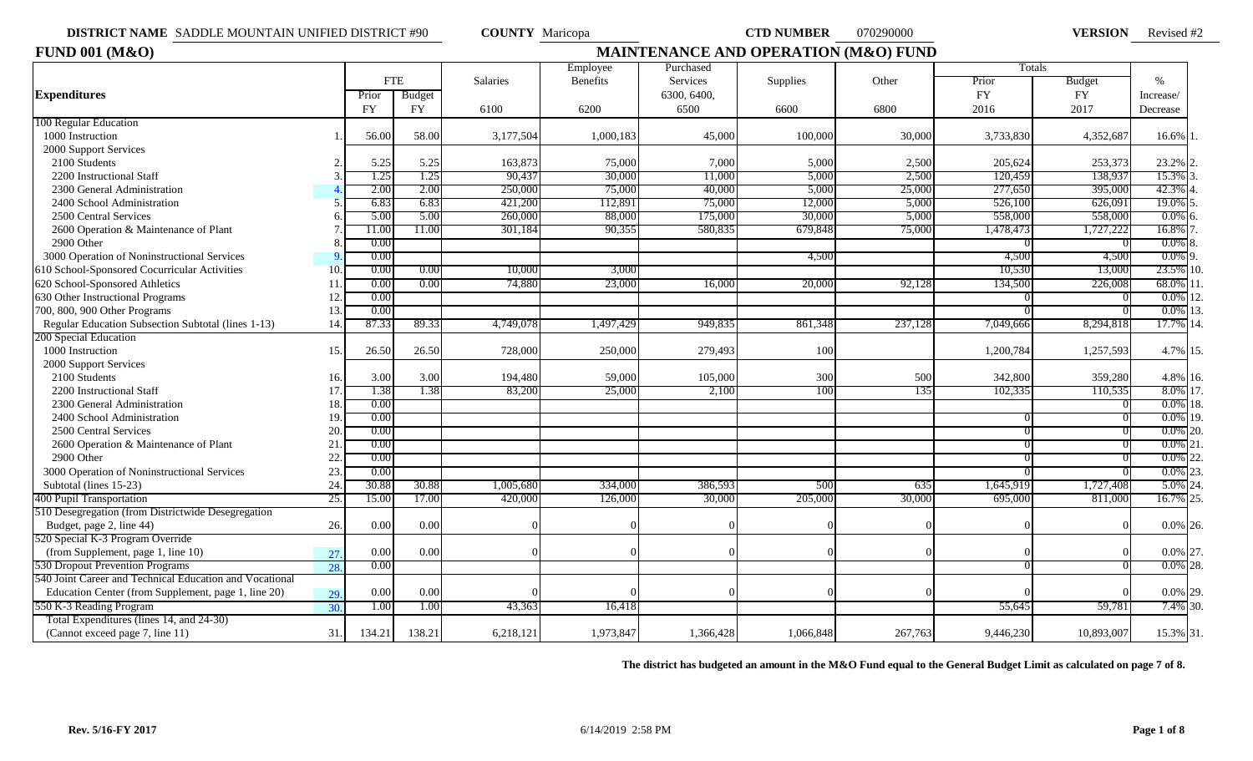**VERSION** Revised #2

| <b>FUND 001 (M&amp;O)</b>                               |     |            |           |           | <b>MAINTENANCE AND OPERATION (M&amp;O) FUND</b> |             |           |         |            |               |             |
|---------------------------------------------------------|-----|------------|-----------|-----------|-------------------------------------------------|-------------|-----------|---------|------------|---------------|-------------|
|                                                         |     |            |           |           | Employee                                        | Purchased   |           |         | Totals     |               |             |
|                                                         |     | <b>FTE</b> |           | Salaries  | <b>Benefits</b>                                 | Services    | Supplies  | Other   | Prior      | <b>Budget</b> | $\%$        |
| <b>Expenditures</b>                                     |     | Prior      | Budget    |           |                                                 | 6300, 6400, |           |         | ${\rm FY}$ | ${\rm FY}$    | Increase/   |
|                                                         |     | <b>FY</b>  | <b>FY</b> | 6100      | 6200                                            | 6500        | 6600      | 6800    | 2016       | 2017          | Decrease    |
| 100 Regular Education                                   |     |            |           |           |                                                 |             |           |         |            |               |             |
| 1000 Instruction                                        |     | 56.00      | 58.00     | 3,177,504 | 1,000,183                                       | 45,000      | 100,000   | 30,000  | 3,733,830  | 4,352,687     | 16.6% 1     |
| 2000 Support Services                                   |     |            |           |           |                                                 |             |           |         |            |               |             |
| 2100 Students                                           |     | 5.25       | 5.25      | 163,873   | 75,000                                          | 7,000       | 5,000     | 2,500   | 205,624    | 253,373       | 23.2% 2     |
| 2200 Instructional Staff                                |     | 1.25       | 1.25      | 90,437    | 30,000                                          | 11,000      | 5,000     | 2,500   | 120,459    | 138,937       | 15.3% 3.    |
| 2300 General Administration                             |     | 2.00       | 2.00      | 250,000   | 75,000                                          | 40,000      | 5,000     | 25,000  | 277,650    | 395,000       | 42.3% 4     |
| 2400 School Administration                              |     | 6.83       | 6.83      | 421,200   | 112,891                                         | 75,000      | 12,000    | 5,000   | 526,100    | 626,091       | 19.0% 5     |
| 2500 Central Services                                   |     | 5.00       | 5.00      | 260,000   | 88,000                                          | 175,000     | 30,000    | 5,000   | 558,000    | 558,000       | $0.0\%$ 6   |
| 2600 Operation & Maintenance of Plant                   |     | 11.00      | 11.00     | 301,184   | 90,355                                          | 580,835     | 679,848   | 75,000  | 1,478,473  | 1,727,222     | 16.8% 7     |
| 2900 Other                                              |     | 0.00       |           |           |                                                 |             |           |         |            |               | $0.0\%$ 8   |
| 3000 Operation of Noninstructional Services             |     | 0.00       |           |           |                                                 |             | 4,500     |         | 4,500      | 4,500         | $0.0\%$ 9.  |
| 610 School-Sponsored Cocurricular Activities            | 10  | 0.00       | 0.00      | 10,000    | 3,000                                           |             |           |         | 10,530     | 13,000        | 23.5% 10.   |
| 620 School-Sponsored Athletics                          | 11  | 0.00       | 0.00      | 74,880    | 23,000                                          | 16,000      | 20,000    | 92,128  | 134,500    | 226,008       | 68.0% 11    |
| 630 Other Instructional Programs                        | 12  | 0.00       |           |           |                                                 |             |           |         |            |               | $0.0\%$ 12  |
| 700, 800, 900 Other Programs                            | 13  | 0.00       |           |           |                                                 |             |           |         |            |               | $0.0\%$ 13. |
| Regular Education Subsection Subtotal (lines 1-13)      | 14  | 87.33      | 89.33     | 4,749,07  | 1,497,429                                       | 949,835     | 861,348   | 237,128 | 7,049,666  | 8,294,818     | 17.7% 14.   |
| 200 Special Education                                   |     |            |           |           |                                                 |             |           |         |            |               |             |
| 1000 Instruction                                        | 15. | 26.50      | 26.50     | 728,000   | 250,000                                         | 279,493     | 100       |         | 1,200,784  | 1,257,593     | 4.7% 15.    |
| 2000 Support Services                                   |     |            |           |           |                                                 |             |           |         |            |               |             |
| 2100 Students                                           | 16. | 3.00       | 3.00      | 194,480   | 59,000                                          | 105,000     | 300       | 500     | 342,800    | 359,280       | 4.8% 16.    |
| 2200 Instructional Staff                                | 17  | 1.38       | 1.38      | 83,200    | 25,000                                          | 2,100       | 100       | 135     | 102,335    | 110,535       | 8.0% 17.    |
| 2300 General Administration                             | 18  | 0.00       |           |           |                                                 |             |           |         |            |               | $0.0\%$ 18. |
| 2400 School Administration                              | 19  | 0.00       |           |           |                                                 |             |           |         |            |               | $0.0\%$ 19. |
| 2500 Central Services                                   | 20  | 0.00       |           |           |                                                 |             |           |         |            |               | $0.0\%$ 20. |
| 2600 Operation & Maintenance of Plant                   | 21  | 0.00       |           |           |                                                 |             |           |         |            |               | $0.0\%$ 21  |
| 2900 Other                                              | 22  | 0.00       |           |           |                                                 |             |           |         |            |               | 0.0% 22     |
| 3000 Operation of Noninstructional Services             | 23  | 0.00       |           |           |                                                 |             |           |         |            |               | $0.0\%$ 23. |
| Subtotal (lines 15-23)                                  | 24  | 30.88      | 30.88     | 1,005,680 | 334,000                                         | 386,593     | 500       | 635     | 1,645,919  | 1,727,408     | 5.0% 24     |
| 400 Pupil Transportation                                | 25. | 15.00      | 17.00     | 420,000   | 126,000                                         | 30,000      | 205,000   | 30,000  | 695,000    | 811,000       | 16.7% 25.   |
| 510 Desegregation (from Districtwide Desegregation      |     |            |           |           |                                                 |             |           |         |            |               |             |
| Budget, page 2, line 44)                                | 26. | 0.00       | 0.00      |           |                                                 |             |           |         |            |               | $0.0\%$ 26. |
| 520 Special K-3 Program Override                        |     |            |           |           |                                                 |             |           |         |            |               |             |
| (from Supplement, page 1, line 10)                      | 27. | 0.00       | 0.00      |           |                                                 |             |           |         |            |               | 0.0% 27.    |
| 530 Dropout Prevention Programs                         | 28. | 0.00       |           |           |                                                 |             |           |         |            |               | $0.0\%$ 28. |
| 540 Joint Career and Technical Education and Vocational |     |            |           |           |                                                 |             |           |         |            |               |             |
| Education Center (from Supplement, page 1, line 20)     | 29. | 0.00       | 0.00      |           |                                                 |             |           |         |            |               | 0.0% 29.    |
| 550 K-3 Reading Program                                 | 30. | 1.00       | 1.00      | 43,363    | 16,418                                          |             |           |         | 55,645     | 59,781        | 7.4% 30.    |
| Total Expenditures (lines 14, and 24-30)                |     |            |           |           |                                                 |             |           |         |            |               |             |
| (Cannot exceed page 7, line 11)                         | 31. | 134.21     | 138.21    | 6,218,121 | 1,973,847                                       | 1,366,428   | 1,066,848 | 267,763 | 9,446,230  | 10,893,007    | 15.3% 31.   |

**The district has budgeted an amount in the M&O Fund equal to the General Budget Limit as calculated on page 7 of 8.**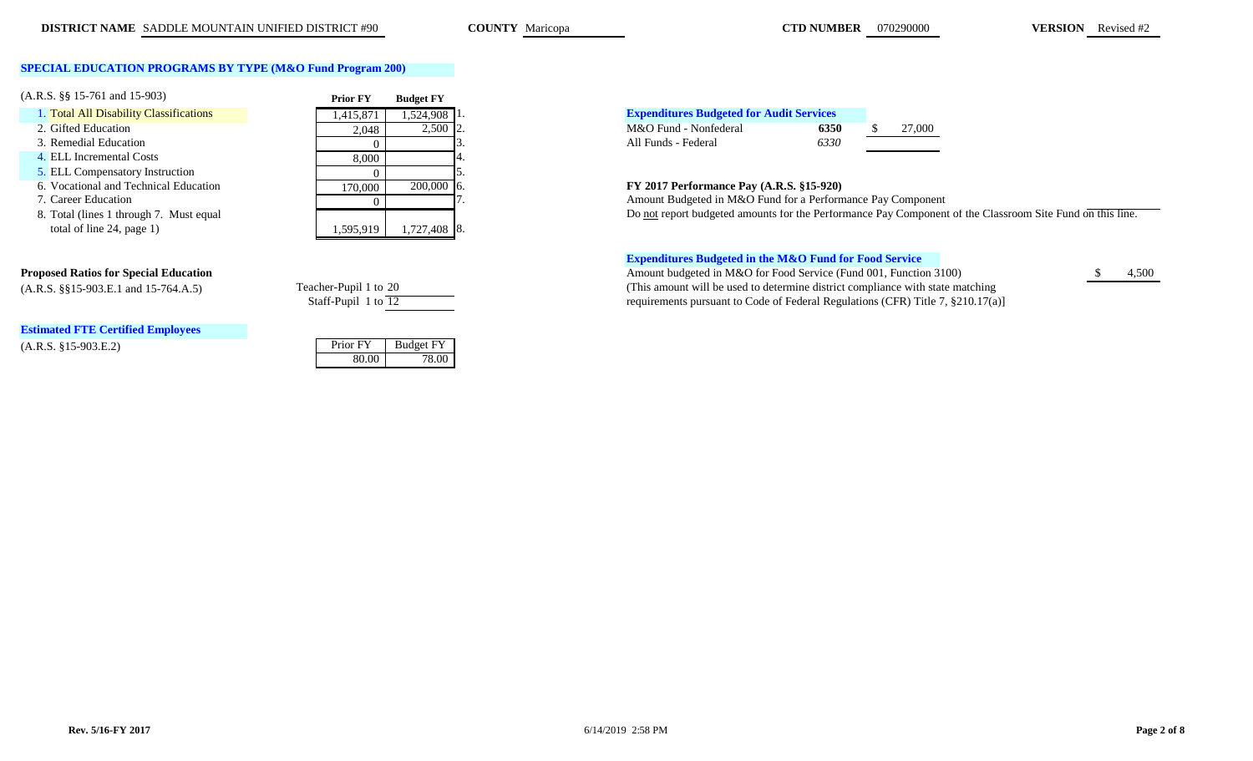**COUNTY** Maricopa

**CTD NUMBER** 070290000 **VERSION** Revised #2

## **SPECIAL EDUCATION PROGRAMS BY TYPE (M&O Fund Program 200)**

| $(A.R.S. \S\$ 15-761 and 15-903)        | <b>Prior FY</b> | <b>Budget FY</b> |                                                               |
|-----------------------------------------|-----------------|------------------|---------------------------------------------------------------|
| 1. Total All Disability Classifications | 1,415,871       | 1,524,908 1.     | <b>Expenditures Budgeted for Audit Services</b>               |
| 2. Gifted Education                     | 2.048           | $2,500$ 2.       | M&O Fund - Nonfederal<br>27,000<br>6350                       |
| 3. Remedial Education                   |                 |                  | 6330<br>All Funds - Federal                                   |
| 4. ELL Incremental Costs                | 8,000           |                  |                                                               |
| <b>5. ELL Compensatory Instruction</b>  |                 |                  |                                                               |
| 6. Vocational and Technical Education   | 170.000         | $200,000$ 6.     | FY 2017 Performance Pay (A.R.S. §15-920)                      |
| 7. Career Education                     |                 |                  | Amount Budgeted in M&O Fund for a Performance Pay Compone     |
| 8. Total (lines 1 through 7. Must equal |                 |                  | Do not report budgeted amounts for the Performance Pay Compon |
| total of line 24, page 1)               | .595,919        | $.727,408$ 8.    |                                                               |

# **Estimated FTE Certified Employees**

(A.R.S. §15-903.E.2) Prior FY Budget FY (A.R.S. §15-903.E.2)

| Teacher-Pupil 1 to 20 |  |
|-----------------------|--|
| Staff-Pupil 1 to 12   |  |

80.00 78.00

# **Expenditures Budgeted for Audit Services**

Amount Budgeted in M&O Fund for a Performance Pay Component 8. Total (lines 1 through 7. Must equal **Do not report budgeted amounts for the Performance Pay Component of the Classroom Site Fund on this line.** 

### **Expenditures Budgeted in the M&O Fund for Food Service**

**Proposed Ratios for Special Education**  $\bullet$  4,500 (A.R.S. §§15-903.E.1 and 15-764.A.5) Teacher-Pupil 1 to 20 (This amount will be used to determine district compliance with state matching requirements pursuant to Code of Federal Regulations (CFR) Title 7, §210.17(a)]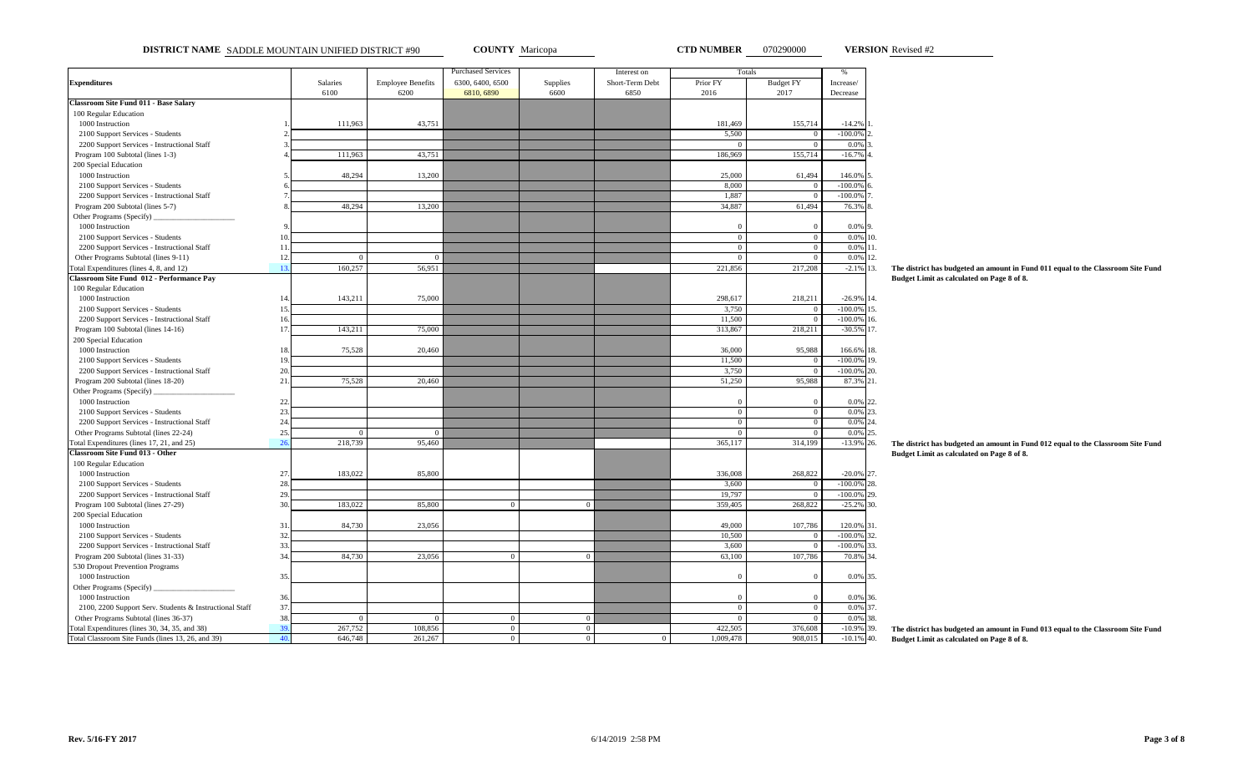**DISTRICT NAME** SADDLE MOUNTAIN UNIFIED DISTRICT #90 **COUNTY** Maricopa **CTD NUMBER** 070290000 **VERSION** Revised #2

**VERSION** Revised #2

|                                                                       |     |                |                          | <b>Purchased Services</b> |                | Interest on     | Totals         |                  | $\%$              |                                                                                  |
|-----------------------------------------------------------------------|-----|----------------|--------------------------|---------------------------|----------------|-----------------|----------------|------------------|-------------------|----------------------------------------------------------------------------------|
| <b>Expenditures</b>                                                   |     | Salaries       | <b>Employee Benefits</b> | 6300, 6400, 6500          | Supplies       | Short-Term Debt | Prior FY       | <b>Budget FY</b> | Increase/         |                                                                                  |
|                                                                       |     | 6100           | 6200                     | 6810, 6890                | 6600           | 6850            | 2016           | 2017             | Decrease          |                                                                                  |
| <b>Classroom Site Fund 011 - Base Salary</b><br>100 Regular Education |     |                |                          |                           |                |                 |                |                  |                   |                                                                                  |
| 1000 Instruction                                                      |     | 111,963        | 43,751                   |                           |                |                 | 181,469        | 155,714          | $-14.2%$          |                                                                                  |
|                                                                       |     |                |                          |                           |                |                 | 5,500          | $\Omega$         | $-100.0\%$        |                                                                                  |
| 2100 Support Services - Students                                      |     |                |                          |                           |                |                 |                | $\Omega$         | 0.0%              |                                                                                  |
| 2200 Support Services - Instructional Staff                           |     |                |                          |                           |                |                 |                |                  |                   |                                                                                  |
| Program 100 Subtotal (lines 1-3)                                      |     | 111,963        | 43,751                   |                           |                |                 | 186,969        | 155,714          | $-16.7%$          |                                                                                  |
| 200 Special Education                                                 |     |                |                          |                           |                |                 |                |                  |                   |                                                                                  |
| 1000 Instruction                                                      |     | 48,294         | 13,200                   |                           |                |                 | 25,000         | 61,494           | 146.0%            |                                                                                  |
| 2100 Support Services - Students                                      |     |                |                          |                           |                |                 | 8,000          | $\Omega$         | $-100.0%$         |                                                                                  |
| 2200 Support Services - Instructional Staff                           |     |                |                          |                           |                |                 | 1,887          | $\Omega$         | $-100.0%$         |                                                                                  |
| Program 200 Subtotal (lines 5-7)                                      |     | 48,294         | 13,200                   |                           |                |                 | 34,887         | 61,494           | 76.3%             |                                                                                  |
| Other Programs (Specify)                                              |     |                |                          |                           |                |                 |                |                  |                   |                                                                                  |
| 1000 Instruction                                                      |     |                |                          |                           |                |                 | $\Omega$       | $^{\circ}$       | 0.0%              |                                                                                  |
| 2100 Support Services - Students                                      | 10  |                |                          |                           |                |                 | $\overline{0}$ | $\overline{0}$   | $0.0\%$ 10.       |                                                                                  |
| 2200 Support Services - Instructional Staff                           | 11  |                |                          |                           |                |                 | $\Omega$       | $\overline{0}$   | 0.0%<br>11.       |                                                                                  |
| Other Programs Subtotal (lines 9-11)                                  | 12. | $\Omega$       | $\Omega$                 |                           |                |                 | $\Omega$       | $\Omega$         | 0.0%<br>12.       |                                                                                  |
| Total Expenditures (lines 4, 8, and 12)                               | 13. | 160,257        | 56,951                   |                           |                |                 | 221,856        | 217,208          | $-2.1\%$ 13.      | The district has budgeted an amount in Fund 011 equal to the Classroom Site Fund |
| Classroom Site Fund 012 - Performance Pay                             |     |                |                          |                           |                |                 |                |                  |                   | Budget Limit as calculated on Page 8 of 8.                                       |
| 100 Regular Education                                                 |     |                |                          |                           |                |                 |                |                  |                   |                                                                                  |
| 1000 Instruction                                                      | 14. | 143,211        | 75,000                   |                           |                |                 | 298,617        | 218,211          | $-26.9\%$ 14.     |                                                                                  |
| 2100 Support Services - Students                                      | 15  |                |                          |                           |                |                 | 3.750          | $\overline{0}$   | 15.<br>$-100.0\%$ |                                                                                  |
| 2200 Support Services - Instructional Staff                           | 16. |                |                          |                           |                |                 | 11,500         | $\overline{0}$   | $-100.0%$<br>16.  |                                                                                  |
| Program 100 Subtotal (lines 14-16)                                    | 17. | 143,211        | 75,000                   |                           |                |                 | 313,867        | 218,211          | $-30.5\%$ 17.     |                                                                                  |
| 200 Special Education                                                 |     |                |                          |                           |                |                 |                |                  |                   |                                                                                  |
| 1000 Instruction                                                      | 18. | 75,528         | 20,460                   |                           |                |                 | 36,000         | 95,988           | 166.6% 18.        |                                                                                  |
| 2100 Support Services - Students                                      | 19. |                |                          |                           |                |                 | 11,500         | $\overline{0}$   | $-100.0\%$ 19.    |                                                                                  |
| 2200 Support Services - Instructional Staff                           | 20. |                |                          |                           |                |                 | 3,750          | $\Omega$         | $-100.0\%$ 20.    |                                                                                  |
| Program 200 Subtotal (lines 18-20)                                    | 21. | 75,528         | 20,460                   |                           |                |                 | 51,250         | 95,988           | 87.3% 21.         |                                                                                  |
| Other Programs (Specify)                                              |     |                |                          |                           |                |                 |                |                  |                   |                                                                                  |
| 1000 Instruction                                                      | 22. |                |                          |                           |                |                 | $\Omega$       | $^{\circ}$       | 0.0%<br>22        |                                                                                  |
| 2100 Support Services - Students                                      | 23. |                |                          |                           |                |                 | $\overline{0}$ | $\overline{0}$   | $0.0\%$ 23.       |                                                                                  |
| 2200 Support Services - Instructional Staff                           | 24. |                |                          |                           |                |                 | $\mathbf{0}$   | $\Omega$         | 0.0% 24.          |                                                                                  |
| Other Programs Subtotal (lines 22-24)                                 | 25. | $\Omega$       | $\Omega$                 |                           |                |                 | $\Omega$       | $\Omega$         | 0.0%<br>25.       |                                                                                  |
| Total Expenditures (lines 17, 21, and 25)                             | 26  | 218,739        | 95,460                   |                           |                |                 | 365,117        | 314,199          | $-13.9\%$ 26.     | The district has budgeted an amount in Fund 012 equal to the Classroom Site Fund |
| Classroom Site Fund 013 - Other                                       |     |                |                          |                           |                |                 |                |                  |                   | Budget Limit as calculated on Page 8 of 8.                                       |
| 100 Regular Education                                                 |     |                |                          |                           |                |                 |                |                  |                   |                                                                                  |
| 1000 Instruction                                                      | 27. | 183,022        | 85,800                   |                           |                |                 | 336,008        | 268,822          | $-20.0\%$ 27.     |                                                                                  |
| 2100 Support Services - Students                                      | 28. |                |                          |                           |                |                 | 3,600          | $\Omega$         | $-100.0\%$ 28.    |                                                                                  |
| 2200 Support Services - Instructional Staff                           | 29. |                |                          |                           |                |                 | 19,797         |                  | $-100.0\%$ 29.    |                                                                                  |
| Program 100 Subtotal (lines 27-29)                                    | 30. | 183,022        | 85,800                   | $\Omega$                  | $\overline{0}$ |                 | 359,405        | 268,822          | $-25.2%$<br>30.   |                                                                                  |
| 200 Special Education                                                 |     |                |                          |                           |                |                 |                |                  |                   |                                                                                  |
| 1000 Instruction                                                      | 31. | 84,730         | 23,056                   |                           |                |                 | 49,000         | 107,786          | 120.0%<br>31.     |                                                                                  |
| 2100 Support Services - Students                                      | 32. |                |                          |                           |                |                 | 10,500         | $\overline{0}$   | $-100.0\%$<br>32. |                                                                                  |
| 2200 Support Services - Instructional Staff                           | 33. |                |                          |                           |                |                 | 3,600          | $\Omega$         | $-100.0%$<br>33.  |                                                                                  |
| Program 200 Subtotal (lines 31-33)                                    | 34. | 84,730         | 23,056                   | $\mathbf{0}$              | $\overline{0}$ |                 | 63,100         | 107,786          | 70.8%<br>34.      |                                                                                  |
| 530 Dropout Prevention Programs                                       |     |                |                          |                           |                |                 |                |                  |                   |                                                                                  |
| 1000 Instruction                                                      | 35. |                |                          |                           |                |                 | $\Omega$       | $\Omega$         | 0.0%<br>35.       |                                                                                  |
| Other Programs (Specify)                                              |     |                |                          |                           |                |                 |                |                  |                   |                                                                                  |
| 1000 Instruction                                                      | 36. |                |                          |                           |                |                 | $\Omega$       | $\Omega$         | 0.0% 36.          |                                                                                  |
| 2100, 2200 Support Serv. Students & Instructional Staff               | 37. |                |                          |                           |                |                 | $\overline{0}$ | $\overline{0}$   | 0.0%<br>37.       |                                                                                  |
| Other Programs Subtotal (lines 36-37)                                 | 38. | $\overline{0}$ | $\overline{0}$           | $\mathbf{0}$              | $\overline{0}$ |                 | $\Omega$       | $\overline{0}$   | 0.0%<br>38.       |                                                                                  |
| Total Expenditures (lines 30, 34, 35, and 38)                         | 39  | 267,752        | 108,856                  | $\overline{0}$            | $\Omega$       |                 | 422,505        | 376,608          | $-10.9%$<br>39.   | The district has budgeted an amount in Fund 013 equal to the Classroom Site Fund |
| Total Classroom Site Funds (lines 13, 26, and 39)                     | 40. | 646,748        | 261,267                  | $\boldsymbol{0}$          | $\overline{0}$ | $\overline{0}$  | 1,009,478      | 908,015          | $-10.1\%$ 40.     | Budget Limit as calculated on Page 8 of 8.                                       |
|                                                                       |     |                |                          |                           |                |                 |                |                  |                   |                                                                                  |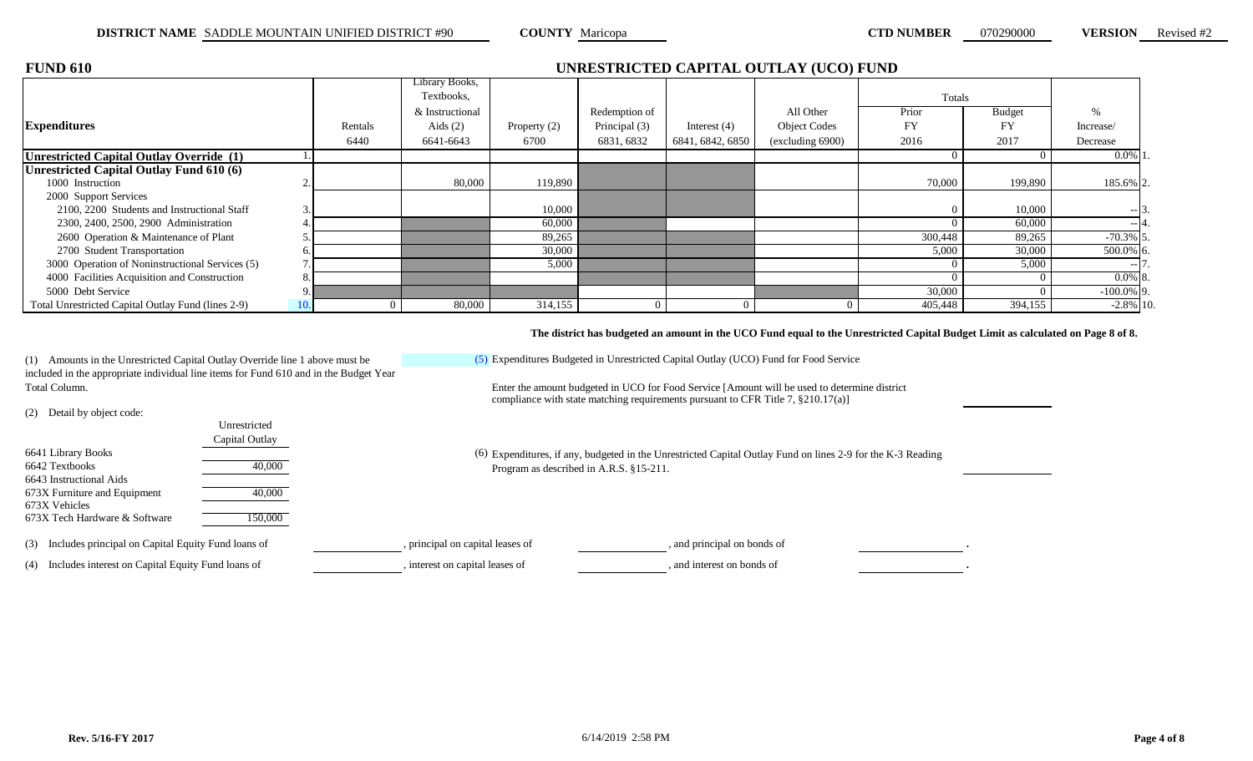| <b>RSION</b> | Revised #2 |  |
|--------------|------------|--|
|              |            |  |

| <b>FUND 610</b>                                    | UNRESTRICTED CAPITAL OUTLAY (UCO) FUND |                 |                |               |                  |                     |           |               |               |  |  |  |  |  |
|----------------------------------------------------|----------------------------------------|-----------------|----------------|---------------|------------------|---------------------|-----------|---------------|---------------|--|--|--|--|--|
|                                                    |                                        | Library Books,  |                |               |                  |                     |           |               |               |  |  |  |  |  |
|                                                    |                                        | Textbooks,      |                |               |                  |                     | Totals    |               |               |  |  |  |  |  |
|                                                    |                                        | & Instructional |                | Redemption of |                  | All Other           | Prior     | <b>Budget</b> |               |  |  |  |  |  |
| <b>Expenditures</b>                                | Rentals                                | Aids $(2)$      | Property $(2)$ | Principal (3) | Interest $(4)$   | <b>Object Codes</b> | <b>FY</b> | FY            | Increase/     |  |  |  |  |  |
|                                                    | 6440                                   | 6641-6643       | 6700           | 6831, 6832    | 6841, 6842, 6850 | (excluding 6900)    | 2016      | 2017          | Decrease      |  |  |  |  |  |
| Unrestricted Capital Outlay Override (1)           |                                        |                 |                |               |                  |                     |           |               | $0.0\%$ 1     |  |  |  |  |  |
| Unrestricted Capital Outlay Fund 610 (6)           |                                        |                 |                |               |                  |                     |           |               |               |  |  |  |  |  |
| 1000 Instruction                                   |                                        | 80,000          | 119,890        |               |                  |                     | 70,000    | 199,890       | 185.6% 2.     |  |  |  |  |  |
| 2000 Support Services                              |                                        |                 |                |               |                  |                     |           |               |               |  |  |  |  |  |
| 2100, 2200 Students and Instructional Staff        |                                        |                 | 10,000         |               |                  |                     |           | 10,000        | $-13.$        |  |  |  |  |  |
| 2300, 2400, 2500, 2900 Administration              |                                        |                 | 60,000         |               |                  |                     |           | 60,000        | $-4.$         |  |  |  |  |  |
| 2600 Operation & Maintenance of Plant              |                                        |                 | 89,265         |               |                  |                     | 300,448   | 89,265        | $-70.3\%$ 5.  |  |  |  |  |  |
| 2700 Student Transportation                        |                                        |                 | 30,000         |               |                  |                     | 5,000     | 30,000        | 500.0% 6.     |  |  |  |  |  |
| 3000 Operation of Noninstructional Services (5)    |                                        |                 | 5,000          |               |                  |                     |           | 5,000         | $-17.$        |  |  |  |  |  |
| 4000 Facilities Acquisition and Construction       |                                        |                 |                |               |                  |                     |           |               | $0.0\%$ 8.    |  |  |  |  |  |
| 5000 Debt Service                                  |                                        |                 |                |               |                  |                     | 30,000    |               | $-100.0\%$ 9. |  |  |  |  |  |
| Total Unrestricted Capital Outlay Fund (lines 2-9) |                                        | 80,000          | 314,155        |               |                  |                     | 405,448   | 394,155       | $-2.8\%$ 10.  |  |  |  |  |  |

**The district has budgeted an amount in the UCO Fund equal to the Unrestricted Capital Budget Limit as calculated on Page 8 of 8.**

(1) Amounts in the Unrestricted Capital Outlay Override line 1 above must be included in the appropriate individual line items for Fund 610 and in the Budget Year Total Column. Enter the amount budgeted in UCO for Food Service [Amount will be used to determine district

> Unrestricted Capital Outlay

(5) Expenditures Budgeted in Unrestricted Capital Outlay (UCO) Fund for Food Service

compliance with state matching requirements pursuant to CFR Title 7, §210.17(a)]

Expenditures, if any, budgeted in the Unrestricted Capital Outlay Fund on lines 2-9 for the K-3 Reading Program as described in A.R.S. §15-211.

(3) Includes principal on Capital Equity Fund loans of , principal on capital leases of , and principal on bonds of .

6642 Textbooks 40,000

673X Furniture and Equipment 40,000

673X Tech Hardware & Software 150,000

(2) Detail by object code:

6641 Library Books

673X Vehicles

6643 Instructional Aids

(4) Includes interest on Capital Equity Fund loans of , interest on capital leases of , and interest on bonds of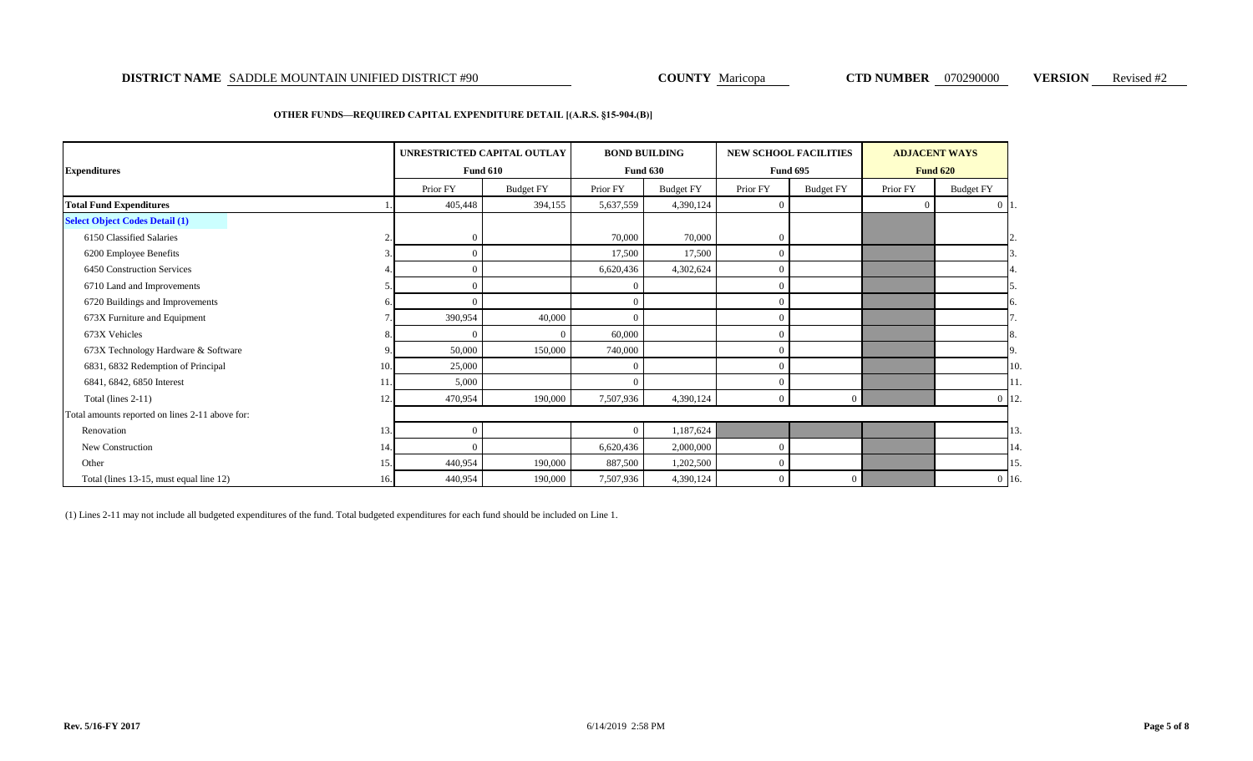### **DISTRICT NAME** SADDLE MOUNTAIN UNIFIED DISTRICT #90 **COUNTY A**aricopa **COUNTY Maricopa CTD NUMBER** 070290000 **VERSION** Revised #2

### **OTHER FUNDS—REQUIRED CAPITAL EXPENDITURE DETAIL [(A.R.S. §15-904.(B)]**

|                                                 |     | UNRESTRICTED CAPITAL OUTLAY |                  |           | <b>BOND BUILDING</b> |                | <b>NEW SCHOOL FACILITIES</b> | <b>ADJACENT WAYS</b> |                  |              |  |
|-------------------------------------------------|-----|-----------------------------|------------------|-----------|----------------------|----------------|------------------------------|----------------------|------------------|--------------|--|
| <b>Expenditures</b>                             |     |                             | <b>Fund 610</b>  |           | <b>Fund 630</b>      |                | <b>Fund 695</b>              |                      | <b>Fund 620</b>  |              |  |
|                                                 |     | Prior FY                    | <b>Budget FY</b> | Prior FY  | <b>Budget FY</b>     | Prior FY       | <b>Budget FY</b>             | Prior FY             | <b>Budget FY</b> |              |  |
| <b>Total Fund Expenditures</b>                  |     | 405,448                     | 394,155          | 5,637,559 | 4,390,124            | $\overline{0}$ |                              |                      |                  | $0\vert 1$ . |  |
| <b>Select Object Codes Detail (1)</b>           |     |                             |                  |           |                      |                |                              |                      |                  |              |  |
| 6150 Classified Salaries                        |     | $\mathbf{0}$                |                  | 70,000    | 70,000               | $\overline{0}$ |                              |                      |                  |              |  |
| 6200 Employee Benefits                          |     | $\Omega$                    |                  | 17,500    | 17,500               | $\overline{0}$ |                              |                      |                  |              |  |
| 6450 Construction Services                      |     | $\Omega$                    |                  | 6,620,436 | 4,302,624            | $\overline{0}$ |                              |                      |                  |              |  |
| 6710 Land and Improvements                      |     | $\Omega$                    |                  |           |                      | $\overline{0}$ |                              |                      |                  |              |  |
| 6720 Buildings and Improvements                 |     |                             |                  |           |                      | $\overline{0}$ |                              |                      |                  | 6.           |  |
| 673X Furniture and Equipment                    |     | 390,954                     | 40,000           |           |                      | $\overline{0}$ |                              |                      |                  |              |  |
| 673X Vehicles                                   |     |                             | 0                | 60,000    |                      | $\overline{0}$ |                              |                      |                  | 8.           |  |
| 673X Technology Hardware & Software             |     | 50,000                      | 150,000          | 740,000   |                      | $\Omega$       |                              |                      |                  | 9            |  |
| 6831, 6832 Redemption of Principal              | 10. | 25,000                      |                  |           |                      | $\overline{0}$ |                              |                      |                  | 10.          |  |
| 6841, 6842, 6850 Interest                       |     | 5,000                       |                  |           |                      | $\overline{0}$ |                              |                      |                  | 11.          |  |
| Total (lines 2-11)                              | 12. | 470,954                     | 190,000          | 7,507,936 | 4,390,124            | $\overline{0}$ | $\overline{0}$               |                      |                  | $0 \; 12.$   |  |
| Total amounts reported on lines 2-11 above for: |     |                             |                  |           |                      |                |                              |                      |                  |              |  |
| Renovation                                      | 13. | $\Omega$                    |                  | $\Omega$  | 1,187,624            |                |                              |                      |                  | 13.          |  |
| New Construction                                | 14. | $\Omega$                    |                  | 6,620,436 | 2,000,000            | $\Omega$       |                              |                      |                  | 14.          |  |
| Other                                           | 15. | 440,954                     | 190,000          | 887,500   | 1,202,500            | $\Omega$       |                              |                      |                  | 15.          |  |
| Total (lines 13-15, must equal line 12)         | 16. | 440,954                     | 190,000          | 7,507,936 | 4,390,124            | $\overline{0}$ | $\Omega$                     |                      |                  | $0 \; 16$    |  |

(1) Lines 2-11 may not include all budgeted expenditures of the fund. Total budgeted expenditures for each fund should be included on Line 1.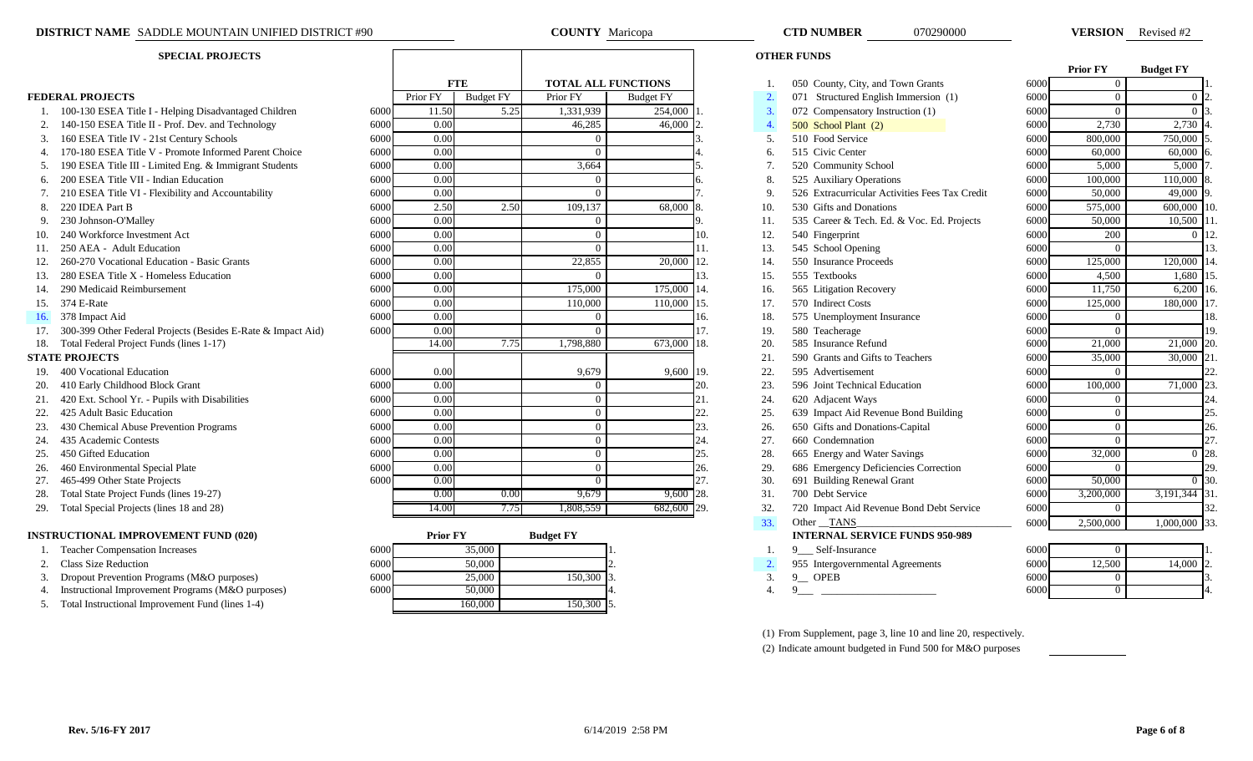- 1. 100-130 ESEA Title I Helping Disadvantaged Children
- 2. 140-150 ESEA Title II Prof. Dev. and Technology
- 3. 160 ESEA Title IV 21st Century Schools
- 4. 170-180 ESEA Title V Promote Informed Parent Choice
- 5. 190 ESEA Title III Limited Eng. & Immigrant Students
- 6. 200 ESEA Title VII Indian Education
- 7. 210 ESEA Title VI Flexibility and Accountability
- 
- 
- 10. 240 Workforce Investment Act
- 
- 12. 260-270 Vocational Education Basic Grants
- 13. 280 ESEA Title X Homeless Education
- 14. 290 Medicaid Reimbursement
- 
- 
- 17. 300-399 Other Federal Projects (Besides E-Rate & Impact Aid)
- 18. Total Federal Project Funds (lines 1-17)

- 
- 20. 410 Early Childhood Block Grant
- 21. 420 Ext. School Yr. Pupils with Disabilities
- 
- 23. 430 Chemical Abuse Prevention Programs
- 
- 
- 26. 460 Environmental Special Plate
- 
- 28. Total State Project Funds (lines 19-27)
- 29. Total Special Projects (lines 18 and 28)

### **INSTRUCTIONAL IMPROVEMENT FUND (020)**

- 
- 
- 3. Dropout Prevention Programs (M&O purposes)
- 4. Instructional Improvement Programs (M&O purposes)
- 5. Total Instructional Improvement Fund (lines 1-4)

|     | <b>SPECIAL PROJECTS</b>                                      |      |          |                  |           |                            | <b>OTHER FUNDS</b> |                |                                                |      |                 |                   |     |
|-----|--------------------------------------------------------------|------|----------|------------------|-----------|----------------------------|--------------------|----------------|------------------------------------------------|------|-----------------|-------------------|-----|
|     |                                                              |      |          |                  |           |                            |                    |                |                                                |      | <b>Prior FY</b> | <b>Budget FY</b>  |     |
|     |                                                              |      |          | <b>FTE</b>       |           | <b>TOTAL ALL FUNCTIONS</b> |                    |                | 050 County, City, and Town Grants              | 6000 | $\Omega$        |                   |     |
|     | <b>FEDERAL PROJECTS</b>                                      |      | Prior FY | <b>Budget FY</b> | Prior FY  | <b>Budget FY</b>           |                    | $\overline{2}$ | 071 Structured English Immersion (1)           | 6000 | $\Omega$        |                   |     |
|     | 1. 100-130 ESEA Title I - Helping Disadvantaged Children     | 6000 | 11.50    | 5.25             | 1,331,939 | 254,000                    |                    | 3.             | 072 Compensatory Instruction (1)               | 6000 | $\Omega$        | $\Omega$ $\Gamma$ |     |
|     | 140-150 ESEA Title II - Prof. Dev. and Technology            | 6000 | 0.00     |                  | 46,285    | 46,000                     |                    | $\overline{4}$ | 500 School Plant (2)                           | 6000 | 2,730           | 2,730             |     |
|     | 160 ESEA Title IV - 21st Century Schools                     | 6000 | 0.00     |                  |           |                            |                    | .5.            | 510 Food Service                               | 6000 | 800,000         | 750,000           |     |
|     | 170-180 ESEA Title V - Promote Informed Parent Choice        | 6000 | 0.00     |                  | $\Omega$  |                            |                    | 6.             | 515 Civic Center                               | 6000 | 60,000          | 60,000            |     |
|     | 190 ESEA Title III - Limited Eng. & Immigrant Students       | 6000 | 0.00     |                  | 3,664     |                            |                    | 7 <sub>1</sub> | 520 Community School                           | 6000 | 5,000           | 5,000             |     |
|     | 200 ESEA Title VII - Indian Education                        | 6000 | 0.00     |                  | $\Omega$  |                            |                    | 8.             | 525 Auxiliary Operations                       | 6000 | 100,000         | 110,000           |     |
|     | 7. 210 ESEA Title VI - Flexibility and Accountability        | 6000 | 0.00     |                  | $\Omega$  |                            |                    | 9              | 526 Extracurricular Activities Fees Tax Credit | 6000 | 50,000          | 49,000            |     |
|     | 8. 220 IDEA Part B                                           | 6000 | 2.50     | 2.50             | 109,137   | 68,000                     |                    | 10.            | 530 Gifts and Donations                        | 6000 | 575,000         | 600,000           |     |
|     | 230 Johnson-O'Malley                                         | 6000 | 0.00     |                  |           |                            |                    | 11.            | 535 Career & Tech. Ed. & Voc. Ed. Projects     | 6000 | 50,000          | 10,500            |     |
|     | Workforce Investment Act                                     | 6000 | 0.00     |                  |           |                            | 10.                | 12.            | 540 Fingerprint                                | 6000 | 200             |                   |     |
|     | 250 AEA - Adult Education                                    | 6000 | 0.00     |                  | $\Omega$  |                            |                    | 13.            | 545 School Opening                             | 6000 | $\Omega$        |                   |     |
|     | 260-270 Vocational Education - Basic Grants                  | 6000 | 0.00     |                  | 22,855    | 20,000                     | 12.                | 14.            | 550 Insurance Proceeds                         | 6000 | 125,000         | 120,000 1         |     |
| 13. | 280 ESEA Title X - Homeless Education                        | 6000 | 0.00     |                  | $\Omega$  |                            | 13.                | 15.            | 555 Textbooks                                  | 6000 | 4,500           | 1,680             |     |
| 14. | 290 Medicaid Reimbursement                                   | 6000 | 0.00     |                  | 175,000   | 175,000                    | 14.                | 16.            | 565 Litigation Recovery                        | 6000 | 11,750          | 6,200 16.         |     |
| 15. | 374 E-Rate                                                   | 6000 | 0.00     |                  | 110,000   | 110,000                    | 115.               | 17.            | 570 Indirect Costs                             | 6000 | 125,000         | 180,000 1         |     |
| 16. | 378 Impact Aid                                               | 6000 | 0.00     |                  |           |                            | 16.                | 18.            | 575 Unemployment Insurance                     | 6000 | $\Omega$        |                   | 18. |
|     | 300-399 Other Federal Projects (Besides E-Rate & Impact Aid) | 6000 | 0.00     |                  |           |                            | 17.                | 19.            | 580 Teacherage                                 | 6000 | $\Omega$        |                   | 19. |
|     | 18. Total Federal Project Funds (lines 1-17)                 |      | 14.00    | 7.75             | 1,798,880 | 673,000 18.                |                    | 20.            | 585 Insurance Refund                           | 6000 | 21,000          | 21,000 20.        |     |
|     | <b>STATE PROJECTS</b>                                        |      |          |                  |           |                            |                    | 21.            | 590 Grants and Gifts to Teachers               | 6000 | 35,000          | 30,000 2          |     |
| 19. | 400 Vocational Education                                     | 6000 | 0.00     |                  | 9,679     | 9,600 19.                  |                    | 22.            | 595 Advertisement                              | 6000 | $\Omega$        |                   |     |
|     | 20. 410 Early Childhood Block Grant                          | 6000 | 0.00     |                  | $\Omega$  |                            | 20                 | 23.            | 596 Joint Technical Education                  | 6000 | 100,000         | 71,000 2          |     |
|     | 420 Ext. School Yr. - Pupils with Disabilities               | 6000 | 0.00     |                  | $\Omega$  |                            |                    | 24.            | 620 Adjacent Ways                              | 6000 | $\theta$        |                   | 24. |
| 22. | 425 Adult Basic Education                                    | 6000 | 0.00     |                  | $\Omega$  |                            | 22.                | 25.            | 639 Impact Aid Revenue Bond Building           | 6000 | $\theta$        |                   | 25. |
|     | 430 Chemical Abuse Prevention Programs                       | 6000 | 0.00     |                  |           |                            | 23.                | 26.            | 650 Gifts and Donations-Capital                | 6000 | $\theta$        |                   | 26. |
|     | 435 Academic Contests                                        | 6000 | 0.00     |                  | $\Omega$  |                            | 24                 | 27.            | 660 Condemnation                               | 6000 | $\Omega$        |                   | 27  |
| 25. | 450 Gifted Education                                         | 6000 | 0.00     |                  | $\Omega$  |                            | 25.                | 28.            | 665 Energy and Water Savings                   | 6000 | 32,000          | 0 28.             |     |
| 26. | 460 Environmental Special Plate                              | 6000 | 0.00     |                  | $\Omega$  |                            | 26.                | 29.            | 686 Emergency Deficiencies Correction          | 6000 | $\Omega$        |                   | 29. |
| 27. | 465-499 Other State Projects                                 | 6000 | 0.00     |                  | $\Omega$  |                            | 27.                | 30.            | 691 Building Renewal Grant                     | 6000 | 50,000          | 0 <sup>130</sup>  |     |
| 28. | Total State Project Funds (lines 19-27)                      |      | 0.00     | 0.00             | 9,679     | $9,600$ 28.                |                    | 31.            | 700 Debt Service                               | 6000 | 3,200,000       | 3,191,344 3       |     |
| 29. | Total Special Projects (lines 18 and 28)                     |      | 14.00    | 7.75             | 1,808,559 | 682,600 29.                |                    | 32.            | 720 Impact Aid Revenue Bond Debt Service       | 6000 | $\overline{0}$  |                   |     |

|      | <b>Prior FY</b> | <b>Budget FY</b> |    |
|------|-----------------|------------------|----|
| 5000 | 35,000          |                  |    |
| 5000 | 50,000          |                  |    |
| 5000 | 25,000          | 150,300          |    |
| 5000 | 50,000          |                  | 4. |
|      |                 | 150,300          |    |

| DISTRICT N<br>NAME<br>`RICT #90<br>LAIN UNIFIED DIST <sup>r</sup><br>→ADDLE MOUN™<br>$\mathbf{N}$ | COUN | <b>TD NUMBER</b> | $-1702900^\circ$<br>フいハハハ | <b>VERSION</b> | Revised $#Z$ |
|---------------------------------------------------------------------------------------------------|------|------------------|---------------------------|----------------|--------------|
|                                                                                                   |      |                  |                           |                |              |

|                                                              |      |                 |                  |                     |                  |     |                  |                                                                 |      | <b>Prior FY</b> | <b>Budget FY</b>   |     |
|--------------------------------------------------------------|------|-----------------|------------------|---------------------|------------------|-----|------------------|-----------------------------------------------------------------|------|-----------------|--------------------|-----|
|                                                              |      |                 | <b>FTE</b>       | TOTAL ALL FUNCTIONS |                  |     |                  | 050 County, City, and Town Grants                               | 6000 |                 |                    |     |
| <b>DERAL PROJECTS</b>                                        |      | Prior FY        | <b>Budget FY</b> | Prior FY            | <b>Budget FY</b> |     | 2.               | 071 Structured English Immersion (1)                            | 6000 | $\overline{0}$  | 0 <sub>12</sub>    |     |
| 1. 100-130 ESEA Title I - Helping Disadvantaged Children     | 6000 | 11.50           | 5.25             | 1,331,939           | 254,000          |     | 3.               | 072 Compensatory Instruction (1)                                | 6000 | $\Omega$        | 0 <sup>13</sup>    |     |
| 2. 140-150 ESEA Title II - Prof. Dev. and Technology         | 6000 | 0.00            |                  | 46,285              | 46,000           |     | 4.               | 500 School Plant (2)                                            | 6000 | 2,730           | 2,730              |     |
| 3. 160 ESEA Title IV - 21st Century Schools                  | 6000 | 0.00            |                  | $\Omega$            |                  |     | 5.               | 510 Food Service                                                | 6000 | 800,000         | 750,000            |     |
| 4. 170-180 ESEA Title V - Promote Informed Parent Choice     | 6000 | 0.00            |                  | $\Omega$            |                  |     | 6.               | 515 Civic Center                                                | 6000 | 60,000          | 60,000             |     |
| 190 ESEA Title III - Limited Eng. & Immigrant Students<br>5. | 6000 | 0.00            |                  | 3,664               |                  |     | 7.               | 520 Community School                                            | 6000 | 5,000           | 5,000              |     |
| 6. 200 ESEA Title VII - Indian Education                     | 6000 | 0.00            |                  | $\overline{0}$      |                  |     | 8.               | 525 Auxiliary Operations                                        | 6000 | 100,000         | 110,000            |     |
| 210 ESEA Title VI - Flexibility and Accountability           | 6000 | 0.00            |                  | $\Omega$            |                  |     | 9.               | 526 Extracurricular Activities Fees Tax Credit                  | 6000 | 50,000          | 49,000             |     |
| 220 IDEA Part B<br>8.                                        | 6000 | 2.50            | 2.50             | 109,137             | 68,000           |     | 10.              | 530 Gifts and Donations                                         | 6000 | 575,000         | 600,000            |     |
| 230 Johnson-O'Malley<br>9.                                   | 6000 | 0.00            |                  | $\overline{0}$      |                  |     | 11.              | 535 Career & Tech. Ed. & Voc. Ed. Projects                      | 6000 | 50,000          | $10,500$ 1         |     |
| 240 Workforce Investment Act                                 | 6000 | 0.00            |                  | $\Omega$            |                  | 10. | 12.              | 540 Fingerprint                                                 | 6000 | 200             |                    |     |
| 250 AEA - Adult Education                                    | 6000 | 0.00            |                  | $\Omega$            |                  | 11. | 13.              | 545 School Opening                                              | 6000 | $\Omega$        |                    |     |
| 260-270 Vocational Education - Basic Grants                  | 6000 | 0.00            |                  | 22,855              | 20,000           | 12. | 14.              | 550 Insurance Proceeds                                          | 6000 | 125,000         | 120,000 14         |     |
| 280 ESEA Title X - Homeless Education                        | 6000 | 0.00            |                  | $\overline{0}$      |                  | 13. | 15.              | 555 Textbooks                                                   | 6000 | 4,500           | 1,680              |     |
| 290 Medicaid Reimbursement                                   | 6000 | 0.00            |                  | 175,000             | 175,000          | 14. | 16.              | 565 Litigation Recovery                                         | 6000 | 11,750          | $6,200$ 16.        |     |
| 374 E-Rate<br>5.                                             | 6000 | 0.00            |                  | 110,000             | 110,000          | 15. | 17.              | 570 Indirect Costs                                              | 6000 | 125,000         | 180,000 17         |     |
| 378 Impact Aid                                               | 6000 | 0.00            |                  | $\Omega$            |                  | 16. | 18.              | 575 Unemployment Insurance                                      | 6000 |                 |                    | 18. |
| 300-399 Other Federal Projects (Besides E-Rate & Impact Aid) | 6000 | 0.00            |                  | $\Omega$            |                  | 17. | 19.              | 580 Teacherage                                                  | 6000 | $\Omega$        |                    | 19. |
| 8. Total Federal Project Funds (lines 1-17)                  |      | 14.00           | 7.75             | 1,798,880           | 673,000          | 18. | 20.              | 585 Insurance Refund                                            | 6000 | 21,000          | 21,000 20.         |     |
| <b>ATE PROJECTS</b>                                          |      |                 |                  |                     |                  |     | 21.              | 590 Grants and Gifts to Teachers                                | 6000 | 35,000          | 30,000             |     |
| 9. 400 Vocational Education                                  | 6000 | 0.00            |                  | 9,679               | 9,600 19.        |     | 22.              | 595 Advertisement                                               | 6000 | $\Omega$        |                    |     |
| 410 Early Childhood Block Grant                              | 6000 | 0.00            |                  | $\Omega$            |                  | 20. | 23.              | 596 Joint Technical Education                                   | 6000 | 100,000         | 71,000 23          |     |
| 420 Ext. School Yr. - Pupils with Disabilities               | 6000 | 0.00            |                  | $\overline{0}$      |                  | 21. | 24.              | 620 Adjacent Ways                                               | 6000 | $\overline{0}$  |                    | 24. |
| 425 Adult Basic Education<br>2.                              | 6000 | 0.00            |                  | $\Omega$            |                  | 22. | 25.              | 639 Impact Aid Revenue Bond Building                            | 6000 | $\theta$        |                    | 25. |
| 430 Chemical Abuse Prevention Programs<br>3.                 | 6000 | 0.00            |                  | $\overline{0}$      |                  | 23. | 26.              | 650 Gifts and Donations-Capital                                 | 6000 | $\theta$        |                    | 26. |
| 435 Academic Contests<br>4.                                  | 6000 | 0.00            |                  | $\Omega$            |                  | 24. | 27.              | 660 Condemnation                                                | 6000 | $\Omega$        |                    | 27. |
| 450 Gifted Education<br>5.                                   | 6000 | 0.00            |                  | $\overline{0}$      |                  | 25. | 28.              | 665 Energy and Water Savings                                    | 6000 | 32,000          | $0\,28$            |     |
| 6. 460 Environmental Special Plate                           | 6000 | 0.00            |                  | $\overline{0}$      |                  | 26. | 29.              | 686 Emergency Deficiencies Correction                           | 6000 |                 |                    | 29  |
| 465-499 Other State Projects<br>7.                           | 6000 | 0.00            |                  | $\overline{0}$      |                  | 27. | 30.              | 691 Building Renewal Grant                                      | 6000 | 50,000          | $\overline{0}$ 30. |     |
| Total State Project Funds (lines 19-27)<br>8.                |      | 0.00            | 0.00             | 9,679               | $9,600$ 28.      |     | 31.              | 700 Debt Service                                                | 6000 | 3,200,000       | 3,191,344 31       |     |
| 9. Total Special Projects (lines 18 and 28)                  |      | 14.00           | 7.75             | 1,808,559           | $682,600$ 29.    |     | 32.              | 720 Impact Aid Revenue Bond Debt Service                        | 6000 | $\Omega$        |                    |     |
|                                                              |      |                 |                  |                     |                  |     | 33.              | Other TANS                                                      | 6000 | 2,500,000       | 1,000,000 33       |     |
| <b>STRUCTIONAL IMPROVEMENT FUND (020)</b>                    |      | <b>Prior FY</b> |                  | <b>Budget FY</b>    |                  |     |                  | <b>INTERNAL SERVICE FUNDS 950-989</b>                           |      |                 |                    |     |
| 1. Teacher Compensation Increases                            | 6000 |                 | 35,000           |                     |                  |     |                  | 9 __ Self-Insurance                                             | 6000 | $\Omega$        |                    |     |
| <b>Class Size Reduction</b><br>2.                            | 6000 |                 | 50,000           |                     |                  |     | 2.               | 955 Intergovernmental Agreements                                | 6000 | 12,500          | 14,000 2           |     |
| Dropout Prevention Programs (M&O purposes)<br>3.             | 6000 |                 | 25,000           | 150,300             |                  |     | 3.               | $9$ OPEB                                                        | 6000 | $\Omega$        |                    |     |
| 4. Instructional Improvement Programs (M&O purposes)         | 6000 |                 | 50,000           |                     |                  |     | $\overline{4}$ . | 9                                                               | 6000 | $\Omega$        |                    |     |
| 5. Total Instructional Improvement Fund (lines 1-4)          |      |                 | 160,000          | 150,300             |                  |     |                  |                                                                 |      |                 |                    |     |
|                                                              |      |                 |                  |                     |                  |     |                  |                                                                 |      |                 |                    |     |
|                                                              |      |                 |                  |                     |                  |     |                  | (1) From Supplement, page 3, line 10 and line 20, respectively. |      |                 |                    |     |
|                                                              |      |                 |                  |                     |                  |     |                  |                                                                 |      |                 |                    |     |

|      | <b>Prior FY</b>    | <b>Budget FY</b> |    |
|------|--------------------|------------------|----|
| 5000 | 0                  |                  | 1. |
| 5000 | $\overline{0}$     | $\overline{0}$   | 2. |
| 5000 | $\overline{0}$     | 0                | 3. |
| 5000 | 2,730              | 2,730            | 4. |
| 5000 | 800,000            | 750,000          | 5. |
| 5000 | 60,000             | 60,000           | 6. |
| 5000 | $\overline{5,000}$ | 5,000            | 7. |
| 5000 | 100,000            | 110,000          | 8. |
| 5000 | 50,000             | 49,000           | 9. |
| 5000 | 575,000            | 600,000          | 10 |
| 5000 | 50,000             | 10,500           | 11 |
| 5000 | 200                | $\overline{0}$   | 12 |
| 5000 | 0                  |                  | 13 |
| 5000 | 125,000            | 120,000          | 14 |
| 5000 | 4,500              | 1,680            | 15 |
| 5000 | 11,750             | 6,200            | 16 |
| 5000 | 125,000            | 180,000          | 17 |
| 5000 | $\overline{0}$     |                  | 18 |
| 5000 | 0                  |                  | 19 |
| 5000 | 21,000             | 21,000           | 20 |
| 5000 | 35,000             | 30,000           | 21 |
| 5000 | $\overline{0}$     |                  | 22 |
| 5000 | 100,000            | 71,000           | 23 |
| 5000 | $\overline{0}$     |                  | 24 |
| 5000 | 0                  |                  | 25 |
| 5000 | $\overline{0}$     |                  | 26 |
| 5000 | $\overline{0}$     |                  | 27 |
| 5000 | 32,000             | $\overline{0}$   | 28 |
| 5000 | 0                  |                  | 29 |
| 5000 | 50,000             | $\overline{0}$   | 30 |
| 5000 | 3,200,000          | 3,191,344        | 31 |
| 5000 | $\overline{0}$     |                  | 32 |
| 5000 | 2,500,000          | 1,000,000        | 33 |

| 6000 | 0      |        |               |
|------|--------|--------|---------------|
| 6000 | 12,500 | 14,000 | $\mathcal{L}$ |
| 6000 | U      |        |               |
| 6000 | U      |        |               |

(2) Indicate amount budgeted in Fund 500 for M&O purposes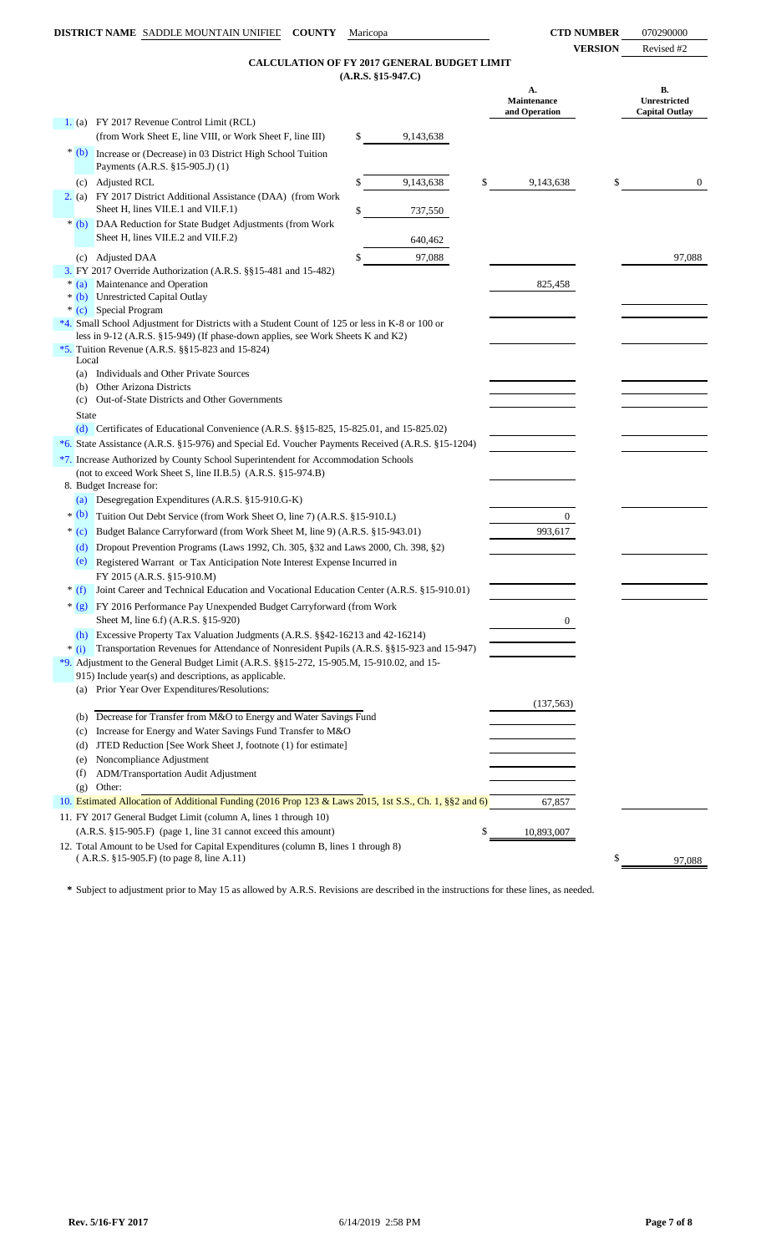**VERSION** Revised #2

### **(A.R.S. §15-947.C) CALCULATION OF FY 2017 GENERAL BUDGET LIMIT**

|              |                                                                                                                                                       | $(A.R.S. §15-947.C)$ |                                           |                                             |
|--------------|-------------------------------------------------------------------------------------------------------------------------------------------------------|----------------------|-------------------------------------------|---------------------------------------------|
|              |                                                                                                                                                       |                      | А.<br><b>Maintenance</b><br>and Operation | В.<br>Unrestricted<br><b>Capital Outlay</b> |
|              | 1. (a) FY 2017 Revenue Control Limit (RCL)                                                                                                            |                      |                                           |                                             |
|              | (from Work Sheet E, line VIII, or Work Sheet F, line III)                                                                                             | \$<br>9,143,638      |                                           |                                             |
|              | * (b) Increase or (Decrease) in 03 District High School Tuition<br>Payments (A.R.S. §15-905.J) (1)                                                    |                      |                                           |                                             |
|              | (c) Adjusted RCL                                                                                                                                      | 9,143,638            | \$<br>9,143,638                           | \$<br>$\overline{0}$                        |
|              | 2. (a) FY 2017 District Additional Assistance (DAA) (from Work<br>Sheet H, lines VII.E.1 and VII.F.1)                                                 |                      |                                           |                                             |
|              |                                                                                                                                                       | \$<br>737,550        |                                           |                                             |
|              | * (b) DAA Reduction for State Budget Adjustments (from Work<br>Sheet H, lines VII.E.2 and VII.F.2)                                                    | 640,462              |                                           |                                             |
|              | (c) Adjusted DAA                                                                                                                                      | \$<br>97,088         |                                           | 97,088                                      |
|              | 3. FY 2017 Override Authorization (A.R.S. §§15-481 and 15-482)                                                                                        |                      |                                           |                                             |
| $*(a)$       | Maintenance and Operation                                                                                                                             |                      | 825,458                                   |                                             |
|              | * (b) Unrestricted Capital Outlay<br>* (c) Special Program                                                                                            |                      |                                           |                                             |
|              | *4. Small School Adjustment for Districts with a Student Count of 125 or less in K-8 or 100 or                                                        |                      |                                           |                                             |
|              | less in 9-12 (A.R.S. §15-949) (If phase-down applies, see Work Sheets K and K2)                                                                       |                      |                                           |                                             |
|              | *5. Tuition Revenue (A.R.S. $\S$ §15-823 and 15-824)                                                                                                  |                      |                                           |                                             |
| Local        |                                                                                                                                                       |                      |                                           |                                             |
| (a)          | Individuals and Other Private Sources<br>(b) Other Arizona Districts                                                                                  |                      |                                           |                                             |
| (c)          | <b>Out-of-State Districts and Other Governments</b>                                                                                                   |                      |                                           |                                             |
| <b>State</b> |                                                                                                                                                       |                      |                                           |                                             |
|              | (d) Certificates of Educational Convenience $(A.R.S. \S \S 15-825, 15-825.01,$ and $15-825.02)$                                                       |                      |                                           |                                             |
|              | *6. State Assistance (A.R.S. §15-976) and Special Ed. Voucher Payments Received (A.R.S. §15-1204)                                                     |                      |                                           |                                             |
|              | *7. Increase Authorized by County School Superintendent for Accommodation Schools                                                                     |                      |                                           |                                             |
|              | (not to exceed Work Sheet S, line II.B.5) (A.R.S. §15-974.B)                                                                                          |                      |                                           |                                             |
|              | 8. Budget Increase for:                                                                                                                               |                      |                                           |                                             |
|              | (a) Desegregation Expenditures (A.R.S. §15-910.G-K)                                                                                                   |                      |                                           |                                             |
| $*(b)$       | Tuition Out Debt Service (from Work Sheet O, line 7) (A.R.S. §15-910.L)                                                                               |                      | $\mathbf{0}$                              |                                             |
| $*(c)$       | Budget Balance Carryforward (from Work Sheet M, line 9) (A.R.S. §15-943.01)                                                                           |                      | 993,617                                   |                                             |
| (d)          | Dropout Prevention Programs (Laws 1992, Ch. 305, §32 and Laws 2000, Ch. 398, §2)                                                                      |                      |                                           |                                             |
| (e)          | Registered Warrant or Tax Anticipation Note Interest Expense Incurred in                                                                              |                      |                                           |                                             |
|              | FY 2015 (A.R.S. §15-910.M)                                                                                                                            |                      |                                           |                                             |
| $*(f)$       | Joint Career and Technical Education and Vocational Education Center (A.R.S. §15-910.01)                                                              |                      |                                           |                                             |
|              | * (g) FY 2016 Performance Pay Unexpended Budget Carryforward (from Work                                                                               |                      |                                           |                                             |
|              | Sheet M, line 6.f) (A.R.S. §15-920)                                                                                                                   |                      | $\mathbf{0}$                              |                                             |
|              | (h) Excessive Property Tax Valuation Judgments (A.R.S. $\S$ $\S$ 42-16213 and 42-16214)                                                               |                      |                                           |                                             |
| $*$ (i)      | Transportation Revenues for Attendance of Nonresident Pupils (A.R.S. §§15-923 and 15-947)                                                             |                      |                                           |                                             |
|              | *9. Adjustment to the General Budget Limit (A.R.S. $\S$ 15-272, 15-905.M, 15-910.02, and 15-<br>915) Include year(s) and descriptions, as applicable. |                      |                                           |                                             |
| (a)          | Prior Year Over Expenditures/Resolutions:                                                                                                             |                      |                                           |                                             |
|              |                                                                                                                                                       |                      | (137, 563)                                |                                             |
|              | (b) Decrease for Transfer from M&O to Energy and Water Savings Fund                                                                                   |                      |                                           |                                             |
| (c)          | Increase for Energy and Water Savings Fund Transfer to M&O                                                                                            |                      |                                           |                                             |
| (d)          | JTED Reduction [See Work Sheet J, footnote (1) for estimate]                                                                                          |                      |                                           |                                             |
| (e)          | Noncompliance Adjustment                                                                                                                              |                      |                                           |                                             |
| (f)          | ADM/Transportation Audit Adjustment                                                                                                                   |                      |                                           |                                             |
| (g)          | Other:                                                                                                                                                |                      |                                           |                                             |
|              | 10. Estimated Allocation of Additional Funding (2016 Prop 123 & Laws 2015, 1st S.S., Ch. 1, §§2 and 6)                                                |                      | 67,857                                    |                                             |
|              | 11. FY 2017 General Budget Limit (column A, lines 1 through 10)                                                                                       |                      |                                           |                                             |
|              | (A.R.S. §15-905.F) (page 1, line 31 cannot exceed this amount)                                                                                        |                      | \$<br>10,893,007                          |                                             |
|              | 12. Total Amount to be Used for Capital Expenditures (column B, lines 1 through 8)<br>$(A.R.S. §15-905.F)$ (to page 8, line A.11)                     |                      |                                           | \$                                          |
|              |                                                                                                                                                       |                      |                                           | 97,088                                      |

**\*** Subject to adjustment prior to May 15 as allowed by A.R.S. Revisions are described in the instructions for these lines, as needed.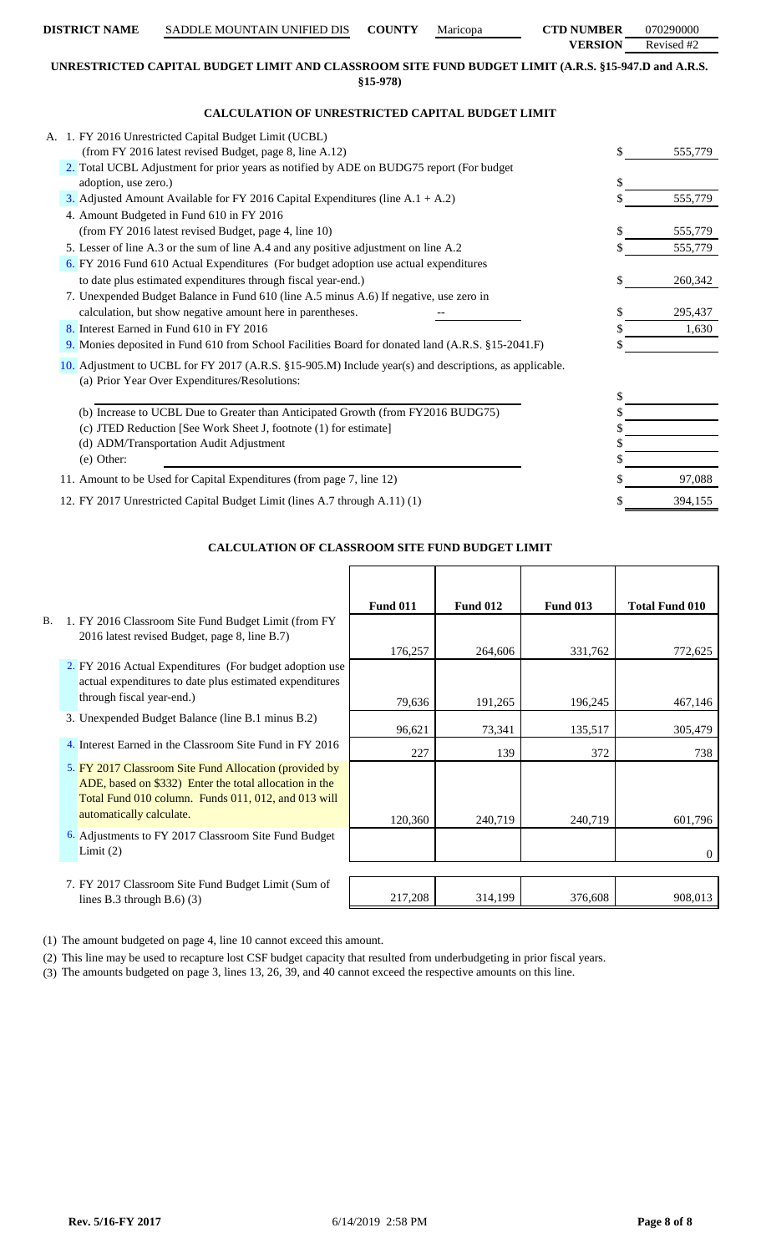# **VERSION** Revised #2 **UNRESTRICTED CAPITAL BUDGET LIMIT AND CLASSROOM SITE FUND BUDGET LIMIT (A.R.S. §15-947.D and A.R.S.**

**DISTRICT NAME** SADDLE MOUNTAIN UNIFIED DIS **COUNTY** Maricopa **CTD NUMBER** 070290000

**§15-978)**

# **CALCULATION OF UNRESTRICTED CAPITAL BUDGET LIMIT**

| A. 1. FY 2016 Unrestricted Capital Budget Limit (UCBL)<br>(from FY 2016 latest revised Budget, page 8, line A.12)                                       | S. | 555,779 |
|---------------------------------------------------------------------------------------------------------------------------------------------------------|----|---------|
| 2. Total UCBL Adjustment for prior years as notified by ADE on BUDG75 report (For budget                                                                |    |         |
| adoption, use zero.)                                                                                                                                    | \$ |         |
| 3. Adjusted Amount Available for FY 2016 Capital Expenditures (line $A.1 + A.2$ )                                                                       |    | 555,779 |
| 4. Amount Budgeted in Fund 610 in FY 2016                                                                                                               |    |         |
| (from FY 2016 latest revised Budget, page 4, line 10)                                                                                                   |    | 555,779 |
| 5. Lesser of line A.3 or the sum of line A.4 and any positive adjustment on line A.2                                                                    |    | 555,779 |
| 6. FY 2016 Fund 610 Actual Expenditures (For budget adoption use actual expenditures                                                                    |    |         |
| to date plus estimated expenditures through fiscal year-end.)                                                                                           | S. | 260,342 |
| 7. Unexpended Budget Balance in Fund 610 (line A.5 minus A.6) If negative, use zero in                                                                  |    |         |
| calculation, but show negative amount here in parentheses.                                                                                              |    | 295,437 |
| 8. Interest Earned in Fund 610 in FY 2016                                                                                                               |    | 1,630   |
| 9. Monies deposited in Fund 610 from School Facilities Board for donated land (A.R.S. §15-2041.F)                                                       |    |         |
| 10. Adjustment to UCBL for FY 2017 (A.R.S. §15-905.M) Include year(s) and descriptions, as applicable.<br>(a) Prior Year Over Expenditures/Resolutions: |    |         |
|                                                                                                                                                         |    |         |
| (b) Increase to UCBL Due to Greater than Anticipated Growth (from FY2016 BUDG75)                                                                        |    |         |
| (c) JTED Reduction [See Work Sheet J, footnote (1) for estimate]                                                                                        |    |         |
| (d) ADM/Transportation Audit Adjustment                                                                                                                 |    |         |
| (e) Other:                                                                                                                                              |    |         |
| 11. Amount to be Used for Capital Expenditures (from page 7, line 12)                                                                                   |    | 97,088  |
| 12. FY 2017 Unrestricted Capital Budget Limit (lines A.7 through A.11) (1)                                                                              |    | 394,155 |

# **CALCULATION OF CLASSROOM SITE FUND BUDGET LIMIT**

|           |                                                          | <b>Fund 011</b> | <b>Fund 012</b> | <b>Fund 013</b> | <b>Total Fund 010</b> |
|-----------|----------------------------------------------------------|-----------------|-----------------|-----------------|-----------------------|
| <b>B.</b> | 1. FY 2016 Classroom Site Fund Budget Limit (from FY     |                 |                 |                 |                       |
|           | 2016 latest revised Budget, page 8, line B.7)            |                 |                 |                 |                       |
|           |                                                          | 176,257         | 264,606         | 331,762         | 772,625               |
|           | 2. FY 2016 Actual Expenditures (For budget adoption use  |                 |                 |                 |                       |
|           | actual expenditures to date plus estimated expenditures  |                 |                 |                 |                       |
|           | through fiscal year-end.)                                | 79,636          | 191,265         | 196,245         | 467,146               |
|           | 3. Unexpended Budget Balance (line B.1 minus B.2)        |                 |                 |                 |                       |
|           |                                                          | 96,621          | 73,341          | 135,517         | 305,479               |
|           | 4. Interest Earned in the Classroom Site Fund in FY 2016 | 227             | 139             | 372             | 738                   |
|           | 5. FY 2017 Classroom Site Fund Allocation (provided by   |                 |                 |                 |                       |
|           | ADE, based on \$332) Enter the total allocation in the   |                 |                 |                 |                       |
|           | Total Fund 010 column. Funds 011, 012, and 013 will      |                 |                 |                 |                       |
|           | automatically calculate.                                 | 120,360         | 240,719         | 240,719         | 601,796               |
|           | 6. Adjustments to FY 2017 Classroom Site Fund Budget     |                 |                 |                 |                       |
|           | Limit $(2)$                                              |                 |                 |                 | 0                     |
|           |                                                          |                 |                 |                 |                       |
|           | 7. FY 2017 Classroom Site Fund Budget Limit (Sum of      |                 |                 |                 |                       |
|           | lines B.3 through B.6 $)$ (3)                            | 217,208         | 314,199         | 376,608         | 908,013               |

(1) The amount budgeted on page 4, line 10 cannot exceed this amount.

(2) This line may be used to recapture lost CSF budget capacity that resulted from underbudgeting in prior fiscal years.

(3) The amounts budgeted on page 3, lines 13, 26, 39, and 40 cannot exceed the respective amounts on this line.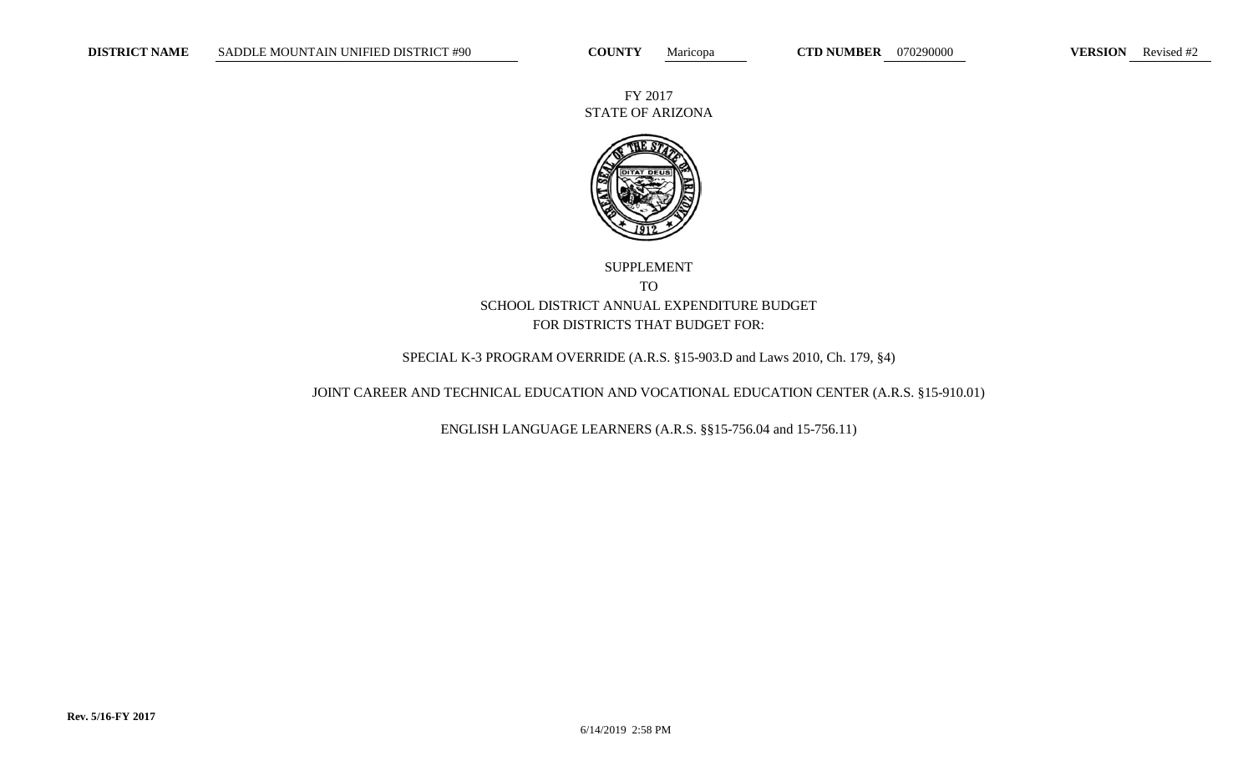FY 2017 STATE OF ARIZONA



# SUPPLEMENT TO SCHOOL DISTRICT ANNUAL EXPENDITURE BUDGET FOR DISTRICTS THAT BUDGET FOR:

# SPECIAL K-3 PROGRAM OVERRIDE (A.R.S. §15-903.D and Laws 2010, Ch. 179, §4)

### JOINT CAREER AND TECHNICAL EDUCATION AND VOCATIONAL EDUCATION CENTER (A.R.S. §15-910.01)

ENGLISH LANGUAGE LEARNERS (A.R.S. §§15-756.04 and 15-756.11)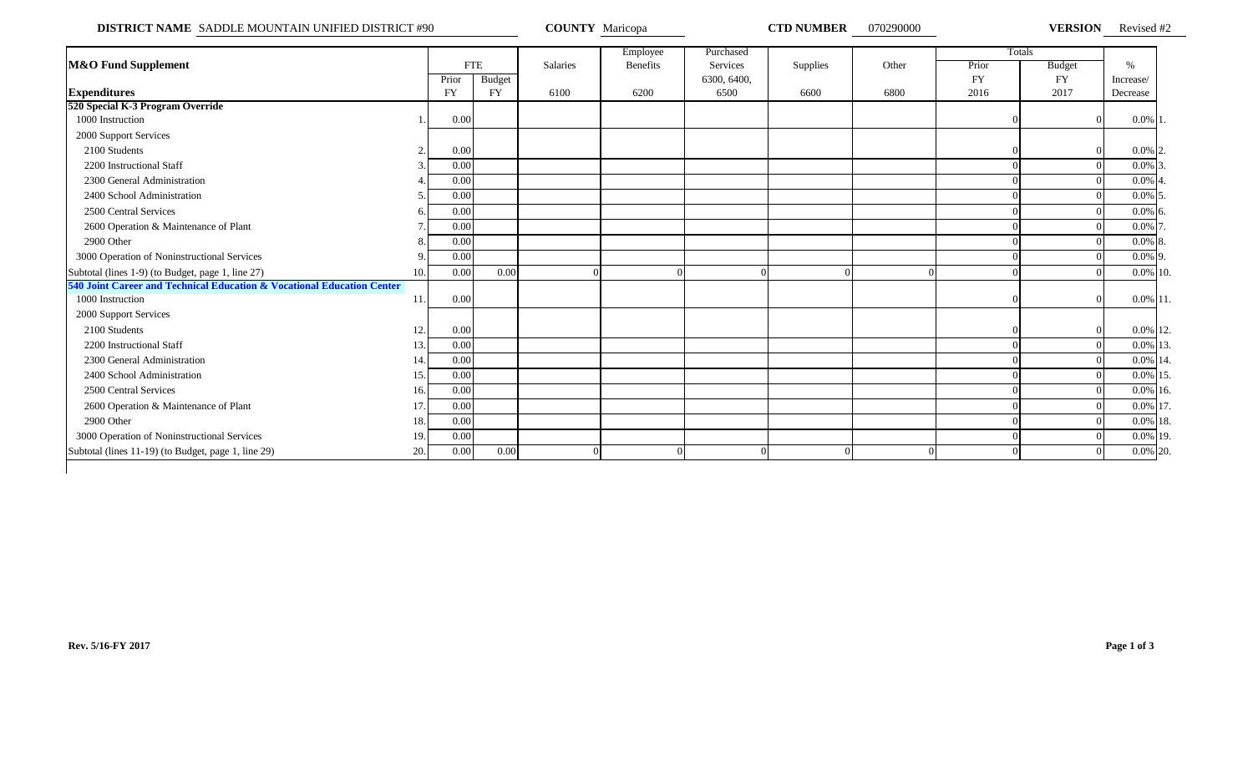**DISTRICT NAME** SADDLE MOUNTAIN UNIFIED DISTRICT #90 **COUNTY** Maricopa **CTD NUMBER** 070290000 **VERSION** Revised #2

|                                                                        |     |           |            |          | Employee | Purchased   |                 |          |           | Totals        |             |  |
|------------------------------------------------------------------------|-----|-----------|------------|----------|----------|-------------|-----------------|----------|-----------|---------------|-------------|--|
| <b>M&amp;O Fund Supplement</b>                                         |     |           | <b>FTE</b> | Salaries | Benefits | Services    | <b>Supplies</b> | Other    | Prior     | <b>Budget</b> | $\%$        |  |
|                                                                        |     | Prior     | Budget     |          |          | 6300, 6400, |                 |          | <b>FY</b> | FY            | Increase/   |  |
| <b>Expenditures</b>                                                    |     | <b>FY</b> | <b>FY</b>  | 6100     | 6200     | 6500        | 6600            | 6800     | 2016      | 2017          | Decrease    |  |
| 520 Special K-3 Program Override                                       |     |           |            |          |          |             |                 |          |           |               |             |  |
| 1000 Instruction                                                       |     | 0.00      |            |          |          |             |                 |          |           |               | $0.0\%$ 1.  |  |
| 2000 Support Services                                                  |     |           |            |          |          |             |                 |          |           |               |             |  |
| 2100 Students                                                          |     | 0.00      |            |          |          |             |                 |          |           |               | $0.0\%$ 2.  |  |
| 2200 Instructional Staff                                               |     | 0.00      |            |          |          |             |                 |          |           |               | $0.0\%$ 3.  |  |
| 2300 General Administration                                            |     | 0.00      |            |          |          |             |                 |          |           |               | $0.0\%$ 4.  |  |
| 2400 School Administration                                             |     | 0.00      |            |          |          |             |                 |          |           |               | $0.0\%$ 5.  |  |
| 2500 Central Services                                                  |     | 0.00      |            |          |          |             |                 |          |           |               | $0.0\%$ 6.  |  |
| 2600 Operation & Maintenance of Plant                                  |     | 0.00      |            |          |          |             |                 |          |           |               | $0.0\%$ 7.  |  |
| 2900 Other                                                             |     | 0.00      |            |          |          |             |                 |          |           |               | $0.0\%$ 8.  |  |
| 3000 Operation of Noninstructional Services                            |     | 0.00      |            |          |          |             |                 |          |           |               | $0.0\%$ 9.  |  |
| Subtotal (lines 1-9) (to Budget, page 1, line 27)                      | 10. | 0.00      | 0.00       | $\Omega$ |          |             |                 | $\Omega$ |           |               | 0.0% 10.    |  |
| 540 Joint Career and Technical Education & Vocational Education Center |     |           |            |          |          |             |                 |          |           |               |             |  |
| 1000 Instruction                                                       | 11. | 0.00      |            |          |          |             |                 |          |           |               | $0.0\%$ 11. |  |
| 2000 Support Services                                                  |     |           |            |          |          |             |                 |          |           |               |             |  |
| 2100 Students                                                          | 12  | 0.00      |            |          |          |             |                 |          |           |               | 0.0% 12.    |  |
| 2200 Instructional Staff                                               | 13  | 0.00      |            |          |          |             |                 |          |           |               | 0.0% 13.    |  |
| 2300 General Administration                                            | 14. | 0.00      |            |          |          |             |                 |          |           |               | 0.0% 14.    |  |
| 2400 School Administration                                             | 15. | 0.00      |            |          |          |             |                 |          |           |               | 0.0% 15.    |  |
| 2500 Central Services                                                  | 16. | 0.00      |            |          |          |             |                 |          |           |               | $0.0\%$ 16. |  |
| 2600 Operation & Maintenance of Plant                                  | 17  | 0.00      |            |          |          |             |                 |          |           |               | 0.0% 17.    |  |
| 2900 Other                                                             | 18. | 0.00      |            |          |          |             |                 |          |           |               | 0.0% 18.    |  |
| 3000 Operation of Noninstructional Services                            | 19. | 0.00      |            |          |          |             |                 |          |           |               | 0.0% 19.    |  |
| Subtotal (lines 11-19) (to Budget, page 1, line 29)                    | 20. | 0.00      | 0.00       |          |          |             |                 |          |           |               | 0.0% 20.    |  |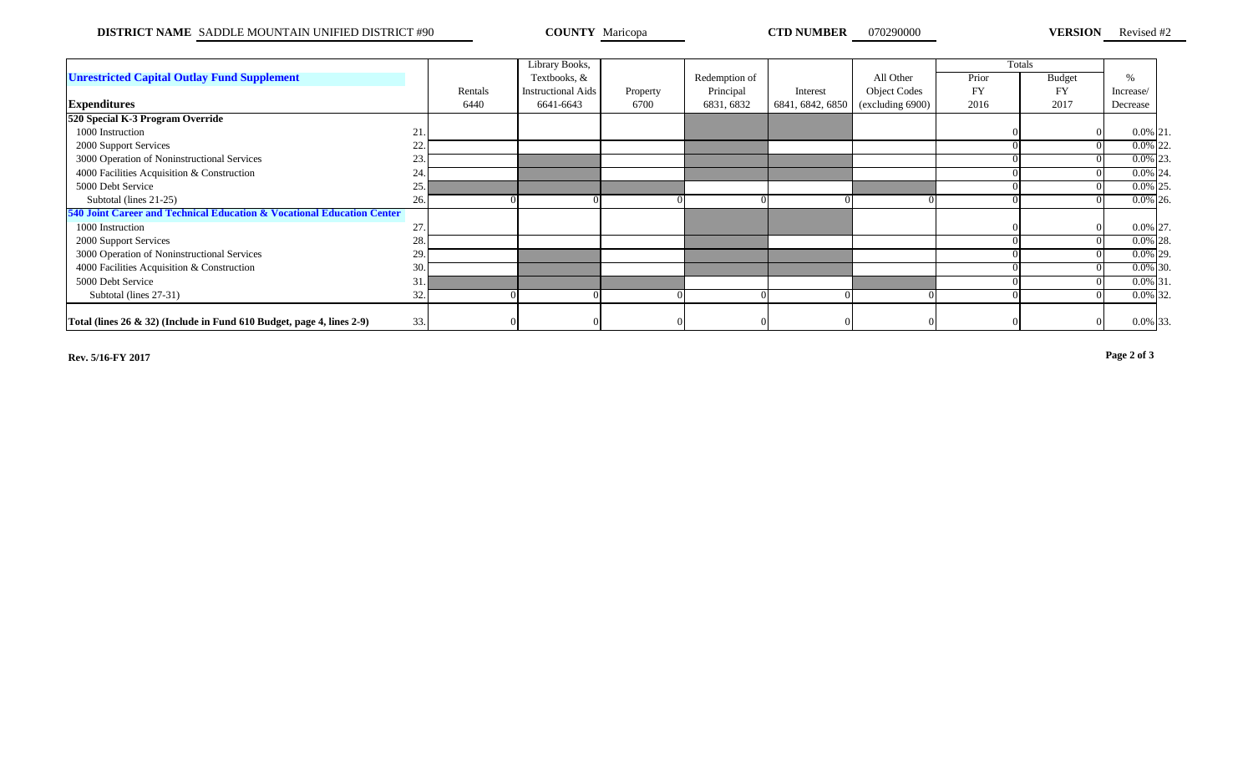**DISTRICT NAME** SADDLE MOUNTAIN UNIFIED DISTRICT #90 **COUNTY** Maricopa **COUNTY COUNTY MARICOUNTY OF AUTO AUGUST COUNTY COUNTY COUNTY COUNTY COUNTY COUNTY COUNTY COUNTY COUNTY COUNTY COUNTY COUNTY**

**VERSION** Revised #2

|                                                                           |     |         | Library Books,     |          |               |                  |                     |       | Totals        |             |  |
|---------------------------------------------------------------------------|-----|---------|--------------------|----------|---------------|------------------|---------------------|-------|---------------|-------------|--|
| <b>Unrestricted Capital Outlay Fund Supplement</b>                        |     |         | Textbooks, &       |          | Redemption of |                  | All Other           | Prior | <b>Budget</b> | $\%$        |  |
|                                                                           |     | Rentals | Instructional Aids | Property | Principal     | Interest         | <b>Object Codes</b> | FY    | <b>FY</b>     | Increase/   |  |
| <b>Expenditures</b>                                                       |     | 6440    | 6641-6643          | 6700     | 6831, 6832    | 6841, 6842, 6850 | (excluding 6900)    | 2016  | 2017          | Decrease    |  |
| 520 Special K-3 Program Override                                          |     |         |                    |          |               |                  |                     |       |               |             |  |
| 1000 Instruction                                                          | 21. |         |                    |          |               |                  |                     |       |               | $0.0\%$ 21. |  |
| 2000 Support Services                                                     | 22. |         |                    |          |               |                  |                     |       |               | $0.0\%$ 22. |  |
| 3000 Operation of Noninstructional Services                               | 23. |         |                    |          |               |                  |                     |       |               | $0.0\%$ 23. |  |
| 4000 Facilities Acquisition & Construction                                | 24. |         |                    |          |               |                  |                     |       |               | $0.0\%$ 24. |  |
| 5000 Debt Service                                                         | 25. |         |                    |          |               |                  |                     |       |               | $0.0\%$ 25. |  |
| Subtotal (lines 21-25)                                                    | 26. |         |                    |          |               |                  |                     |       |               | $0.0\%$ 26. |  |
| 540 Joint Career and Technical Education & Vocational Education Center    |     |         |                    |          |               |                  |                     |       |               |             |  |
| 1000 Instruction                                                          | 27  |         |                    |          |               |                  |                     |       |               | 0.0% 27.    |  |
| 2000 Support Services                                                     | 28. |         |                    |          |               |                  |                     |       |               | $0.0\%$ 28. |  |
| 3000 Operation of Noninstructional Services                               | 29. |         |                    |          |               |                  |                     |       |               | $0.0\%$ 29. |  |
| 4000 Facilities Acquisition & Construction                                | 30. |         |                    |          |               |                  |                     |       |               | $0.0\%$ 30. |  |
| 5000 Debt Service                                                         | 31. |         |                    |          |               |                  |                     |       |               | $0.0\%$ 31. |  |
| Subtotal (lines 27-31)                                                    | 32. |         |                    |          |               |                  |                     |       |               | $0.0\%$ 32. |  |
|                                                                           |     |         |                    |          |               |                  |                     |       |               |             |  |
| Total (lines $26 \& 32$ ) (Include in Fund 610 Budget, page 4, lines 2-9) | 33. |         |                    |          |               |                  |                     |       |               | 0.0% 33.    |  |

**Rev. 5/16-FY 2017 Page 2 of 3**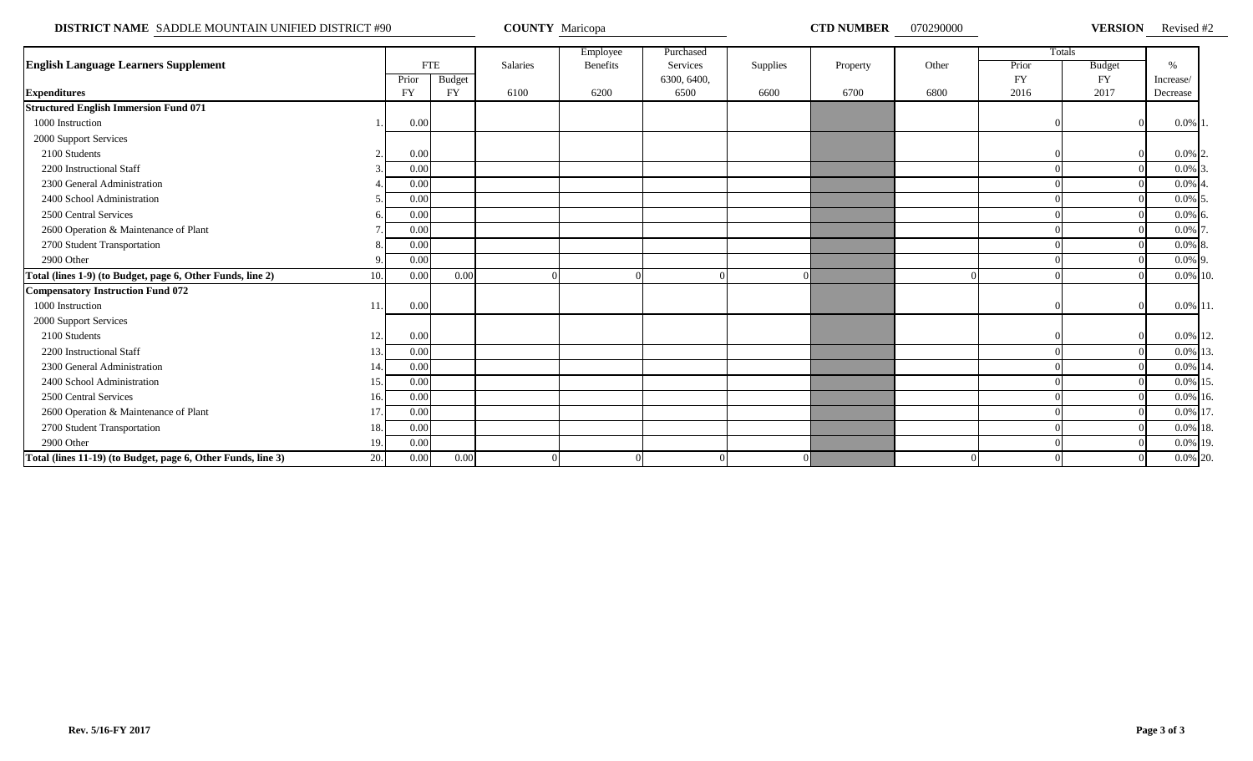**DISTRICT NAME** SADDLE MOUNTAIN UNIFIED DISTRICT #90 **COUNTY Maricopa COUNTY Maricopa CTD NUMBER** 070290000 **VERSION** 

VERSION Revised #2

|                                                                     |           |               |          | Employee        | Purchased   |          |          |       |           | Totals        |               |  |
|---------------------------------------------------------------------|-----------|---------------|----------|-----------------|-------------|----------|----------|-------|-----------|---------------|---------------|--|
| <b>English Language Learners Supplement</b>                         |           | <b>FTE</b>    | Salaries | <b>Benefits</b> | Services    | Supplies | Property | Other | Prior     | <b>Budget</b> | $\frac{0}{6}$ |  |
|                                                                     | Prior     | <b>Budget</b> |          |                 | 6300, 6400, |          |          |       | <b>FY</b> | <b>FY</b>     | Increase/     |  |
| <b>Expenditures</b>                                                 | <b>FY</b> | <b>FY</b>     | 6100     | 6200            | 6500        | 6600     | 6700     | 6800  | 2016      | 2017          | Decrease      |  |
| <b>Structured English Immersion Fund 071</b>                        |           |               |          |                 |             |          |          |       |           |               |               |  |
| 1000 Instruction                                                    | 0.00      |               |          |                 |             |          |          |       |           |               | $0.0\%$ 1     |  |
| 2000 Support Services                                               |           |               |          |                 |             |          |          |       |           |               |               |  |
| 2100 Students                                                       | 0.00      |               |          |                 |             |          |          |       |           |               | $0.0\%$ 2     |  |
| 2200 Instructional Staff                                            | 0.00      |               |          |                 |             |          |          |       |           |               | $0.0\%$ 3     |  |
| 2300 General Administration                                         | 0.00      |               |          |                 |             |          |          |       |           |               | $0.0\%$ 4     |  |
| 2400 School Administration                                          | 0.00      |               |          |                 |             |          |          |       |           |               | $0.0\%$ 5     |  |
| 2500 Central Services                                               | 0.00      |               |          |                 |             |          |          |       |           |               | $0.0\%$ 6     |  |
| 2600 Operation & Maintenance of Plant                               | 0.00      |               |          |                 |             |          |          |       |           |               | $0.0\%$ 7     |  |
| 2700 Student Transportation                                         | 0.00      |               |          |                 |             |          |          |       |           |               | $0.0\%$ 8     |  |
| 2900 Other                                                          | 0.00      |               |          |                 |             |          |          |       |           |               | $0.0\%$ 9.    |  |
| Total (lines 1-9) (to Budget, page 6, Other Funds, line 2)<br>10.   | 0.00      | 0.00          |          |                 |             |          |          |       |           |               | 0.0% 10.      |  |
| <b>Compensatory Instruction Fund 072</b>                            |           |               |          |                 |             |          |          |       |           |               |               |  |
| 1000 Instruction<br>11                                              | 0.00      |               |          |                 |             |          |          |       |           |               | 0.0% 11       |  |
| 2000 Support Services                                               |           |               |          |                 |             |          |          |       |           |               |               |  |
| 2100 Students<br>12.                                                | 0.00      |               |          |                 |             |          |          |       |           |               | 0.0% 12.      |  |
| 2200 Instructional Staff<br>13.                                     | 0.00      |               |          |                 |             |          |          |       |           |               | 0.0% 13.      |  |
| 2300 General Administration<br>14.                                  | 0.00      |               |          |                 |             |          |          |       |           |               | 0.0% 14.      |  |
| 2400 School Administration<br>15.                                   | 0.00      |               |          |                 |             |          |          |       |           |               | 0.0% 15       |  |
| 2500 Central Services<br>16.                                        | 0.00      |               |          |                 |             |          |          |       |           |               | 0.0% 16.      |  |
| 2600 Operation & Maintenance of Plant<br>17                         | 0.00      |               |          |                 |             |          |          |       |           |               | 0.0% 17       |  |
| 2700 Student Transportation<br>18.                                  | 0.00      |               |          |                 |             |          |          |       |           |               | $0.0\%$ 18.   |  |
| 2900 Other<br>19.                                                   | 0.00      |               |          |                 |             |          |          |       |           |               | 0.0% 19.      |  |
| 20.<br>Total (lines 11-19) (to Budget, page 6, Other Funds, line 3) | 0.00      | 0.00          |          |                 |             |          |          |       |           |               | 0.0% 20.      |  |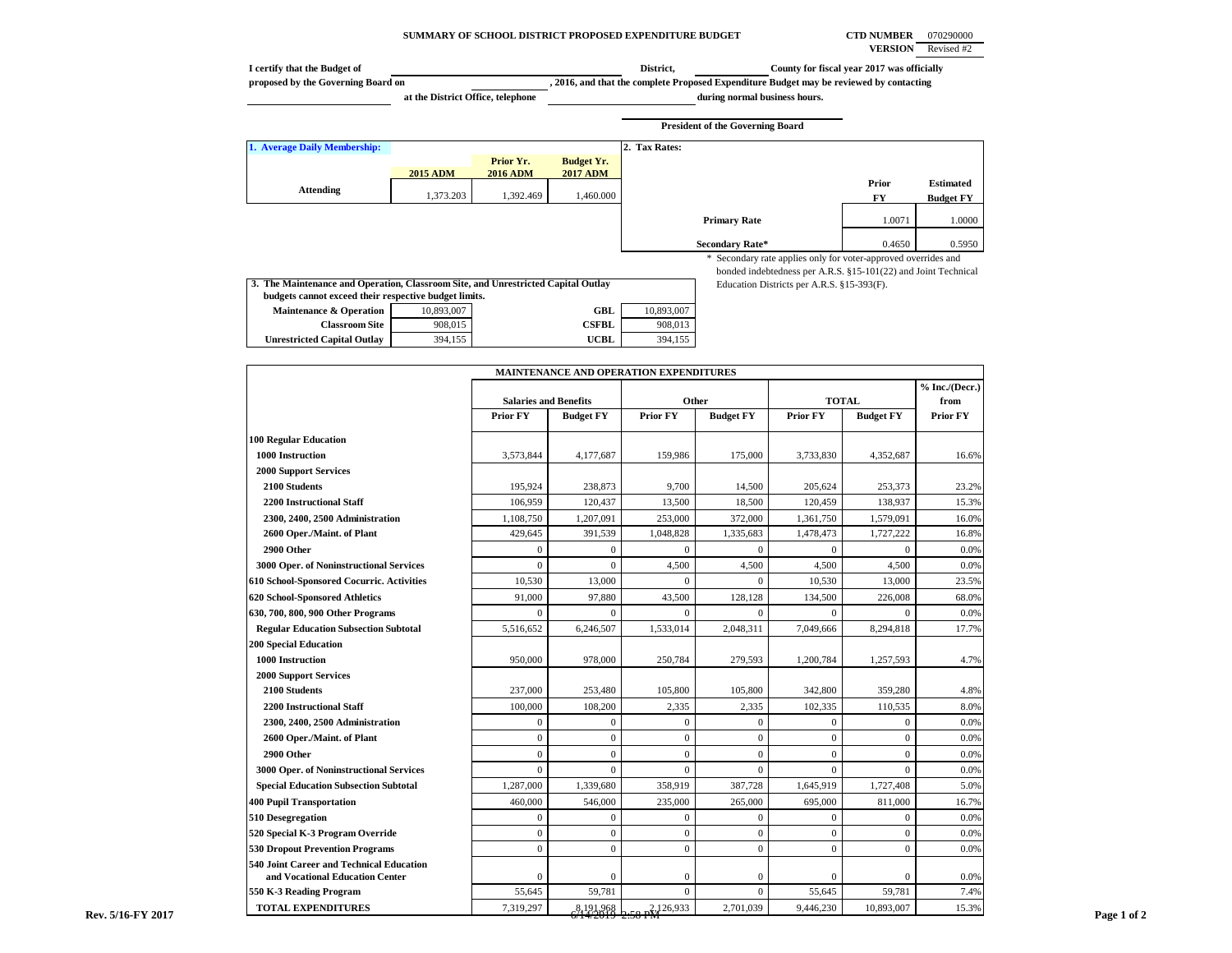### **SUMMARY OF SCHOOL DISTRICT PROPOSED EXPENDITURE BUDGET CTD NUMBER** 070290000

**VERSION** Revised #2

| I certify that the Budget of       |                                   |                 |                   | District,     |                                                                                         | County for fiscal year 2017 was officially |                                      |
|------------------------------------|-----------------------------------|-----------------|-------------------|---------------|-----------------------------------------------------------------------------------------|--------------------------------------------|--------------------------------------|
| proposed by the Governing Board on |                                   |                 |                   |               | , 2016, and that the complete Proposed Expenditure Budget may be reviewed by contacting |                                            |                                      |
|                                    | at the District Office, telephone |                 |                   |               | during normal business hours.                                                           |                                            |                                      |
|                                    |                                   |                 |                   |               | <b>President of the Governing Board</b>                                                 |                                            |                                      |
| 1. Average Daily Membership:       |                                   |                 |                   | 2. Tax Rates: |                                                                                         |                                            |                                      |
|                                    |                                   | Prior Yr.       | <b>Budget Yr.</b> |               |                                                                                         |                                            |                                      |
|                                    | <b>2015 ADM</b>                   | <b>2016 ADM</b> | <b>2017 ADM</b>   |               |                                                                                         |                                            |                                      |
| <b>Attending</b>                   | 1,373.203                         | 1.392.469       | 1,460.000         |               |                                                                                         | Prior<br>FY                                | <b>Estimated</b><br><b>Budget FY</b> |
|                                    |                                   |                 |                   |               | <b>Primary Rate</b>                                                                     | 1.0071                                     | 1.0000                               |
|                                    |                                   |                 |                   |               | Secondary Rate*                                                                         | 0.4650                                     | 0.5950                               |

 \* Secondary rate applies only for voter-approved overrides and bonded indebtedness per A.R.S. §15-101(22) and Joint Technical

Education Districts per A.R.S. §15-393(F).

| 3. The Maintenance and Operation, Classroom Site, and Unrestricted Capital Outlay |            |              |            |
|-----------------------------------------------------------------------------------|------------|--------------|------------|
| budgets cannot exceed their respective budget limits.                             |            |              |            |
| <b>Maintenance &amp; Operation</b>                                                | 10.893.007 | GBL          | 10.893,007 |
| <b>Classroom Site</b>                                                             | 908,015    | <b>CSFBL</b> | 908,013    |
| <b>Unrestricted Capital Outlay</b>                                                | 394.155    | <b>UCBL</b>  | 394.155    |

|                                                                             | MAINTENANCE AND OPERATION EXPENDITURES |                  |                                |                  |                 |                  |                        |  |
|-----------------------------------------------------------------------------|----------------------------------------|------------------|--------------------------------|------------------|-----------------|------------------|------------------------|--|
|                                                                             | <b>Salaries and Benefits</b>           |                  | Other                          |                  | <b>TOTAL</b>    |                  | % Inc./(Decr.)<br>from |  |
|                                                                             | <b>Prior FY</b>                        | <b>Budget FY</b> | <b>Prior FY</b>                | <b>Budget FY</b> | <b>Prior FY</b> | <b>Budget FY</b> | Prior FY               |  |
| <b>100 Regular Education</b>                                                |                                        |                  |                                |                  |                 |                  |                        |  |
| 1000 Instruction                                                            | 3,573,844                              | 4,177,687        | 159,986                        | 175,000          | 3,733,830       | 4,352,687        | 16.6%                  |  |
| <b>2000 Support Services</b>                                                |                                        |                  |                                |                  |                 |                  |                        |  |
| 2100 Students                                                               | 195,924                                | 238,873          | 9,700                          | 14,500           | 205,624         | 253,373          | 23.2%                  |  |
| <b>2200 Instructional Staff</b>                                             | 106,959                                | 120,437          | 13,500                         | 18,500           | 120,459         | 138,937          | 15.3%                  |  |
| 2300, 2400, 2500 Administration                                             | 1,108,750                              | 1,207,091        | 253,000                        | 372,000          | 1,361,750       | 1,579,091        | 16.0%                  |  |
| 2600 Oper./Maint. of Plant                                                  | 429,645                                | 391,539          | 1,048,828                      | 1,335,683        | 1,478,473       | 1,727,222        | 16.8%                  |  |
| 2900 Other                                                                  | $\Omega$                               | $\mathbf{0}$     | $\overline{0}$                 | $\overline{0}$   | $\overline{0}$  | $\Omega$         | 0.0%                   |  |
| 3000 Oper. of Noninstructional Services                                     | $\Omega$                               | $\Omega$         | 4,500                          | 4,500            | 4,500           | 4,500            | 0.0%                   |  |
| 610 School-Sponsored Cocurric. Activities                                   | 10,530                                 | 13,000           | $\Omega$                       | $\Omega$         | 10,530          | 13,000           | 23.5%                  |  |
| 620 School-Sponsored Athletics                                              | 91,000                                 | 97,880           | 43,500                         | 128,128          | 134,500         | 226,008          | 68.0%                  |  |
| 630, 700, 800, 900 Other Programs                                           |                                        | $\mathbf{0}$     | $\overline{0}$                 | $\mathbf{0}$     | $\Omega$        | $\Omega$         | 0.0%                   |  |
| <b>Regular Education Subsection Subtotal</b>                                | 5,516,652                              | 6,246,507        | 1,533,014                      | 2,048,311        | 7,049,666       | 8,294,818        | 17.7%                  |  |
| <b>200 Special Education</b>                                                |                                        |                  |                                |                  |                 |                  |                        |  |
| 1000 Instruction                                                            | 950,000                                | 978,000          | 250,784                        | 279,593          | 1,200,784       | 1,257,593        | 4.7%                   |  |
| <b>2000 Support Services</b>                                                |                                        |                  |                                |                  |                 |                  |                        |  |
| 2100 Students                                                               | 237,000                                | 253,480          | 105,800                        | 105,800          | 342,800         | 359,280          | 4.8%                   |  |
| <b>2200 Instructional Staff</b>                                             | 100,000                                | 108,200          | 2,335                          | 2,335            | 102,335         | 110,535          | 8.0%                   |  |
| 2300, 2400, 2500 Administration                                             | $\mathbf{0}$                           | $\mathbf{0}$     | $\overline{0}$                 | $\mathbf{0}$     | $\Omega$        | $\Omega$         | 0.0%                   |  |
| 2600 Oper./Maint. of Plant                                                  | $\overline{0}$                         | $\mathbf{0}$     | $\overline{0}$                 | $\mathbf{0}$     | $\overline{0}$  | $\Omega$         | 0.0%                   |  |
| 2900 Other                                                                  | $\overline{0}$                         | $\mathbf{0}$     | $\overline{0}$                 | $\mathbf{0}$     | $\overline{0}$  | $\overline{0}$   | 0.0%                   |  |
| 3000 Oper. of Noninstructional Services                                     | $\Omega$                               | $\mathbf{0}$     | $\overline{0}$                 | $\mathbf{0}$     | $\Omega$        | $\theta$         | 0.0%                   |  |
| <b>Special Education Subsection Subtotal</b>                                | 1,287,000                              | 1,339,680        | 358,919                        | 387,728          | 1,645,919       | 1,727,408        | 5.0%                   |  |
| <b>400 Pupil Transportation</b>                                             | 460,000                                | 546,000          | 235,000                        | 265,000          | 695,000         | 811,000          | 16.7%                  |  |
| 510 Desegregation                                                           | $\Omega$                               | $\Omega$         | $\overline{0}$                 | $\overline{0}$   | $\Omega$        | $\Omega$         | 0.0%                   |  |
| 520 Special K-3 Program Override                                            | $\Omega$                               | $\mathbf{0}$     | $\overline{0}$                 | $\mathbf{0}$     | $\overline{0}$  | $\Omega$         | 0.0%                   |  |
| <b>530 Dropout Prevention Programs</b>                                      | $\Omega$                               | $\mathbf{0}$     | $\overline{0}$                 | $\mathbf{0}$     | $\Omega$        | $\Omega$         | 0.0%                   |  |
| 540 Joint Career and Technical Education<br>and Vocational Education Center | $\Omega$                               | $\mathbf{0}$     | $\overline{0}$                 | $\mathbf{0}$     | $\Omega$        | $\Omega$         | 0.0%                   |  |
| 550 K-3 Reading Program                                                     | 55,645                                 | 59,781           | $\overline{0}$                 | $\mathbf{0}$     | 55,645          | 59,781           | 7.4%                   |  |
| <b>TOTAL EXPENDITURES</b>                                                   | 7,319,297                              |                  | 8,191,968<br>5/14/2019 2:58 PM | 2,701,039        | 9,446,230       | 10,893,007       | 15.3%                  |  |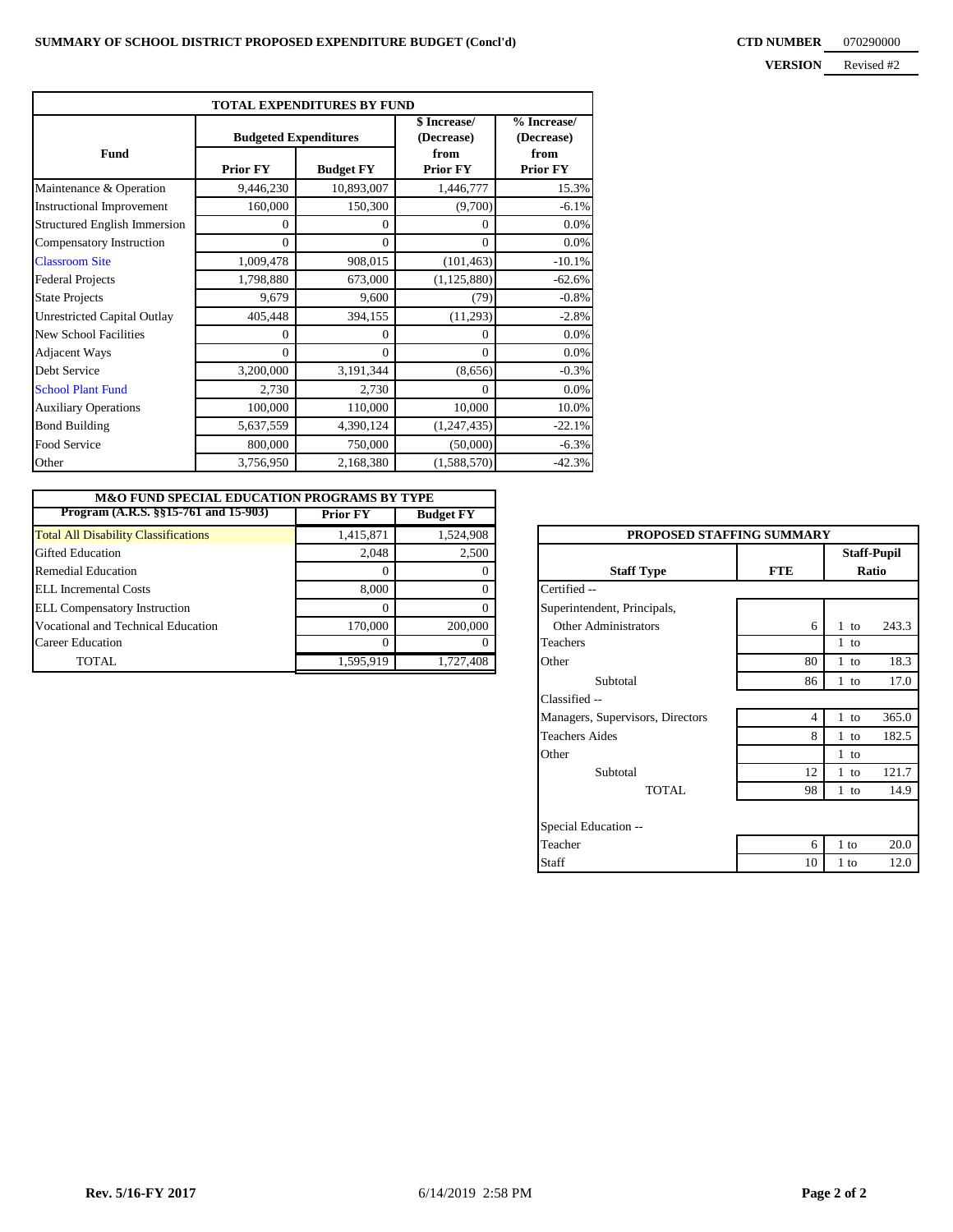| <b>TOTAL EXPENDITURES BY FUND</b>   |                 |                              |                            |                           |  |  |  |  |  |  |  |
|-------------------------------------|-----------------|------------------------------|----------------------------|---------------------------|--|--|--|--|--|--|--|
|                                     |                 | <b>Budgeted Expenditures</b> | \$ Increase/<br>(Decrease) | % Increase/<br>(Decrease) |  |  |  |  |  |  |  |
| Fund                                | <b>Prior FY</b> | <b>Budget FY</b>             | from<br><b>Prior FY</b>    | from<br><b>Prior FY</b>   |  |  |  |  |  |  |  |
| Maintenance & Operation             | 9,446,230       | 10,893,007                   | 1,446,777                  | 15.3%                     |  |  |  |  |  |  |  |
| <b>Instructional Improvement</b>    | 160,000         | 150,300                      | (9,700)                    | $-6.1%$                   |  |  |  |  |  |  |  |
| <b>Structured English Immersion</b> | $\Omega$        | 0                            | $\Omega$                   | 0.0%                      |  |  |  |  |  |  |  |
| Compensatory Instruction            | $\Omega$        | $\Omega$                     | $\Omega$                   | 0.0%                      |  |  |  |  |  |  |  |
| <b>Classroom Site</b>               | 1,009,478       | 908,015                      | (101, 463)                 | $-10.1%$                  |  |  |  |  |  |  |  |
| <b>Federal Projects</b>             | 1,798,880       | 673,000                      | (1, 125, 880)              | $-62.6%$                  |  |  |  |  |  |  |  |
| <b>State Projects</b>               | 9,679           | 9,600                        | (79)                       | $-0.8%$                   |  |  |  |  |  |  |  |
| <b>Unrestricted Capital Outlay</b>  | 405,448         | 394,155                      | (11, 293)                  | $-2.8%$                   |  |  |  |  |  |  |  |
| <b>New School Facilities</b>        | $\theta$        | 0                            | $\Omega$                   | 0.0%                      |  |  |  |  |  |  |  |
| <b>Adjacent Ways</b>                | $\Omega$        | $\Omega$                     | $\Omega$                   | 0.0%                      |  |  |  |  |  |  |  |
| Debt Service                        | 3,200,000       | 3,191,344                    | (8,656)                    | $-0.3%$                   |  |  |  |  |  |  |  |
| <b>School Plant Fund</b>            | 2,730           | 2,730                        | $\Omega$                   | 0.0%                      |  |  |  |  |  |  |  |
| <b>Auxiliary Operations</b>         | 100,000         | 110,000                      | 10,000                     | 10.0%                     |  |  |  |  |  |  |  |
| <b>Bond Building</b>                | 5,637,559       | 4,390,124                    | (1, 247, 435)              | $-22.1%$                  |  |  |  |  |  |  |  |
| Food Service                        | 800,000         | 750,000                      | (50,000)                   | $-6.3%$                   |  |  |  |  |  |  |  |
| Other                               | 3,756,950       | 2,168,380                    | (1,588,570)                | $-42.3%$                  |  |  |  |  |  |  |  |

| <b>M&amp;O FUND SPECIAL EDUCATION PROGRAMS BY TYPE</b> |                 |                  |                                  |            |                    |
|--------------------------------------------------------|-----------------|------------------|----------------------------------|------------|--------------------|
| Program $(A.R.S. §§15-761$ and $15-903$                | <b>Prior FY</b> | <b>Budget FY</b> |                                  |            |                    |
| <b>Total All Disability Classifications</b>            | 1,415,871       | 1,524,908        | <b>PROPOSED STAFFING SUMMARY</b> |            |                    |
| <b>Gifted Education</b>                                | 2.048           | 2,500            |                                  |            | <b>Staff-Pupil</b> |
| <b>Remedial Education</b>                              |                 |                  | <b>Staff Type</b>                | <b>FTE</b> |                    |
| <b>ELL</b> Incremental Costs                           | 8.000           |                  | Certified --                     |            |                    |
| <b>ELL Compensatory Instruction</b>                    |                 |                  | Superintendent, Principals,      |            |                    |
| Vocational and Technical Education                     | 170,000         | 200,000          | <b>Other Administrators</b>      | h          | to                 |
| <b>Career Education</b>                                |                 |                  | <b>Teachers</b>                  |            | 1 to               |
| TOTAL                                                  | 1,595,919       | 1,727,408        | Other                            | 80         | to                 |

| <b>PROPOSED STAFFING SUMMARY</b> |            |                             |       |  |  |
|----------------------------------|------------|-----------------------------|-------|--|--|
| <b>Staff Type</b>                | <b>FTE</b> | <b>Staff-Pupil</b><br>Ratio |       |  |  |
| Certified --                     |            |                             |       |  |  |
| Superintendent, Principals,      |            |                             |       |  |  |
| Other Administrators             | 6          | $1$ to                      | 243.3 |  |  |
| Teachers                         |            | $1$ to                      |       |  |  |
| Other                            | 80         | $1$ to                      | 18.3  |  |  |
| Subtotal                         | 86         | $1$ to                      | 17.0  |  |  |
| Classified --                    |            |                             |       |  |  |
| Managers, Supervisors, Directors | 4          | $1$ to                      | 365.0 |  |  |
| <b>Teachers Aides</b>            | 8          | $1$ to                      | 182.5 |  |  |
| Other                            |            | 1 to                        |       |  |  |
| Subtotal                         | 12         | $1$ to                      | 121.7 |  |  |
| TOTAL.                           | 98         | $1$ to                      | 14.9  |  |  |
| Special Education --             |            |                             |       |  |  |
| Teacher                          | 6          | 1 to                        | 20.0  |  |  |
| Staff                            | 10         | 1 to                        | 12.0  |  |  |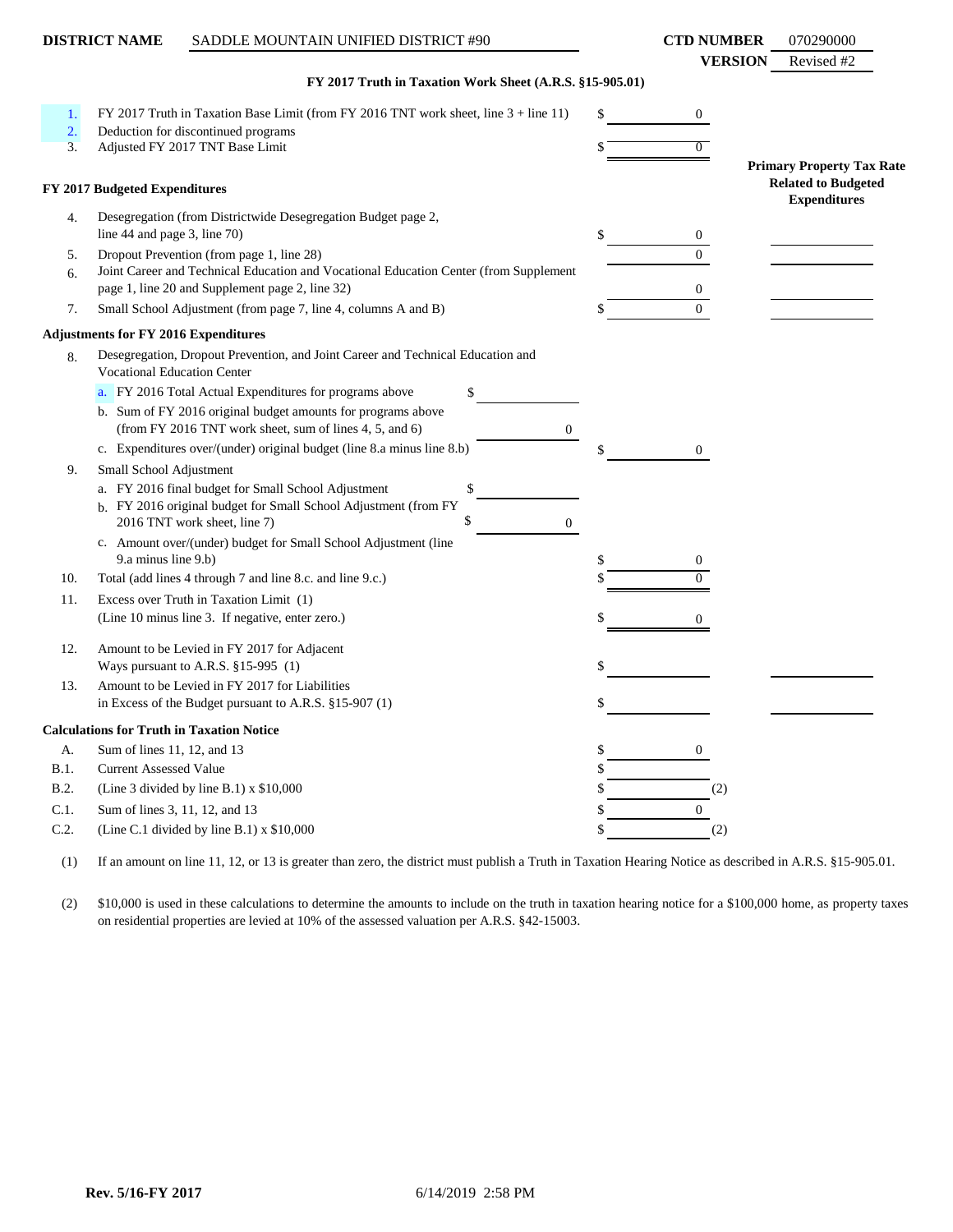|      | <b>DISTRICT NAME</b>               | SADDLE MOUNTAIN UNIFIED DISTRICT #90                                                                                                                         |                | <b>CTD NUMBER</b> | 070290000                                                                             |
|------|------------------------------------|--------------------------------------------------------------------------------------------------------------------------------------------------------------|----------------|-------------------|---------------------------------------------------------------------------------------|
|      |                                    | FY 2017 Truth in Taxation Work Sheet (A.R.S. §15-905.01)                                                                                                     |                | <b>VERSION</b>    | Revised #2                                                                            |
| 1.   |                                    | FY 2017 Truth in Taxation Base Limit (from FY 2016 TNT work sheet, line 3 + line 11)                                                                         | \$             | 0                 |                                                                                       |
| 2.   |                                    | Deduction for discontinued programs                                                                                                                          |                |                   |                                                                                       |
| 3.   |                                    | Adjusted FY 2017 TNT Base Limit                                                                                                                              |                | $\overline{0}$    |                                                                                       |
|      | FY 2017 Budgeted Expenditures      |                                                                                                                                                              |                |                   | <b>Primary Property Tax Rate</b><br><b>Related to Budgeted</b><br><b>Expenditures</b> |
| 4.   | line 44 and page 3, line 70)       | Desegregation (from Districtwide Desegregation Budget page 2,                                                                                                | \$             | 0                 |                                                                                       |
| 5.   |                                    | Dropout Prevention (from page 1, line 28)                                                                                                                    |                | $\Omega$          |                                                                                       |
| 6.   |                                    | Joint Career and Technical Education and Vocational Education Center (from Supplement                                                                        |                |                   |                                                                                       |
|      |                                    | page 1, line 20 and Supplement page 2, line 32)                                                                                                              |                | 0                 |                                                                                       |
| 7.   |                                    | Small School Adjustment (from page 7, line 4, columns A and B)                                                                                               |                | $\overline{0}$    |                                                                                       |
|      |                                    | <b>Adjustments for FY 2016 Expenditures</b>                                                                                                                  |                |                   |                                                                                       |
| 8.   | <b>Vocational Education Center</b> | Desegregation, Dropout Prevention, and Joint Career and Technical Education and                                                                              |                |                   |                                                                                       |
|      |                                    | a. FY 2016 Total Actual Expenditures for programs above                                                                                                      |                |                   |                                                                                       |
|      |                                    | b. Sum of FY 2016 original budget amounts for programs above<br>(from FY 2016 TNT work sheet, sum of lines 4, 5, and 6)                                      | $\overline{0}$ |                   |                                                                                       |
|      |                                    | c. Expenditures over/(under) original budget (line 8.a minus line 8.b)                                                                                       |                | 0                 |                                                                                       |
| 9.   | Small School Adjustment            |                                                                                                                                                              |                |                   |                                                                                       |
|      |                                    | a. FY 2016 final budget for Small School Adjustment<br>\$<br>b. FY 2016 original budget for Small School Adjustment (from FY<br>2016 TNT work sheet, line 7) | $\overline{0}$ |                   |                                                                                       |
|      |                                    | c. Amount over/(under) budget for Small School Adjustment (line                                                                                              |                |                   |                                                                                       |
|      | 9.a minus line 9.b)                |                                                                                                                                                              | \$             |                   |                                                                                       |
| 10.  |                                    | Total (add lines 4 through 7 and line 8.c. and line 9.c.)                                                                                                    |                | 0                 |                                                                                       |
| 11.  |                                    | Excess over Truth in Taxation Limit (1)                                                                                                                      |                |                   |                                                                                       |
|      |                                    | (Line 10 minus line 3. If negative, enter zero.)                                                                                                             |                | 0                 |                                                                                       |
|      |                                    |                                                                                                                                                              |                |                   |                                                                                       |
| 12.  |                                    | Amount to be Levied in FY 2017 for Adjacent<br>Ways pursuant to A.R.S. §15-995 (1)                                                                           |                |                   |                                                                                       |
| 13.  |                                    | Amount to be Levied in FY 2017 for Liabilities                                                                                                               |                |                   |                                                                                       |
|      |                                    | in Excess of the Budget pursuant to A.R.S. §15-907 (1)                                                                                                       |                |                   |                                                                                       |
|      |                                    | <b>Calculations for Truth in Taxation Notice</b>                                                                                                             |                |                   |                                                                                       |
| A.   | Sum of lines 11, 12, and 13        |                                                                                                                                                              | \$             | 0                 |                                                                                       |
| B.1. | <b>Current Assessed Value</b>      |                                                                                                                                                              | \$             |                   |                                                                                       |
| B.2. |                                    | (Line 3 divided by line B.1) $x$ \$10,000                                                                                                                    | \$             | (2)               |                                                                                       |
| C.1. |                                    | Sum of lines 3, 11, 12, and 13                                                                                                                               | \$             | $\overline{0}$    |                                                                                       |
| C.2. |                                    | (Line C.1 divided by line B.1) x \$10,000                                                                                                                    | \$             | (2)               |                                                                                       |
|      |                                    |                                                                                                                                                              |                |                   |                                                                                       |

(1) If an amount on line 11, 12, or 13 is greater than zero, the district must publish a Truth in Taxation Hearing Notice as described in A.R.S. §15-905.01.

(2) \$10,000 is used in these calculations to determine the amounts to include on the truth in taxation hearing notice for a \$100,000 home, as property taxes on residential properties are levied at 10% of the assessed valuation per A.R.S. §42-15003.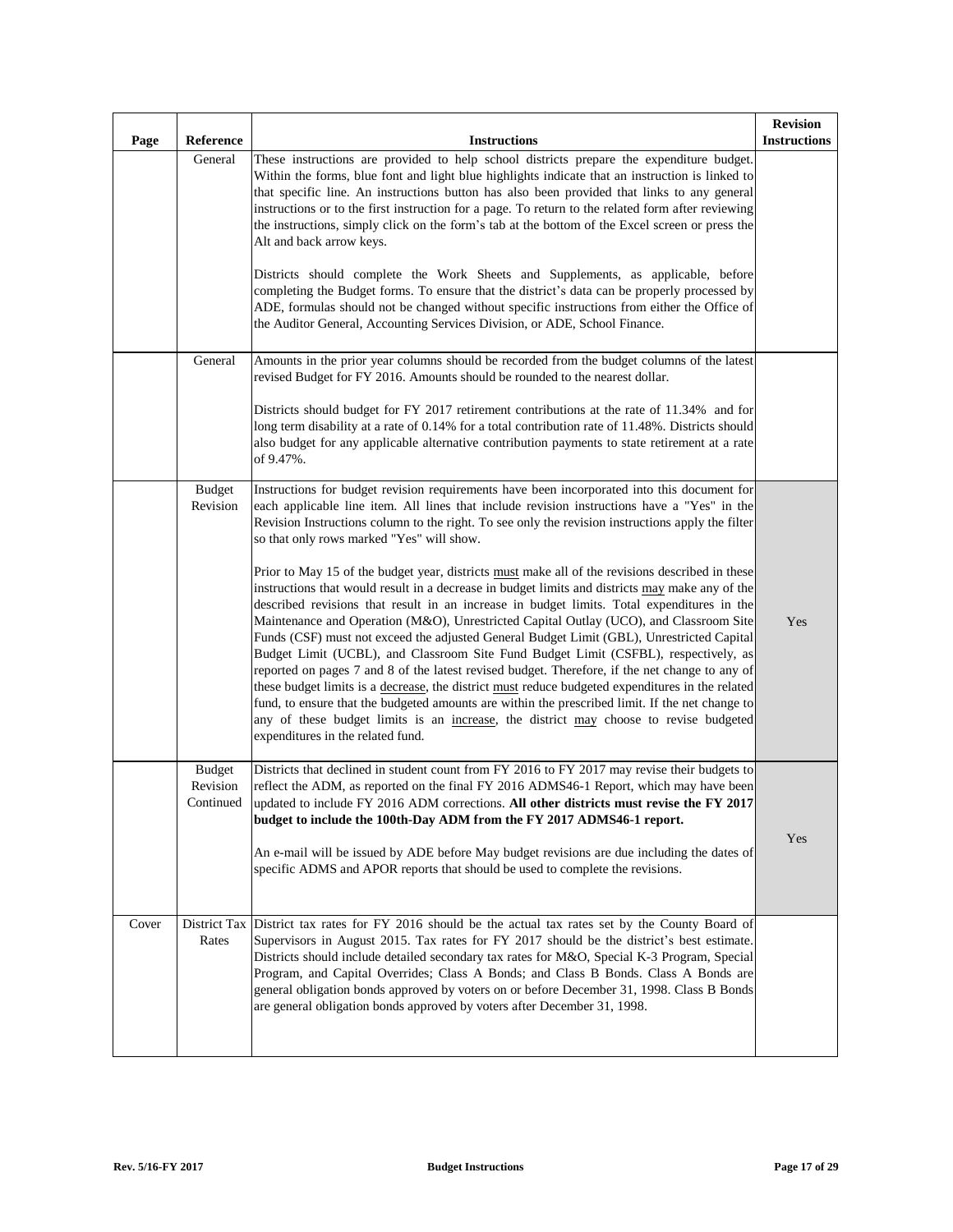| Page  | Reference                              | <b>Instructions</b>                                                                                                                                                                                                                                                                                                                                                                                                                                                                                                                                                                                                                                                                                                                                                                                                                                                                                                                                                                                                                                                                                                                                                                                                                                                                                                                                                   | <b>Revision</b><br><b>Instructions</b> |
|-------|----------------------------------------|-----------------------------------------------------------------------------------------------------------------------------------------------------------------------------------------------------------------------------------------------------------------------------------------------------------------------------------------------------------------------------------------------------------------------------------------------------------------------------------------------------------------------------------------------------------------------------------------------------------------------------------------------------------------------------------------------------------------------------------------------------------------------------------------------------------------------------------------------------------------------------------------------------------------------------------------------------------------------------------------------------------------------------------------------------------------------------------------------------------------------------------------------------------------------------------------------------------------------------------------------------------------------------------------------------------------------------------------------------------------------|----------------------------------------|
|       | General                                | These instructions are provided to help school districts prepare the expenditure budget.<br>Within the forms, blue font and light blue highlights indicate that an instruction is linked to<br>that specific line. An instructions button has also been provided that links to any general<br>instructions or to the first instruction for a page. To return to the related form after reviewing<br>the instructions, simply click on the form's tab at the bottom of the Excel screen or press the<br>Alt and back arrow keys.<br>Districts should complete the Work Sheets and Supplements, as applicable, before<br>completing the Budget forms. To ensure that the district's data can be properly processed by<br>ADE, formulas should not be changed without specific instructions from either the Office of<br>the Auditor General, Accounting Services Division, or ADE, School Finance.                                                                                                                                                                                                                                                                                                                                                                                                                                                                      |                                        |
|       | General                                | Amounts in the prior year columns should be recorded from the budget columns of the latest<br>revised Budget for FY 2016. Amounts should be rounded to the nearest dollar.<br>Districts should budget for FY 2017 retirement contributions at the rate of 11.34% and for<br>long term disability at a rate of 0.14% for a total contribution rate of 11.48%. Districts should<br>also budget for any applicable alternative contribution payments to state retirement at a rate<br>of 9.47%.                                                                                                                                                                                                                                                                                                                                                                                                                                                                                                                                                                                                                                                                                                                                                                                                                                                                          |                                        |
|       | <b>Budget</b><br>Revision              | Instructions for budget revision requirements have been incorporated into this document for<br>each applicable line item. All lines that include revision instructions have a "Yes" in the<br>Revision Instructions column to the right. To see only the revision instructions apply the filter<br>so that only rows marked "Yes" will show.<br>Prior to May 15 of the budget year, districts must make all of the revisions described in these<br>instructions that would result in a decrease in budget limits and districts may make any of the<br>described revisions that result in an increase in budget limits. Total expenditures in the<br>Maintenance and Operation (M&O), Unrestricted Capital Outlay (UCO), and Classroom Site<br>Funds (CSF) must not exceed the adjusted General Budget Limit (GBL), Unrestricted Capital<br>Budget Limit (UCBL), and Classroom Site Fund Budget Limit (CSFBL), respectively, as<br>reported on pages 7 and 8 of the latest revised budget. Therefore, if the net change to any of<br>these budget limits is a decrease, the district must reduce budgeted expenditures in the related<br>fund, to ensure that the budgeted amounts are within the prescribed limit. If the net change to<br>any of these budget limits is an increase, the district may choose to revise budgeted<br>expenditures in the related fund. | Yes                                    |
|       | <b>Budget</b><br>Revision<br>Continued | Districts that declined in student count from FY 2016 to FY 2017 may revise their budgets to<br>reflect the ADM, as reported on the final FY 2016 ADMS46-1 Report, which may have been<br>updated to include FY 2016 ADM corrections. All other districts must revise the FY 2017<br>budget to include the 100th-Day ADM from the FY 2017 ADMS46-1 report.<br>An e-mail will be issued by ADE before May budget revisions are due including the dates of<br>specific ADMS and APOR reports that should be used to complete the revisions.                                                                                                                                                                                                                                                                                                                                                                                                                                                                                                                                                                                                                                                                                                                                                                                                                             | Yes                                    |
| Cover | District Tax<br>Rates                  | District tax rates for FY 2016 should be the actual tax rates set by the County Board of<br>Supervisors in August 2015. Tax rates for FY 2017 should be the district's best estimate.<br>Districts should include detailed secondary tax rates for M&O, Special K-3 Program, Special<br>Program, and Capital Overrides; Class A Bonds; and Class B Bonds. Class A Bonds are<br>general obligation bonds approved by voters on or before December 31, 1998. Class B Bonds<br>are general obligation bonds approved by voters after December 31, 1998.                                                                                                                                                                                                                                                                                                                                                                                                                                                                                                                                                                                                                                                                                                                                                                                                                  |                                        |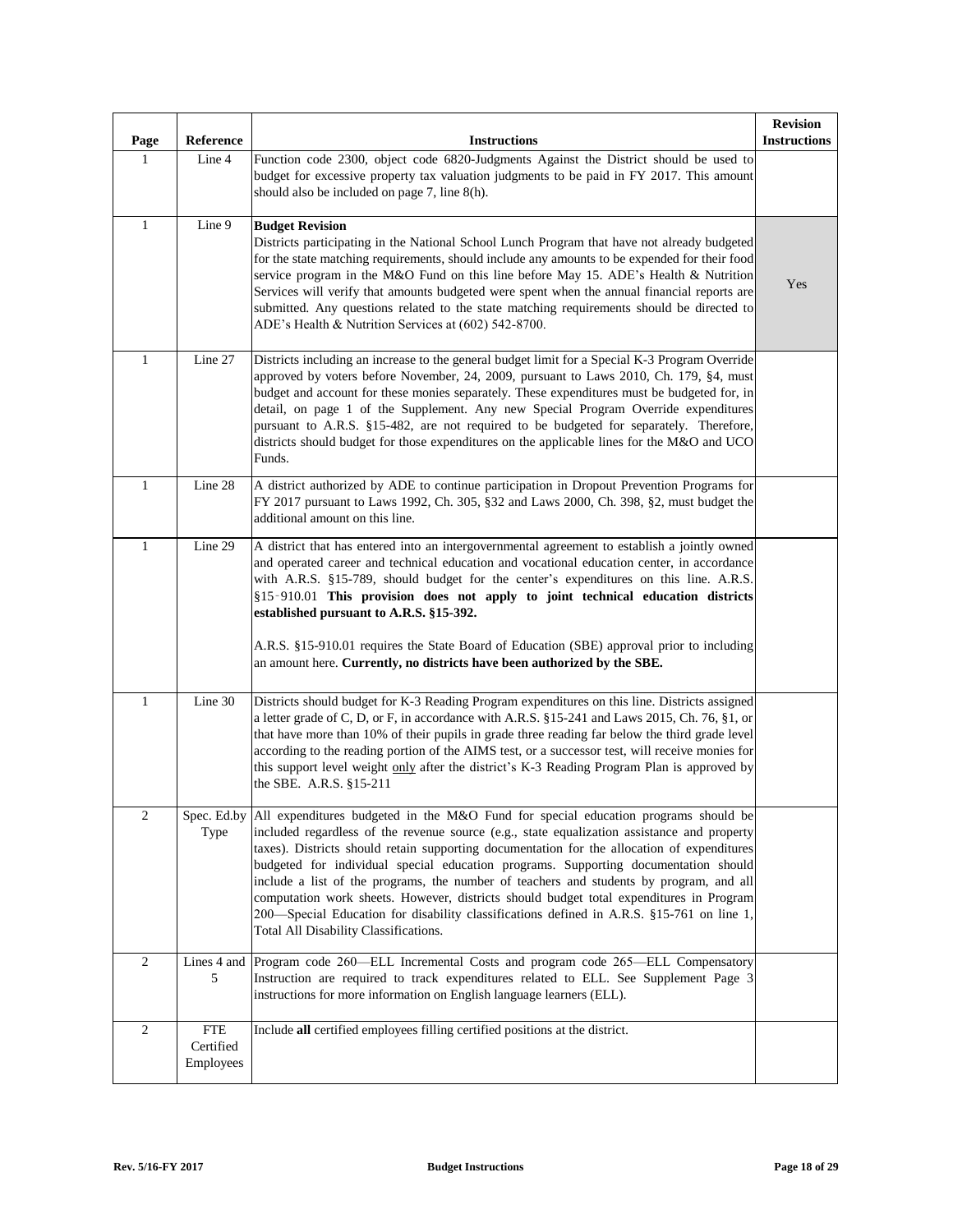| Page             | Reference                            | <b>Instructions</b>                                                                                                                                                                                                                                                                                                                                                                                                                                                                                                                                                                                                                                                                                             | <b>Revision</b><br><b>Instructions</b> |
|------------------|--------------------------------------|-----------------------------------------------------------------------------------------------------------------------------------------------------------------------------------------------------------------------------------------------------------------------------------------------------------------------------------------------------------------------------------------------------------------------------------------------------------------------------------------------------------------------------------------------------------------------------------------------------------------------------------------------------------------------------------------------------------------|----------------------------------------|
| 1                | Line 4                               | Function code 2300, object code 6820-Judgments Against the District should be used to<br>budget for excessive property tax valuation judgments to be paid in FY 2017. This amount<br>should also be included on page 7, line 8(h).                                                                                                                                                                                                                                                                                                                                                                                                                                                                              |                                        |
| $\mathbf{1}$     | $\overline{\text{Line}}$ 9           | <b>Budget Revision</b><br>Districts participating in the National School Lunch Program that have not already budgeted<br>for the state matching requirements, should include any amounts to be expended for their food<br>service program in the M&O Fund on this line before May 15. ADE's Health & Nutrition<br>Services will verify that amounts budgeted were spent when the annual financial reports are<br>submitted. Any questions related to the state matching requirements should be directed to<br>ADE's Health & Nutrition Services at (602) 542-8700.                                                                                                                                              | Yes                                    |
| $\mathbf{1}$     | Line 27                              | Districts including an increase to the general budget limit for a Special K-3 Program Override<br>approved by voters before November, 24, 2009, pursuant to Laws 2010, Ch. 179, §4, must<br>budget and account for these monies separately. These expenditures must be budgeted for, in<br>detail, on page 1 of the Supplement. Any new Special Program Override expenditures<br>pursuant to A.R.S. §15-482, are not required to be budgeted for separately. Therefore,<br>districts should budget for those expenditures on the applicable lines for the M&O and UCO<br>Funds.                                                                                                                                 |                                        |
| $\mathbf{1}$     | Line 28                              | A district authorized by ADE to continue participation in Dropout Prevention Programs for<br>FY 2017 pursuant to Laws 1992, Ch. 305, §32 and Laws 2000, Ch. 398, §2, must budget the<br>additional amount on this line.                                                                                                                                                                                                                                                                                                                                                                                                                                                                                         |                                        |
| $\mathbf{1}$     | Line 29                              | A district that has entered into an intergovernmental agreement to establish a jointly owned<br>and operated career and technical education and vocational education center, in accordance<br>with A.R.S. §15-789, should budget for the center's expenditures on this line. A.R.S.<br>§15-910.01 This provision does not apply to joint technical education districts<br>established pursuant to A.R.S. §15-392.<br>A.R.S. §15-910.01 requires the State Board of Education (SBE) approval prior to including<br>an amount here. Currently, no districts have been authorized by the SBE.                                                                                                                      |                                        |
| $\mathbf{1}$     | Line 30                              | Districts should budget for K-3 Reading Program expenditures on this line. Districts assigned<br>a letter grade of C, D, or F, in accordance with A.R.S. §15-241 and Laws 2015, Ch. 76, §1, or<br>that have more than 10% of their pupils in grade three reading far below the third grade level<br>according to the reading portion of the AIMS test, or a successor test, will receive monies for<br>this support level weight only after the district's K-3 Reading Program Plan is approved by<br>the SBE. A.R.S. §15-211                                                                                                                                                                                   |                                        |
| $\boldsymbol{2}$ | Type                                 | Spec. Ed.by All expenditures budgeted in the M&O Fund for special education programs should be<br>included regardless of the revenue source (e.g., state equalization assistance and property<br>taxes). Districts should retain supporting documentation for the allocation of expenditures<br>budgeted for individual special education programs. Supporting documentation should<br>include a list of the programs, the number of teachers and students by program, and all<br>computation work sheets. However, districts should budget total expenditures in Program<br>200-Special Education for disability classifications defined in A.R.S. §15-761 on line 1,<br>Total All Disability Classifications. |                                        |
| $\mathbf{2}$     | 5                                    | Lines 4 and Program code 260—ELL Incremental Costs and program code 265—ELL Compensatory<br>Instruction are required to track expenditures related to ELL. See Supplement Page 3<br>instructions for more information on English language learners (ELL).                                                                                                                                                                                                                                                                                                                                                                                                                                                       |                                        |
| $\sqrt{2}$       | <b>FTE</b><br>Certified<br>Employees | Include all certified employees filling certified positions at the district.                                                                                                                                                                                                                                                                                                                                                                                                                                                                                                                                                                                                                                    |                                        |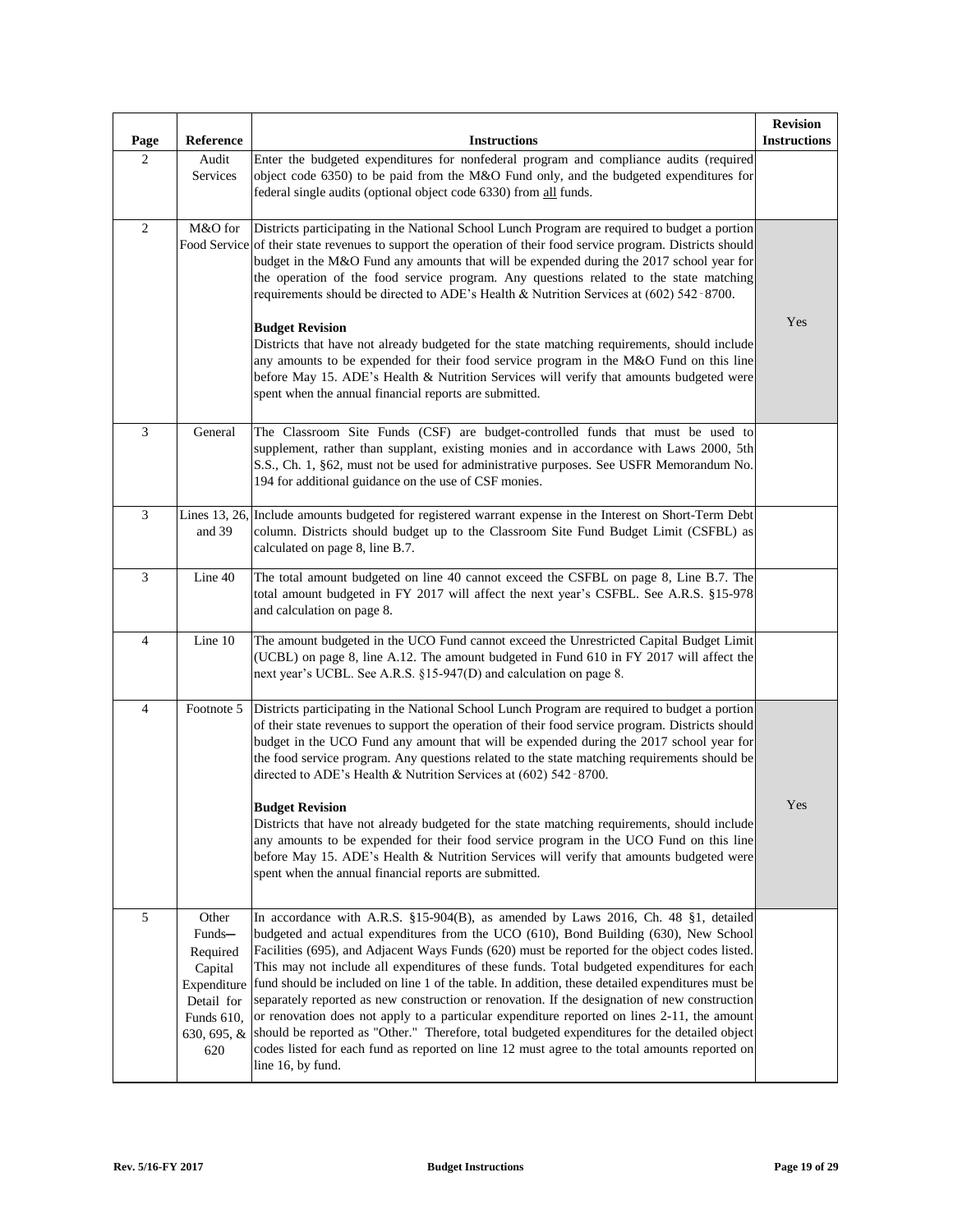| Page           | Reference                                                                                               | <b>Instructions</b>                                                                                                                                                                                                                                                                                                                                                                                                                                                                                                                                                                                                                                                                                                                                                                                                                                                                                  | <b>Revision</b><br><b>Instructions</b> |
|----------------|---------------------------------------------------------------------------------------------------------|------------------------------------------------------------------------------------------------------------------------------------------------------------------------------------------------------------------------------------------------------------------------------------------------------------------------------------------------------------------------------------------------------------------------------------------------------------------------------------------------------------------------------------------------------------------------------------------------------------------------------------------------------------------------------------------------------------------------------------------------------------------------------------------------------------------------------------------------------------------------------------------------------|----------------------------------------|
| $\mathbf{2}$   | Audit<br>Services                                                                                       | Enter the budgeted expenditures for nonfederal program and compliance audits (required<br>object code 6350) to be paid from the M&O Fund only, and the budgeted expenditures for<br>federal single audits (optional object code 6330) from all funds.                                                                                                                                                                                                                                                                                                                                                                                                                                                                                                                                                                                                                                                |                                        |
| $\overline{c}$ | M&O for                                                                                                 | Districts participating in the National School Lunch Program are required to budget a portion<br>Food Service of their state revenues to support the operation of their food service program. Districts should<br>budget in the M&O Fund any amounts that will be expended during the 2017 school year for<br>the operation of the food service program. Any questions related to the state matching<br>requirements should be directed to ADE's Health & Nutrition Services at $(602)$ 542-8700.<br><b>Budget Revision</b><br>Districts that have not already budgeted for the state matching requirements, should include<br>any amounts to be expended for their food service program in the M&O Fund on this line<br>before May 15. ADE's Health & Nutrition Services will verify that amounts budgeted were<br>spent when the annual financial reports are submitted.                           | Yes                                    |
| 3              | General                                                                                                 | The Classroom Site Funds (CSF) are budget-controlled funds that must be used to<br>supplement, rather than supplant, existing monies and in accordance with Laws 2000, 5th<br>S.S., Ch. 1, §62, must not be used for administrative purposes. See USFR Memorandum No.<br>194 for additional guidance on the use of CSF monies.                                                                                                                                                                                                                                                                                                                                                                                                                                                                                                                                                                       |                                        |
| $\mathfrak{Z}$ | and 39                                                                                                  | Lines 13, 26, Include amounts budgeted for registered warrant expense in the Interest on Short-Term Debt<br>column. Districts should budget up to the Classroom Site Fund Budget Limit (CSFBL) as<br>calculated on page 8, line B.7.                                                                                                                                                                                                                                                                                                                                                                                                                                                                                                                                                                                                                                                                 |                                        |
| 3              | Line 40                                                                                                 | The total amount budgeted on line 40 cannot exceed the CSFBL on page 8, Line B.7. The<br>total amount budgeted in FY 2017 will affect the next year's CSFBL. See A.R.S. §15-978<br>and calculation on page 8.                                                                                                                                                                                                                                                                                                                                                                                                                                                                                                                                                                                                                                                                                        |                                        |
| $\overline{4}$ | Line 10                                                                                                 | The amount budgeted in the UCO Fund cannot exceed the Unrestricted Capital Budget Limit<br>(UCBL) on page 8, line A.12. The amount budgeted in Fund 610 in FY 2017 will affect the<br>next year's UCBL. See A.R.S. §15-947(D) and calculation on page 8.                                                                                                                                                                                                                                                                                                                                                                                                                                                                                                                                                                                                                                             |                                        |
| $\overline{4}$ | Footnote 5                                                                                              | Districts participating in the National School Lunch Program are required to budget a portion<br>of their state revenues to support the operation of their food service program. Districts should<br>budget in the UCO Fund any amount that will be expended during the 2017 school year for<br>the food service program. Any questions related to the state matching requirements should be<br>directed to ADE's Health & Nutrition Services at (602) 542-8700.<br><b>Budget Revision</b><br>Districts that have not already budgeted for the state matching requirements, should include<br>any amounts to be expended for their food service program in the UCO Fund on this line<br>before May 15. ADE's Health & Nutrition Services will verify that amounts budgeted were<br>spent when the annual financial reports are submitted.                                                            | Yes                                    |
| $\sqrt{5}$     | Other<br>Funds-<br>Required<br>Capital<br>Expenditure<br>Detail for<br>Funds 610,<br>630, 695, &<br>620 | In accordance with A.R.S. §15-904(B), as amended by Laws 2016, Ch. 48 §1, detailed<br>budgeted and actual expenditures from the UCO (610), Bond Building (630), New School<br>Facilities (695), and Adjacent Ways Funds (620) must be reported for the object codes listed.<br>This may not include all expenditures of these funds. Total budgeted expenditures for each<br>fund should be included on line 1 of the table. In addition, these detailed expenditures must be<br>separately reported as new construction or renovation. If the designation of new construction<br>or renovation does not apply to a particular expenditure reported on lines 2-11, the amount<br>should be reported as "Other." Therefore, total budgeted expenditures for the detailed object<br>codes listed for each fund as reported on line 12 must agree to the total amounts reported on<br>line 16, by fund. |                                        |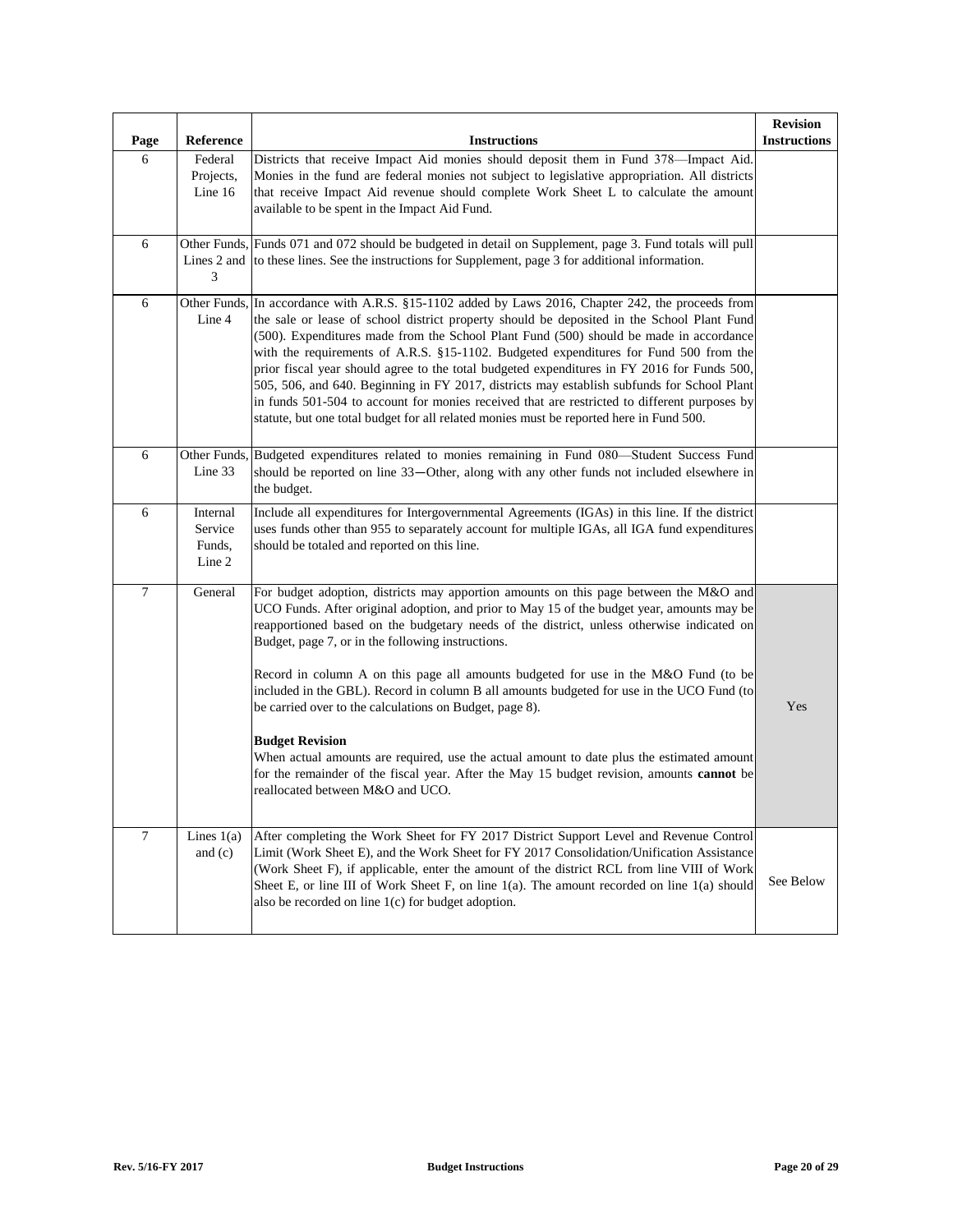| Page             | Reference                               | <b>Instructions</b>                                                                                                                                                                                                                                                                                                                                                                                                                                                                                                                                                                                                                                                                                                                                                         | <b>Revision</b><br><b>Instructions</b> |
|------------------|-----------------------------------------|-----------------------------------------------------------------------------------------------------------------------------------------------------------------------------------------------------------------------------------------------------------------------------------------------------------------------------------------------------------------------------------------------------------------------------------------------------------------------------------------------------------------------------------------------------------------------------------------------------------------------------------------------------------------------------------------------------------------------------------------------------------------------------|----------------------------------------|
| 6                | Federal<br>Projects,<br>Line 16         | Districts that receive Impact Aid monies should deposit them in Fund 378-Impact Aid.<br>Monies in the fund are federal monies not subject to legislative appropriation. All districts<br>that receive Impact Aid revenue should complete Work Sheet L to calculate the amount<br>available to be spent in the Impact Aid Fund.                                                                                                                                                                                                                                                                                                                                                                                                                                              |                                        |
| $\sqrt{6}$       | Lines 2 and<br>3                        | Other Funds, Funds 071 and 072 should be budgeted in detail on Supplement, page 3. Fund totals will pull<br>to these lines. See the instructions for Supplement, page 3 for additional information.                                                                                                                                                                                                                                                                                                                                                                                                                                                                                                                                                                         |                                        |
| $\sqrt{6}$       | Line 4                                  | Other Funds, In accordance with A.R.S. §15-1102 added by Laws 2016, Chapter 242, the proceeds from<br>the sale or lease of school district property should be deposited in the School Plant Fund<br>(500). Expenditures made from the School Plant Fund (500) should be made in accordance<br>with the requirements of A.R.S. §15-1102. Budgeted expenditures for Fund 500 from the<br>prior fiscal year should agree to the total budgeted expenditures in FY 2016 for Funds 500,<br>505, 506, and 640. Beginning in FY 2017, districts may establish subfunds for School Plant<br>in funds 501-504 to account for monies received that are restricted to different purposes by<br>statute, but one total budget for all related monies must be reported here in Fund 500. |                                        |
| 6                | Line 33                                 | Other Funds, Budgeted expenditures related to monies remaining in Fund 080—Student Success Fund<br>should be reported on line 33-Other, along with any other funds not included elsewhere in<br>the budget.                                                                                                                                                                                                                                                                                                                                                                                                                                                                                                                                                                 |                                        |
| 6                | Internal<br>Service<br>Funds,<br>Line 2 | Include all expenditures for Intergovernmental Agreements (IGAs) in this line. If the district<br>uses funds other than 955 to separately account for multiple IGAs, all IGA fund expenditures<br>should be totaled and reported on this line.                                                                                                                                                                                                                                                                                                                                                                                                                                                                                                                              |                                        |
| $\overline{7}$   | General                                 | For budget adoption, districts may apportion amounts on this page between the M&O and<br>UCO Funds. After original adoption, and prior to May 15 of the budget year, amounts may be<br>reapportioned based on the budgetary needs of the district, unless otherwise indicated on<br>Budget, page 7, or in the following instructions.<br>Record in column A on this page all amounts budgeted for use in the M&O Fund (to be<br>included in the GBL). Record in column B all amounts budgeted for use in the UCO Fund (to<br>be carried over to the calculations on Budget, page 8).                                                                                                                                                                                        | Yes                                    |
|                  |                                         | <b>Budget Revision</b><br>When actual amounts are required, use the actual amount to date plus the estimated amount<br>for the remainder of the fiscal year. After the May 15 budget revision, amounts <b>cannot</b> be<br>reallocated between M&O and UCO.                                                                                                                                                                                                                                                                                                                                                                                                                                                                                                                 |                                        |
| $\boldsymbol{7}$ | Lines $1(a)$<br>and $(c)$               | After completing the Work Sheet for FY 2017 District Support Level and Revenue Control<br>Limit (Work Sheet E), and the Work Sheet for FY 2017 Consolidation/Unification Assistance<br>(Work Sheet F), if applicable, enter the amount of the district RCL from line VIII of Work<br>Sheet E, or line III of Work Sheet F, on line $1(a)$ . The amount recorded on line $1(a)$ should<br>also be recorded on line $1(c)$ for budget adoption.                                                                                                                                                                                                                                                                                                                               | See Below                              |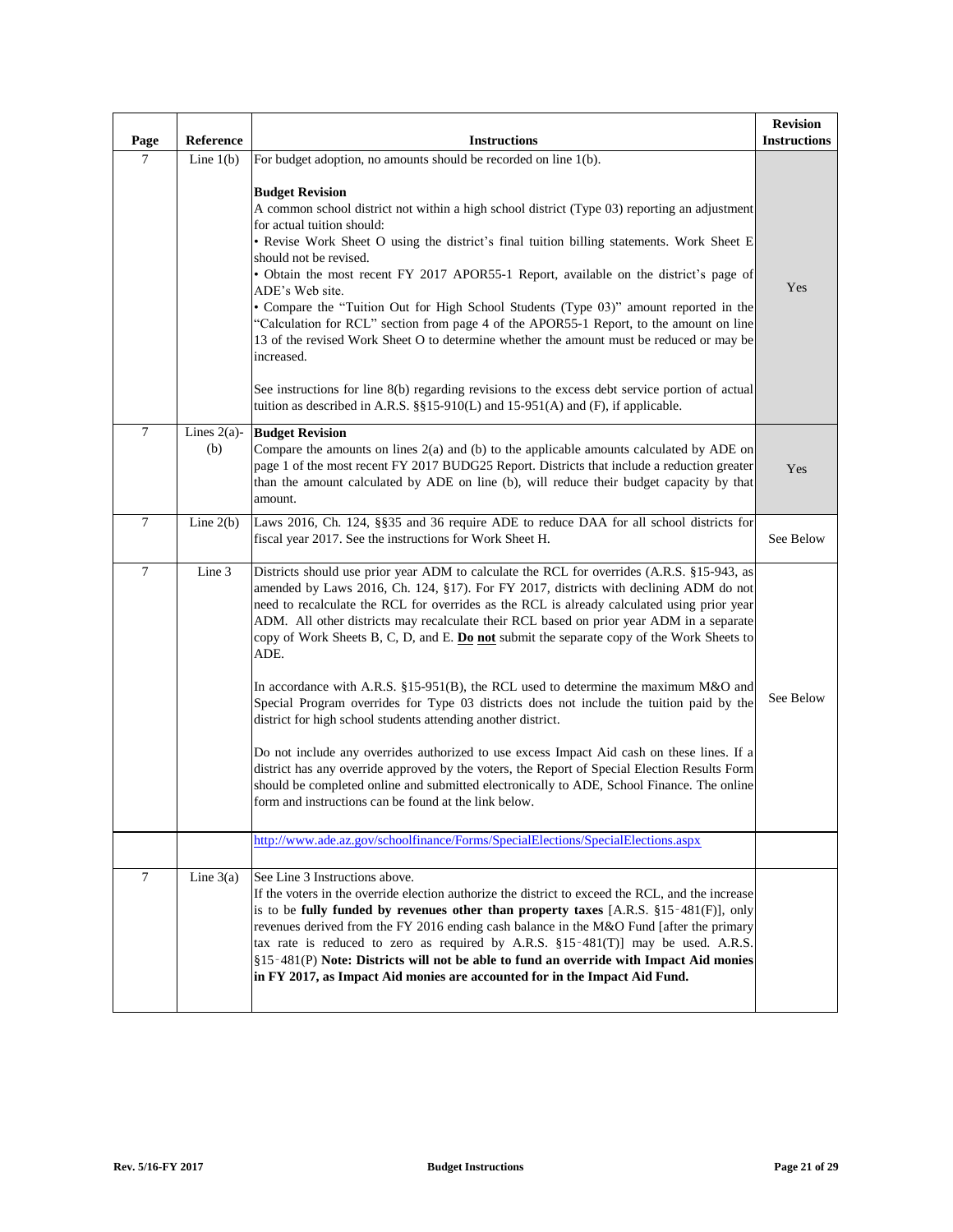| Page           | Reference             | <b>Instructions</b>                                                                                                                                                                                                                                                                                                                                                                                                                                                                                                                                                                                                                                                                                                                                                                                                                                                                                                                                                                                                                                                                           | <b>Revision</b><br><b>Instructions</b> |
|----------------|-----------------------|-----------------------------------------------------------------------------------------------------------------------------------------------------------------------------------------------------------------------------------------------------------------------------------------------------------------------------------------------------------------------------------------------------------------------------------------------------------------------------------------------------------------------------------------------------------------------------------------------------------------------------------------------------------------------------------------------------------------------------------------------------------------------------------------------------------------------------------------------------------------------------------------------------------------------------------------------------------------------------------------------------------------------------------------------------------------------------------------------|----------------------------------------|
| $\overline{7}$ | Line $1(b)$           | For budget adoption, no amounts should be recorded on line 1(b).<br><b>Budget Revision</b><br>A common school district not within a high school district (Type 03) reporting an adjustment<br>for actual tuition should:<br>• Revise Work Sheet O using the district's final tuition billing statements. Work Sheet E<br>should not be revised.<br>• Obtain the most recent FY 2017 APOR55-1 Report, available on the district's page of<br>ADE's Web site.<br>• Compare the "Tuition Out for High School Students (Type 03)" amount reported in the<br>"Calculation for RCL" section from page 4 of the APOR55-1 Report, to the amount on line<br>13 of the revised Work Sheet O to determine whether the amount must be reduced or may be<br>increased.<br>See instructions for line 8(b) regarding revisions to the excess debt service portion of actual<br>tuition as described in A.R.S. $\S$ [15-910(L) and 15-951(A) and (F), if applicable.                                                                                                                                          | Yes                                    |
| $\tau$         | Lines $2(a)$ -<br>(b) | <b>Budget Revision</b><br>Compare the amounts on lines $2(a)$ and (b) to the applicable amounts calculated by ADE on<br>page 1 of the most recent FY 2017 BUDG25 Report. Districts that include a reduction greater<br>than the amount calculated by ADE on line (b), will reduce their budget capacity by that<br>amount.                                                                                                                                                                                                                                                                                                                                                                                                                                                                                                                                                                                                                                                                                                                                                                    | Yes                                    |
| $\tau$         | Line $2(b)$           | Laws 2016, Ch. 124, §§35 and 36 require ADE to reduce DAA for all school districts for<br>fiscal year 2017. See the instructions for Work Sheet H.                                                                                                                                                                                                                                                                                                                                                                                                                                                                                                                                                                                                                                                                                                                                                                                                                                                                                                                                            | See Below                              |
| $\tau$         | Line 3                | Districts should use prior year ADM to calculate the RCL for overrides (A.R.S. §15-943, as<br>amended by Laws 2016, Ch. 124, §17). For FY 2017, districts with declining ADM do not<br>need to recalculate the RCL for overrides as the RCL is already calculated using prior year<br>ADM. All other districts may recalculate their RCL based on prior year ADM in a separate<br>copy of Work Sheets B, C, D, and E. Do not submit the separate copy of the Work Sheets to<br>ADE.<br>In accordance with A.R.S. §15-951(B), the RCL used to determine the maximum M&O and<br>Special Program overrides for Type 03 districts does not include the tuition paid by the<br>district for high school students attending another district.<br>Do not include any overrides authorized to use excess Impact Aid cash on these lines. If a<br>district has any override approved by the voters, the Report of Special Election Results Form<br>should be completed online and submitted electronically to ADE, School Finance. The online<br>form and instructions can be found at the link below. | See Below                              |
|                |                       | http://www.ade.az.gov/schoolfinance/Forms/SpecialElections/SpecialElections.aspx                                                                                                                                                                                                                                                                                                                                                                                                                                                                                                                                                                                                                                                                                                                                                                                                                                                                                                                                                                                                              |                                        |
| 7              | Line $3(a)$           | See Line 3 Instructions above.<br>If the voters in the override election authorize the district to exceed the RCL, and the increase<br>is to be fully funded by revenues other than property taxes $[A.R.S. §15-481(F)],$ only<br>revenues derived from the FY 2016 ending cash balance in the M&O Fund [after the primary<br>tax rate is reduced to zero as required by A.R.S. $$15-481(T)]$ may be used. A.R.S.<br>§15-481(P) Note: Districts will not be able to fund an override with Impact Aid monies<br>in FY 2017, as Impact Aid monies are accounted for in the Impact Aid Fund.                                                                                                                                                                                                                                                                                                                                                                                                                                                                                                     |                                        |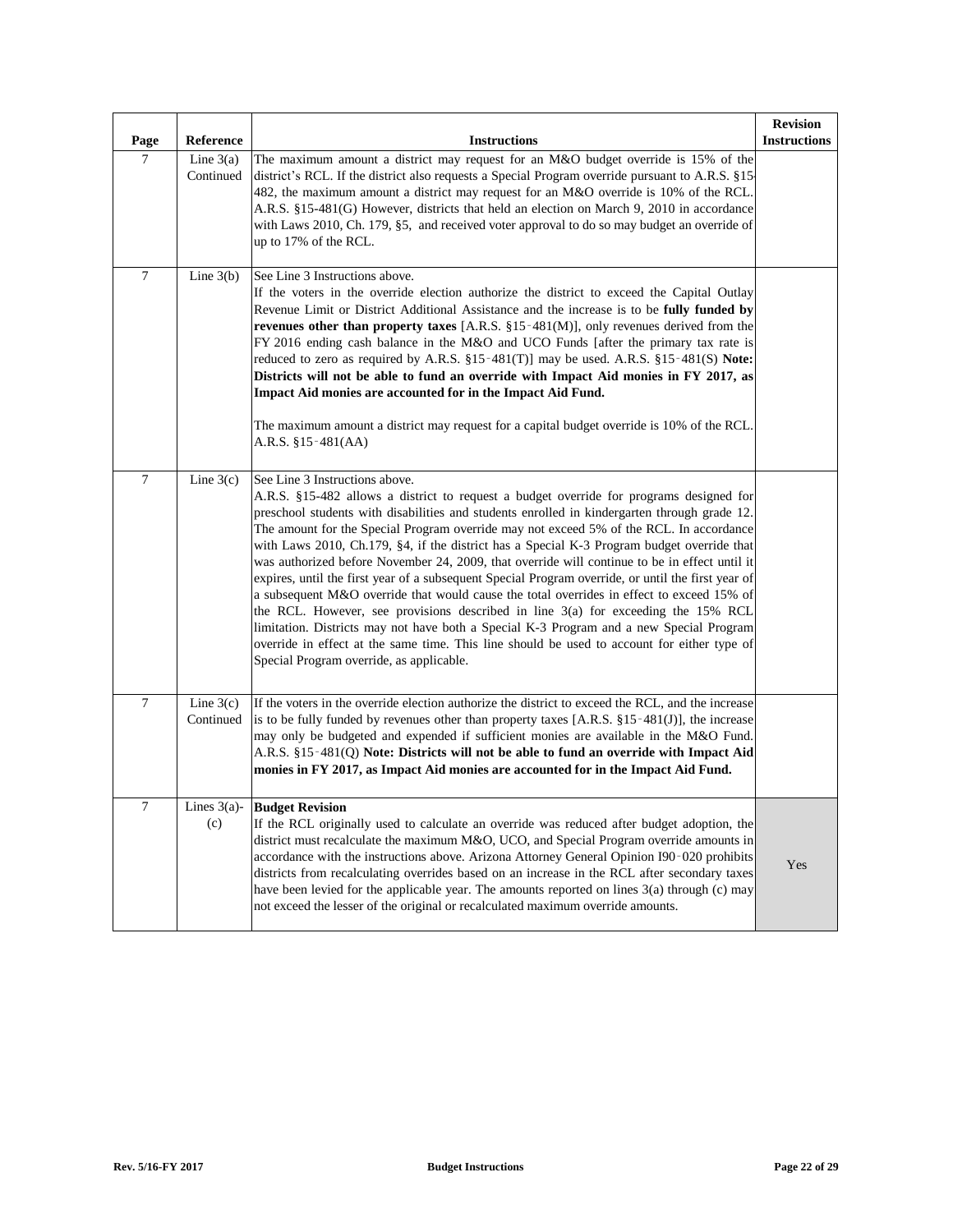| Page             | Reference                | <b>Instructions</b>                                                                                                                                                                                                                                                                                                                                                                                                                                                                                                                                                                                                                                                                                                                                                                                                                                                                                                                                                                                                                               | <b>Revision</b><br><b>Instructions</b> |
|------------------|--------------------------|---------------------------------------------------------------------------------------------------------------------------------------------------------------------------------------------------------------------------------------------------------------------------------------------------------------------------------------------------------------------------------------------------------------------------------------------------------------------------------------------------------------------------------------------------------------------------------------------------------------------------------------------------------------------------------------------------------------------------------------------------------------------------------------------------------------------------------------------------------------------------------------------------------------------------------------------------------------------------------------------------------------------------------------------------|----------------------------------------|
| $\overline{7}$   | Line $3(a)$<br>Continued | The maximum amount a district may request for an M&O budget override is 15% of the<br>district's RCL. If the district also requests a Special Program override pursuant to A.R.S. §15<br>482, the maximum amount a district may request for an M&O override is 10% of the RCL.<br>A.R.S. §15-481(G) However, districts that held an election on March 9, 2010 in accordance<br>with Laws 2010, Ch. 179, §5, and received voter approval to do so may budget an override of<br>up to 17% of the RCL.                                                                                                                                                                                                                                                                                                                                                                                                                                                                                                                                               |                                        |
| $\boldsymbol{7}$ | Line $3(b)$              | See Line 3 Instructions above.<br>If the voters in the override election authorize the district to exceed the Capital Outlay<br>Revenue Limit or District Additional Assistance and the increase is to be fully funded by<br>revenues other than property taxes [A.R.S. $\S15$ -481(M)], only revenues derived from the<br>FY 2016 ending cash balance in the M&O and UCO Funds [after the primary tax rate is<br>reduced to zero as required by A.R.S. $\S15-481(T)$ ] may be used. A.R.S. $\S15-481(S)$ Note:<br>Districts will not be able to fund an override with Impact Aid monies in FY 2017, as<br>Impact Aid monies are accounted for in the Impact Aid Fund.<br>The maximum amount a district may request for a capital budget override is 10% of the RCL.<br>A.R.S. §15-481(AA)                                                                                                                                                                                                                                                        |                                        |
| $\overline{7}$   | Line $3(c)$              | See Line 3 Instructions above.<br>A.R.S. §15-482 allows a district to request a budget override for programs designed for<br>preschool students with disabilities and students enrolled in kindergarten through grade 12.<br>The amount for the Special Program override may not exceed 5% of the RCL. In accordance<br>with Laws 2010, Ch.179, §4, if the district has a Special K-3 Program budget override that<br>was authorized before November 24, 2009, that override will continue to be in effect until it<br>expires, until the first year of a subsequent Special Program override, or until the first year of<br>a subsequent M&O override that would cause the total overrides in effect to exceed 15% of<br>the RCL. However, see provisions described in line 3(a) for exceeding the 15% RCL<br>limitation. Districts may not have both a Special K-3 Program and a new Special Program<br>override in effect at the same time. This line should be used to account for either type of<br>Special Program override, as applicable. |                                        |
| $\tau$           | Line $3(c)$<br>Continued | If the voters in the override election authorize the district to exceed the RCL, and the increase<br>is to be fully funded by revenues other than property taxes [A.R.S. $\S 15 - 481(J)$ ], the increase<br>may only be budgeted and expended if sufficient monies are available in the M&O Fund.<br>A.R.S. §15-481(Q) Note: Districts will not be able to fund an override with Impact Aid<br>monies in FY 2017, as Impact Aid monies are accounted for in the Impact Aid Fund.                                                                                                                                                                                                                                                                                                                                                                                                                                                                                                                                                                 |                                        |
| $\tau$           | (c)                      | Lines $3(a)$ - Budget Revision<br>If the RCL originally used to calculate an override was reduced after budget adoption, the<br>district must recalculate the maximum M&O, UCO, and Special Program override amounts in<br>accordance with the instructions above. Arizona Attorney General Opinion I90-020 prohibits<br>districts from recalculating overrides based on an increase in the RCL after secondary taxes<br>have been levied for the applicable year. The amounts reported on lines 3(a) through (c) may<br>not exceed the lesser of the original or recalculated maximum override amounts.                                                                                                                                                                                                                                                                                                                                                                                                                                          | Yes                                    |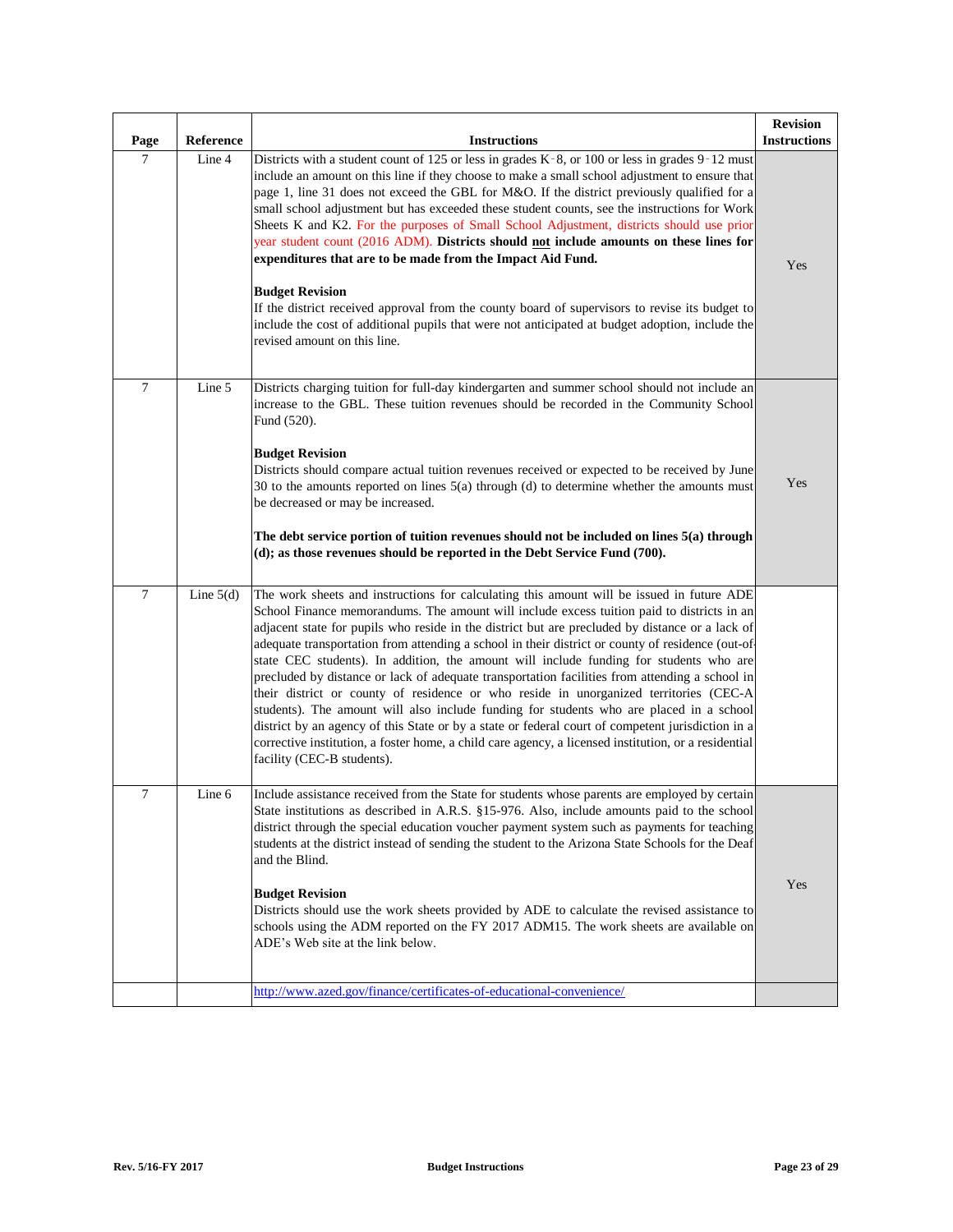| Page           | Reference   | <b>Instructions</b>                                                                                                                                                                                                                                                                                                                                                                                                                                                                                                                                                                                                                                                                                                                                                                                                                                                                                                                                                                                                        | <b>Revision</b><br><b>Instructions</b> |
|----------------|-------------|----------------------------------------------------------------------------------------------------------------------------------------------------------------------------------------------------------------------------------------------------------------------------------------------------------------------------------------------------------------------------------------------------------------------------------------------------------------------------------------------------------------------------------------------------------------------------------------------------------------------------------------------------------------------------------------------------------------------------------------------------------------------------------------------------------------------------------------------------------------------------------------------------------------------------------------------------------------------------------------------------------------------------|----------------------------------------|
| $\tau$         | Line 4      | Districts with a student count of 125 or less in grades K-8, or 100 or less in grades 9-12 must<br>include an amount on this line if they choose to make a small school adjustment to ensure that<br>page 1, line 31 does not exceed the GBL for M&O. If the district previously qualified for a<br>small school adjustment but has exceeded these student counts, see the instructions for Work<br>Sheets K and K2. For the purposes of Small School Adjustment, districts should use prior<br>year student count (2016 ADM). Districts should not include amounts on these lines for<br>expenditures that are to be made from the Impact Aid Fund.<br><b>Budget Revision</b><br>If the district received approval from the county board of supervisors to revise its budget to<br>include the cost of additional pupils that were not anticipated at budget adoption, include the<br>revised amount on this line.                                                                                                        | Yes                                    |
| $\overline{7}$ | Line 5      | Districts charging tuition for full-day kindergarten and summer school should not include an<br>increase to the GBL. These tuition revenues should be recorded in the Community School<br>Fund (520).<br><b>Budget Revision</b><br>Districts should compare actual tuition revenues received or expected to be received by June<br>30 to the amounts reported on lines $5(a)$ through (d) to determine whether the amounts must<br>be decreased or may be increased.<br>The debt service portion of tuition revenues should not be included on lines 5(a) through<br>(d); as those revenues should be reported in the Debt Service Fund (700).                                                                                                                                                                                                                                                                                                                                                                             | Yes                                    |
| 7              | Line $5(d)$ | The work sheets and instructions for calculating this amount will be issued in future ADE<br>School Finance memorandums. The amount will include excess tuition paid to districts in an<br>adjacent state for pupils who reside in the district but are precluded by distance or a lack of<br>adequate transportation from attending a school in their district or county of residence (out-of-<br>state CEC students). In addition, the amount will include funding for students who are<br>precluded by distance or lack of adequate transportation facilities from attending a school in<br>their district or county of residence or who reside in unorganized territories (CEC-A<br>students). The amount will also include funding for students who are placed in a school<br>district by an agency of this State or by a state or federal court of competent jurisdiction in a<br>corrective institution, a foster home, a child care agency, a licensed institution, or a residential<br>facility (CEC-B students). |                                        |
| 7              | Line 6      | Include assistance received from the State for students whose parents are employed by certain<br>State institutions as described in A.R.S. §15-976. Also, include amounts paid to the school<br>district through the special education voucher payment system such as payments for teaching<br>students at the district instead of sending the student to the Arizona State Schools for the Deaf<br>and the Blind.<br><b>Budget Revision</b><br>Districts should use the work sheets provided by ADE to calculate the revised assistance to<br>schools using the ADM reported on the FY 2017 ADM15. The work sheets are available on<br>ADE's Web site at the link below.                                                                                                                                                                                                                                                                                                                                                  | Yes                                    |
|                |             | http://www.azed.gov/finance/certificates-of-educational-convenience/                                                                                                                                                                                                                                                                                                                                                                                                                                                                                                                                                                                                                                                                                                                                                                                                                                                                                                                                                       |                                        |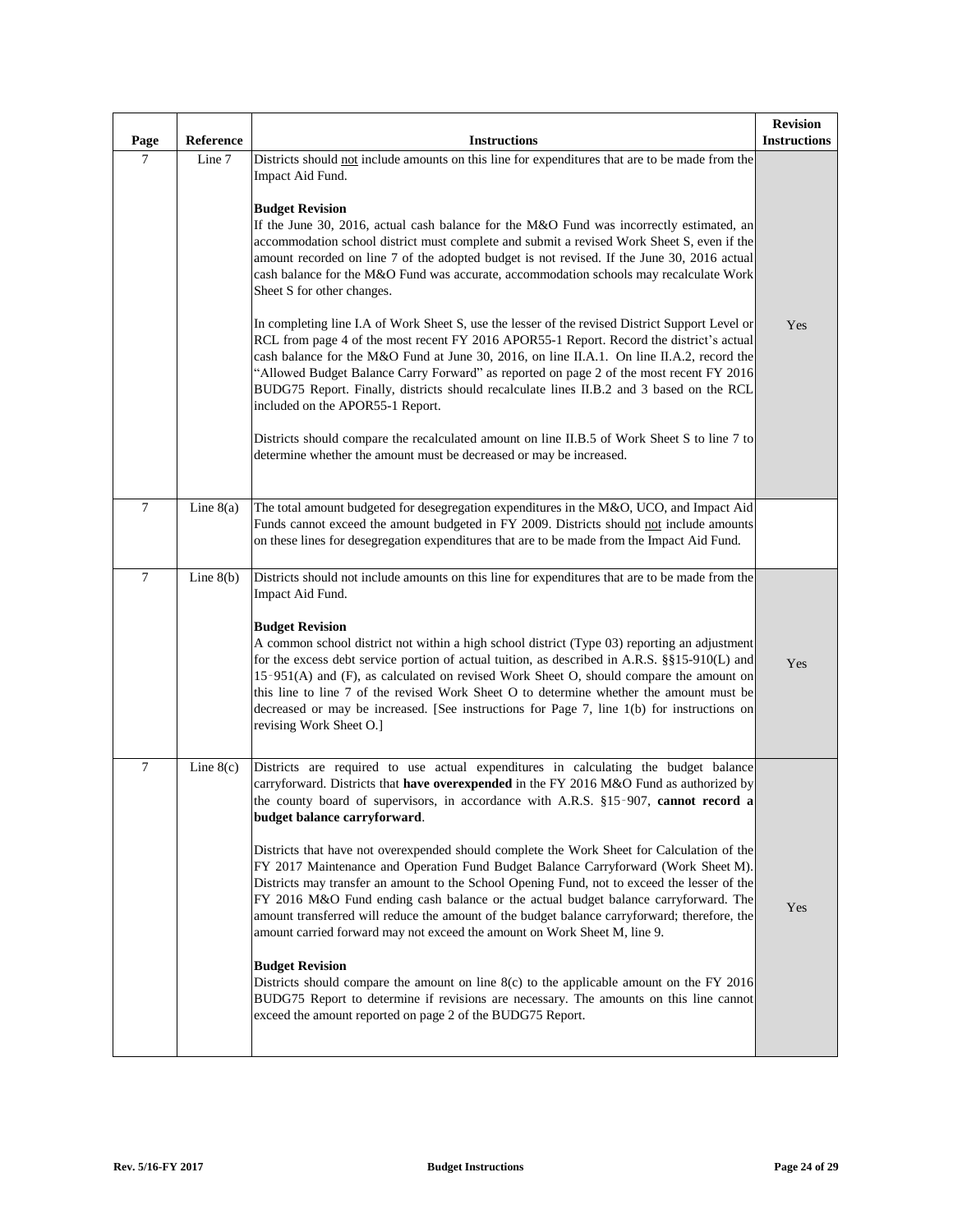| Page   | Reference   | <b>Instructions</b>                                                                                                                                                                                                                                                                                                                                                                                                                                                                                                                                                                                                                                                                                                                                                                                                                                                                                                                                                                                                                                                                                                                                                                                                                                           | <b>Revision</b><br><b>Instructions</b> |
|--------|-------------|---------------------------------------------------------------------------------------------------------------------------------------------------------------------------------------------------------------------------------------------------------------------------------------------------------------------------------------------------------------------------------------------------------------------------------------------------------------------------------------------------------------------------------------------------------------------------------------------------------------------------------------------------------------------------------------------------------------------------------------------------------------------------------------------------------------------------------------------------------------------------------------------------------------------------------------------------------------------------------------------------------------------------------------------------------------------------------------------------------------------------------------------------------------------------------------------------------------------------------------------------------------|----------------------------------------|
| 7      | Line 7      | Districts should not include amounts on this line for expenditures that are to be made from the<br>Impact Aid Fund.<br><b>Budget Revision</b><br>If the June 30, 2016, actual cash balance for the M&O Fund was incorrectly estimated, an<br>accommodation school district must complete and submit a revised Work Sheet S, even if the<br>amount recorded on line 7 of the adopted budget is not revised. If the June 30, 2016 actual<br>cash balance for the M&O Fund was accurate, accommodation schools may recalculate Work<br>Sheet S for other changes.<br>In completing line I.A of Work Sheet S, use the lesser of the revised District Support Level or<br>RCL from page 4 of the most recent FY 2016 APOR55-1 Report. Record the district's actual<br>cash balance for the M&O Fund at June 30, 2016, on line II.A.1. On line II.A.2, record the<br>"Allowed Budget Balance Carry Forward" as reported on page 2 of the most recent FY 2016<br>BUDG75 Report. Finally, districts should recalculate lines II.B.2 and 3 based on the RCL<br>included on the APOR55-1 Report.<br>Districts should compare the recalculated amount on line II.B.5 of Work Sheet S to line 7 to<br>determine whether the amount must be decreased or may be increased. | Yes                                    |
| $\tau$ | Line $8(a)$ | The total amount budgeted for desegregation expenditures in the M&O, UCO, and Impact Aid<br>Funds cannot exceed the amount budgeted in FY 2009. Districts should not include amounts<br>on these lines for desegregation expenditures that are to be made from the Impact Aid Fund.                                                                                                                                                                                                                                                                                                                                                                                                                                                                                                                                                                                                                                                                                                                                                                                                                                                                                                                                                                           |                                        |
| $\tau$ | Line $8(b)$ | Districts should not include amounts on this line for expenditures that are to be made from the<br>Impact Aid Fund.<br><b>Budget Revision</b><br>A common school district not within a high school district (Type 03) reporting an adjustment<br>for the excess debt service portion of actual tuition, as described in A.R.S. §§15-910(L) and<br>15-951(A) and (F), as calculated on revised Work Sheet O, should compare the amount on<br>this line to line 7 of the revised Work Sheet O to determine whether the amount must be<br>decreased or may be increased. [See instructions for Page 7, line 1(b) for instructions on<br>revising Work Sheet O.]                                                                                                                                                                                                                                                                                                                                                                                                                                                                                                                                                                                                  | Yes                                    |
| 7      | Line $8(c)$ | Districts are required to use actual expenditures in calculating the budget balance<br>carryforward. Districts that have overexpended in the FY 2016 M&O Fund as authorized by<br>the county board of supervisors, in accordance with A.R.S. §15-907, cannot record a<br>budget balance carryforward.<br>Districts that have not overexpended should complete the Work Sheet for Calculation of the<br>FY 2017 Maintenance and Operation Fund Budget Balance Carryforward (Work Sheet M).<br>Districts may transfer an amount to the School Opening Fund, not to exceed the lesser of the<br>FY 2016 M&O Fund ending cash balance or the actual budget balance carryforward. The<br>amount transferred will reduce the amount of the budget balance carryforward; therefore, the<br>amount carried forward may not exceed the amount on Work Sheet M, line 9.<br><b>Budget Revision</b><br>Districts should compare the amount on line $8(c)$ to the applicable amount on the FY 2016<br>BUDG75 Report to determine if revisions are necessary. The amounts on this line cannot<br>exceed the amount reported on page 2 of the BUDG75 Report.                                                                                                                 | Yes                                    |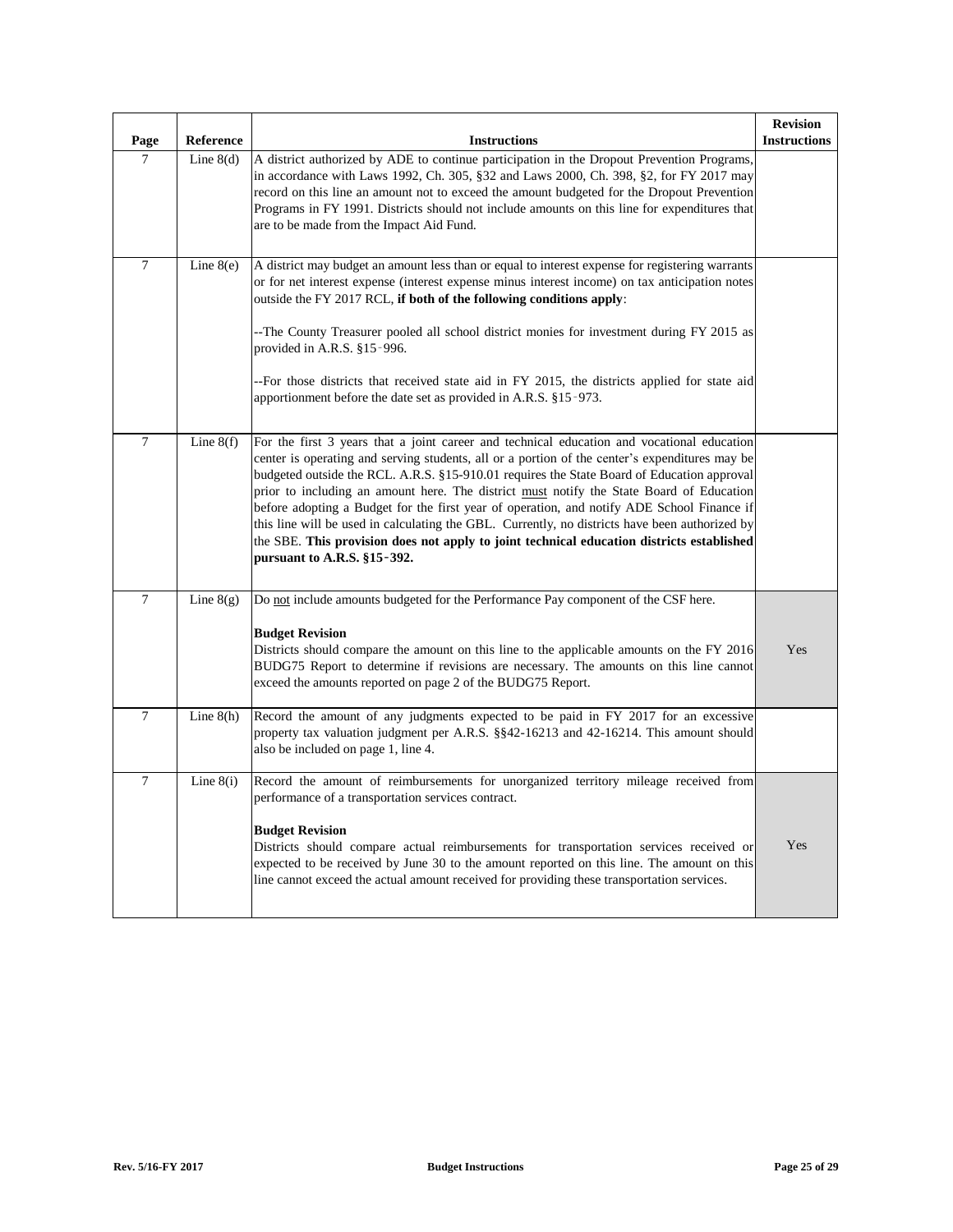| Page           | Reference   | <b>Instructions</b>                                                                                                                                                                                                                                                                                                                                                                                                                                                                                                                                                                                                                                                                                                | <b>Revision</b><br><b>Instructions</b> |
|----------------|-------------|--------------------------------------------------------------------------------------------------------------------------------------------------------------------------------------------------------------------------------------------------------------------------------------------------------------------------------------------------------------------------------------------------------------------------------------------------------------------------------------------------------------------------------------------------------------------------------------------------------------------------------------------------------------------------------------------------------------------|----------------------------------------|
| $\tau$         | Line $8(d)$ | A district authorized by ADE to continue participation in the Dropout Prevention Programs,<br>in accordance with Laws 1992, Ch. 305, §32 and Laws 2000, Ch. 398, §2, for FY 2017 may<br>record on this line an amount not to exceed the amount budgeted for the Dropout Prevention<br>Programs in FY 1991. Districts should not include amounts on this line for expenditures that<br>are to be made from the Impact Aid Fund.                                                                                                                                                                                                                                                                                     |                                        |
| $\tau$         | Line $8(e)$ | A district may budget an amount less than or equal to interest expense for registering warrants<br>or for net interest expense (interest expense minus interest income) on tax anticipation notes<br>outside the FY 2017 RCL, if both of the following conditions apply:<br>-The County Treasurer pooled all school district monies for investment during FY 2015 as<br>provided in A.R.S. §15-996.                                                                                                                                                                                                                                                                                                                |                                        |
|                |             | --For those districts that received state aid in FY 2015, the districts applied for state aid<br>apportionment before the date set as provided in A.R.S. §15-973.                                                                                                                                                                                                                                                                                                                                                                                                                                                                                                                                                  |                                        |
| 7              | Line $8(f)$ | For the first 3 years that a joint career and technical education and vocational education<br>center is operating and serving students, all or a portion of the center's expenditures may be<br>budgeted outside the RCL. A.R.S. §15-910.01 requires the State Board of Education approval<br>prior to including an amount here. The district must notify the State Board of Education<br>before adopting a Budget for the first year of operation, and notify ADE School Finance if<br>this line will be used in calculating the GBL. Currently, no districts have been authorized by<br>the SBE. This provision does not apply to joint technical education districts established<br>pursuant to A.R.S. §15-392. |                                        |
| $\tau$         | Line $8(g)$ | Do not include amounts budgeted for the Performance Pay component of the CSF here.<br><b>Budget Revision</b><br>Districts should compare the amount on this line to the applicable amounts on the FY 2016<br>BUDG75 Report to determine if revisions are necessary. The amounts on this line cannot<br>exceed the amounts reported on page 2 of the BUDG75 Report.                                                                                                                                                                                                                                                                                                                                                 | Yes                                    |
| $\overline{7}$ | Line $8(h)$ | Record the amount of any judgments expected to be paid in FY 2017 for an excessive<br>property tax valuation judgment per A.R.S. §§42-16213 and 42-16214. This amount should<br>also be included on page 1, line 4.                                                                                                                                                                                                                                                                                                                                                                                                                                                                                                |                                        |
| $\overline{7}$ | Line $8(i)$ | Record the amount of reimbursements for unorganized territory mileage received from<br>performance of a transportation services contract.<br><b>Budget Revision</b><br>Districts should compare actual reimbursements for transportation services received or<br>expected to be received by June 30 to the amount reported on this line. The amount on this<br>line cannot exceed the actual amount received for providing these transportation services.                                                                                                                                                                                                                                                          | Yes                                    |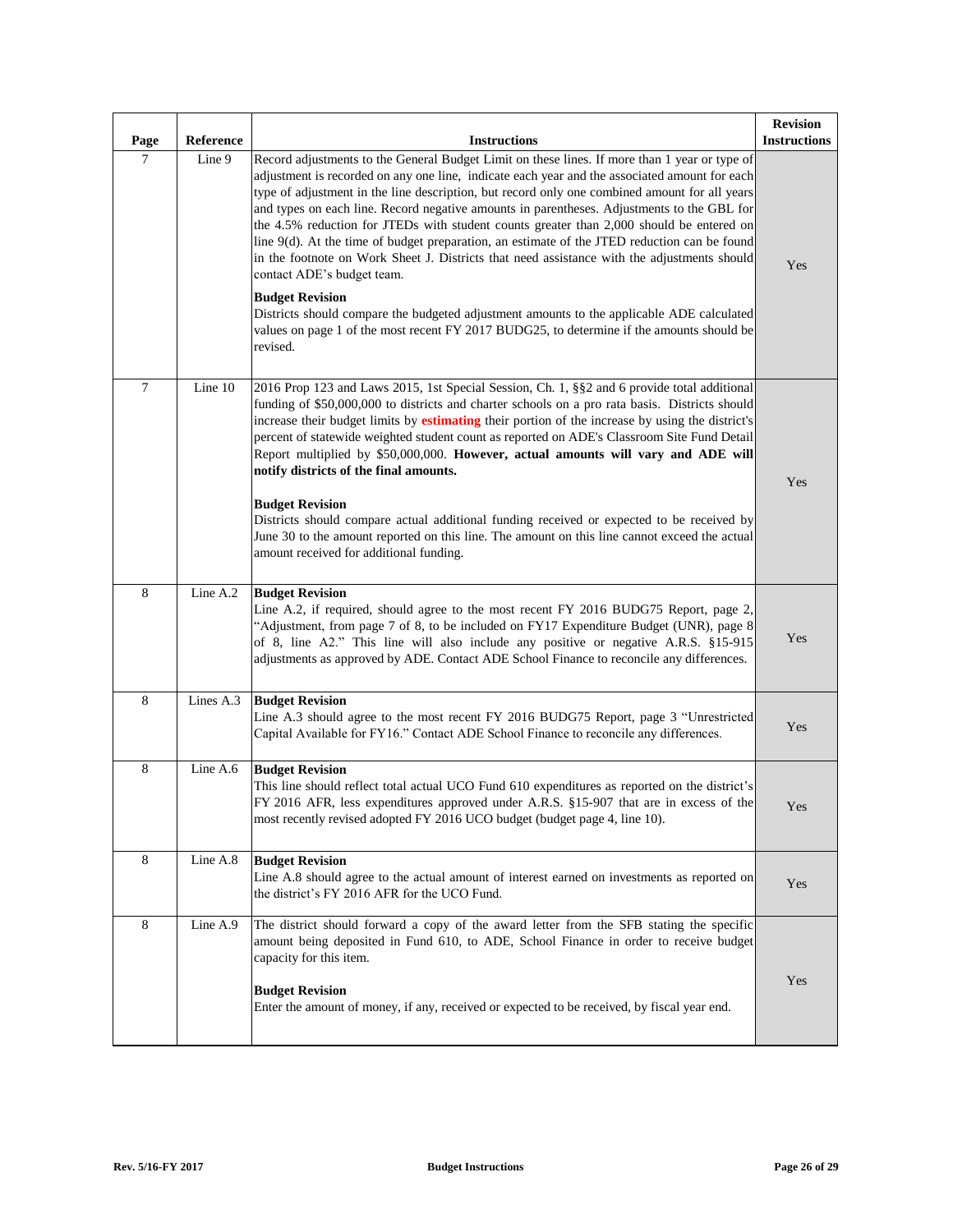| Page    | Reference | <b>Instructions</b>                                                                                                                                                                                                                                                                                                                                                                                                                                                                                                                                                                                                                                                                                                                              | <b>Revision</b><br><b>Instructions</b> |
|---------|-----------|--------------------------------------------------------------------------------------------------------------------------------------------------------------------------------------------------------------------------------------------------------------------------------------------------------------------------------------------------------------------------------------------------------------------------------------------------------------------------------------------------------------------------------------------------------------------------------------------------------------------------------------------------------------------------------------------------------------------------------------------------|----------------------------------------|
| $\tau$  | Line 9    | Record adjustments to the General Budget Limit on these lines. If more than 1 year or type of<br>adjustment is recorded on any one line, indicate each year and the associated amount for each<br>type of adjustment in the line description, but record only one combined amount for all years<br>and types on each line. Record negative amounts in parentheses. Adjustments to the GBL for<br>the 4.5% reduction for JTEDs with student counts greater than 2,000 should be entered on<br>line 9(d). At the time of budget preparation, an estimate of the JTED reduction can be found<br>in the footnote on Work Sheet J. Districts that need assistance with the adjustments should<br>contact ADE's budget team.<br><b>Budget Revision</b> | Yes                                    |
|         |           | Districts should compare the budgeted adjustment amounts to the applicable ADE calculated<br>values on page 1 of the most recent FY 2017 BUDG25, to determine if the amounts should be<br>revised.                                                                                                                                                                                                                                                                                                                                                                                                                                                                                                                                               |                                        |
| $\tau$  | Line 10   | 2016 Prop 123 and Laws 2015, 1st Special Session, Ch. 1, §§2 and 6 provide total additional<br>funding of \$50,000,000 to districts and charter schools on a pro rata basis. Districts should<br>increase their budget limits by estimating their portion of the increase by using the district's<br>percent of statewide weighted student count as reported on ADE's Classroom Site Fund Detail<br>Report multiplied by \$50,000,000. However, actual amounts will vary and ADE will<br>notify districts of the final amounts.                                                                                                                                                                                                                  | Yes                                    |
|         |           | <b>Budget Revision</b><br>Districts should compare actual additional funding received or expected to be received by<br>June 30 to the amount reported on this line. The amount on this line cannot exceed the actual<br>amount received for additional funding.                                                                                                                                                                                                                                                                                                                                                                                                                                                                                  |                                        |
| 8       | Line A.2  | <b>Budget Revision</b><br>Line A.2, if required, should agree to the most recent FY 2016 BUDG75 Report, page 2,<br>"Adjustment, from page 7 of 8, to be included on FY17 Expenditure Budget (UNR), page 8<br>of 8, line A2." This line will also include any positive or negative A.R.S. §15-915<br>adjustments as approved by ADE. Contact ADE School Finance to reconcile any differences.                                                                                                                                                                                                                                                                                                                                                     | Yes                                    |
| $\,8\,$ | Lines A.3 | <b>Budget Revision</b><br>Line A.3 should agree to the most recent FY 2016 BUDG75 Report, page 3 "Unrestricted<br>Capital Available for FY16." Contact ADE School Finance to reconcile any differences.                                                                                                                                                                                                                                                                                                                                                                                                                                                                                                                                          | Yes                                    |
| 8       | Line A.6  | <b>Budget Revision</b><br>This line should reflect total actual UCO Fund 610 expenditures as reported on the district's<br>FY 2016 AFR, less expenditures approved under A.R.S. §15-907 that are in excess of the<br>most recently revised adopted FY 2016 UCO budget (budget page 4, line 10).                                                                                                                                                                                                                                                                                                                                                                                                                                                  | Yes                                    |
| $\,8\,$ | Line A.8  | <b>Budget Revision</b><br>Line A.8 should agree to the actual amount of interest earned on investments as reported on<br>the district's FY 2016 AFR for the UCO Fund.                                                                                                                                                                                                                                                                                                                                                                                                                                                                                                                                                                            | <b>Yes</b>                             |
| 8       | Line A.9  | The district should forward a copy of the award letter from the SFB stating the specific<br>amount being deposited in Fund 610, to ADE, School Finance in order to receive budget<br>capacity for this item.<br><b>Budget Revision</b><br>Enter the amount of money, if any, received or expected to be received, by fiscal year end.                                                                                                                                                                                                                                                                                                                                                                                                            | Yes                                    |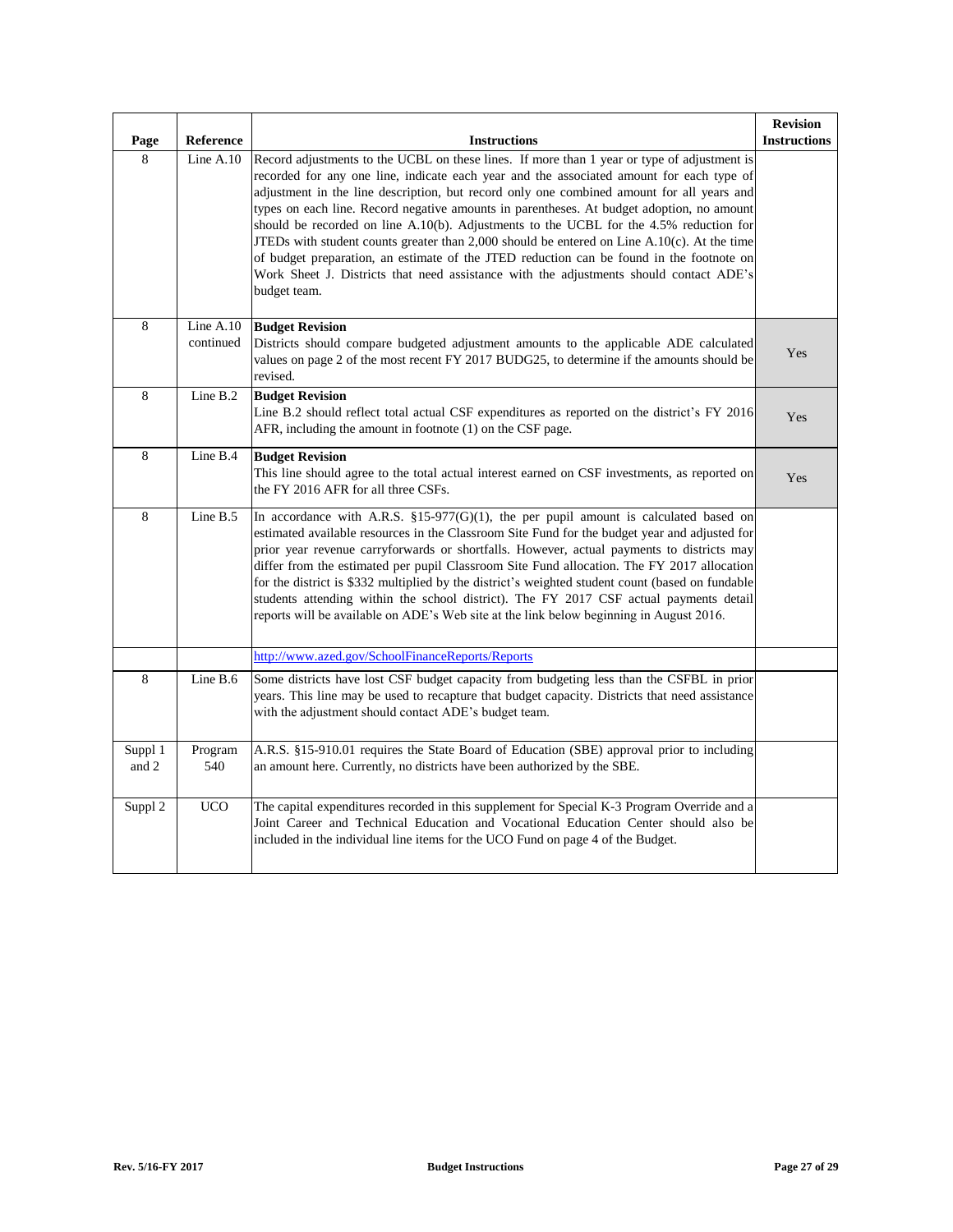| Page             | Reference              | <b>Instructions</b>                                                                                                                                                                                                                                                                                                                                                                                                                                                                                                                                                                                                                                                                                                                                                                    | <b>Revision</b><br><b>Instructions</b> |
|------------------|------------------------|----------------------------------------------------------------------------------------------------------------------------------------------------------------------------------------------------------------------------------------------------------------------------------------------------------------------------------------------------------------------------------------------------------------------------------------------------------------------------------------------------------------------------------------------------------------------------------------------------------------------------------------------------------------------------------------------------------------------------------------------------------------------------------------|----------------------------------------|
| 8                | Line $A.10$            | Record adjustments to the UCBL on these lines. If more than 1 year or type of adjustment is<br>recorded for any one line, indicate each year and the associated amount for each type of<br>adjustment in the line description, but record only one combined amount for all years and<br>types on each line. Record negative amounts in parentheses. At budget adoption, no amount<br>should be recorded on line $A.10(b)$ . Adjustments to the UCBL for the 4.5% reduction for<br>JTEDs with student counts greater than 2,000 should be entered on Line $A.10(c)$ . At the time<br>of budget preparation, an estimate of the JTED reduction can be found in the footnote on<br>Work Sheet J. Districts that need assistance with the adjustments should contact ADE's<br>budget team. |                                        |
| $\overline{8}$   | Line A.10<br>continued | <b>Budget Revision</b><br>Districts should compare budgeted adjustment amounts to the applicable ADE calculated<br>values on page 2 of the most recent FY 2017 BUDG25, to determine if the amounts should be<br>revised.                                                                                                                                                                                                                                                                                                                                                                                                                                                                                                                                                               | Yes                                    |
| 8                | Line B.2               | <b>Budget Revision</b><br>Line B.2 should reflect total actual CSF expenditures as reported on the district's FY 2016<br>AFR, including the amount in footnote (1) on the CSF page.                                                                                                                                                                                                                                                                                                                                                                                                                                                                                                                                                                                                    | Yes                                    |
| 8                | Line B.4               | <b>Budget Revision</b><br>This line should agree to the total actual interest earned on CSF investments, as reported on<br>the FY 2016 AFR for all three CSFs.                                                                                                                                                                                                                                                                                                                                                                                                                                                                                                                                                                                                                         | Yes                                    |
| 8                | Line B.5               | In accordance with A.R.S. $$15-977(G)(1)$ , the per pupil amount is calculated based on<br>estimated available resources in the Classroom Site Fund for the budget year and adjusted for<br>prior year revenue carryforwards or shortfalls. However, actual payments to districts may<br>differ from the estimated per pupil Classroom Site Fund allocation. The FY 2017 allocation<br>for the district is \$332 multiplied by the district's weighted student count (based on fundable<br>students attending within the school district). The FY 2017 CSF actual payments detail<br>reports will be available on ADE's Web site at the link below beginning in August 2016.                                                                                                           |                                        |
|                  |                        | http://www.azed.gov/SchoolFinanceReports/Reports                                                                                                                                                                                                                                                                                                                                                                                                                                                                                                                                                                                                                                                                                                                                       |                                        |
| 8                | Line $B.6$             | Some districts have lost CSF budget capacity from budgeting less than the CSFBL in prior<br>years. This line may be used to recapture that budget capacity. Districts that need assistance<br>with the adjustment should contact ADE's budget team.                                                                                                                                                                                                                                                                                                                                                                                                                                                                                                                                    |                                        |
| Suppl 1<br>and 2 | Program<br>540         | A.R.S. §15-910.01 requires the State Board of Education (SBE) approval prior to including<br>an amount here. Currently, no districts have been authorized by the SBE.                                                                                                                                                                                                                                                                                                                                                                                                                                                                                                                                                                                                                  |                                        |
| Suppl 2          | <b>UCO</b>             | The capital expenditures recorded in this supplement for Special K-3 Program Override and a<br>Joint Career and Technical Education and Vocational Education Center should also be<br>included in the individual line items for the UCO Fund on page 4 of the Budget.                                                                                                                                                                                                                                                                                                                                                                                                                                                                                                                  |                                        |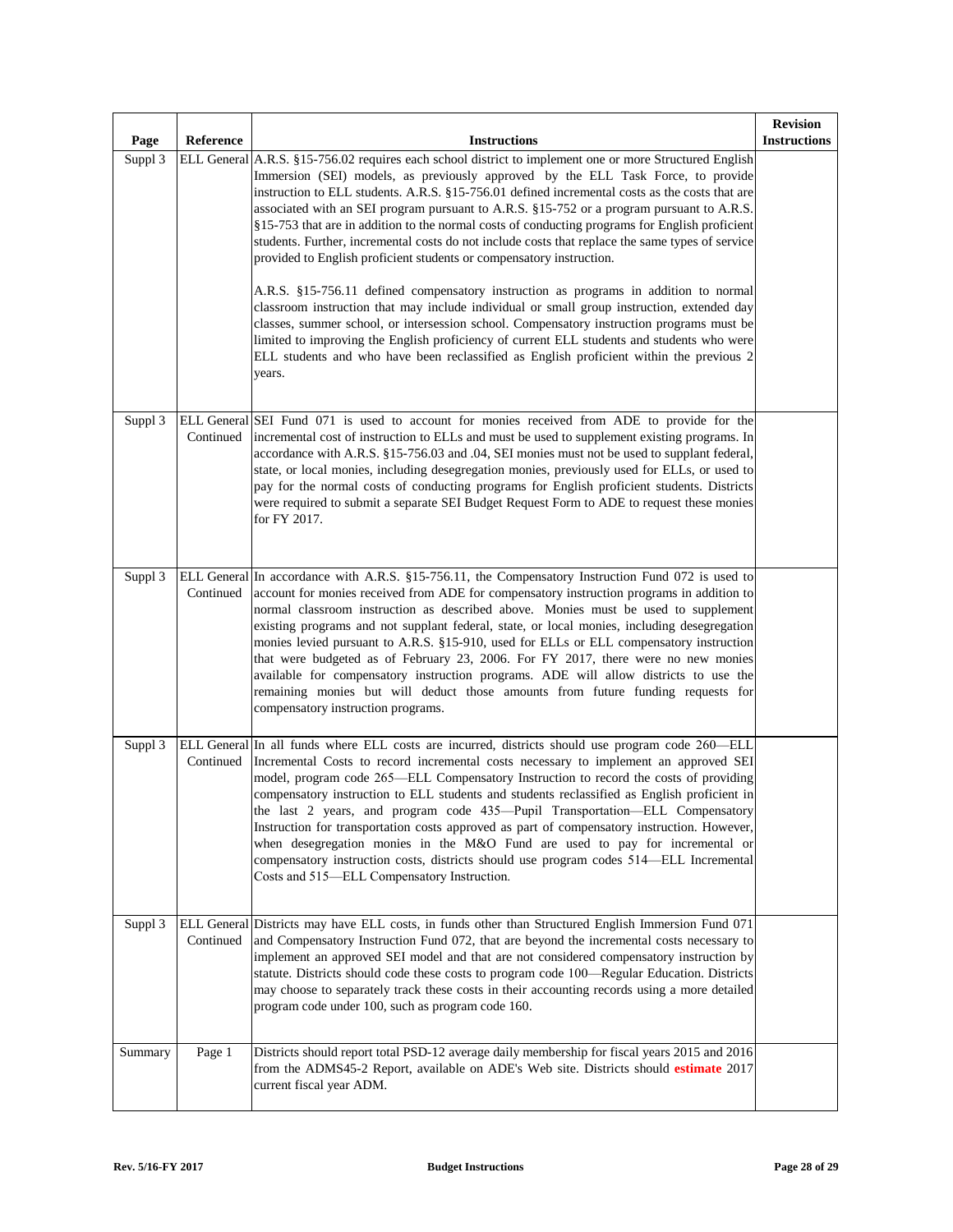| Page    | Reference | <b>Instructions</b>                                                                                                                                                                                                                                                                                                                                                                                                                                                                                                                                                                                                                                                                                                                                                                                                                                                                                                                                                                                                                                                                                                                                            | <b>Revision</b><br><b>Instructions</b> |
|---------|-----------|----------------------------------------------------------------------------------------------------------------------------------------------------------------------------------------------------------------------------------------------------------------------------------------------------------------------------------------------------------------------------------------------------------------------------------------------------------------------------------------------------------------------------------------------------------------------------------------------------------------------------------------------------------------------------------------------------------------------------------------------------------------------------------------------------------------------------------------------------------------------------------------------------------------------------------------------------------------------------------------------------------------------------------------------------------------------------------------------------------------------------------------------------------------|----------------------------------------|
| Suppl 3 |           | ELL General A.R.S. §15-756.02 requires each school district to implement one or more Structured English<br>Immersion (SEI) models, as previously approved by the ELL Task Force, to provide<br>instruction to ELL students. A.R.S. §15-756.01 defined incremental costs as the costs that are<br>associated with an SEI program pursuant to A.R.S. §15-752 or a program pursuant to A.R.S.<br>§15-753 that are in addition to the normal costs of conducting programs for English proficient<br>students. Further, incremental costs do not include costs that replace the same types of service<br>provided to English proficient students or compensatory instruction.<br>A.R.S. §15-756.11 defined compensatory instruction as programs in addition to normal<br>classroom instruction that may include individual or small group instruction, extended day<br>classes, summer school, or intersession school. Compensatory instruction programs must be<br>limited to improving the English proficiency of current ELL students and students who were<br>ELL students and who have been reclassified as English proficient within the previous 2<br>years. |                                        |
| Suppl 3 | Continued | ELL General SEI Fund 071 is used to account for monies received from ADE to provide for the<br>incremental cost of instruction to ELLs and must be used to supplement existing programs. In<br>accordance with A.R.S. §15-756.03 and .04, SEI monies must not be used to supplant federal,<br>state, or local monies, including desegregation monies, previously used for ELLs, or used to<br>pay for the normal costs of conducting programs for English proficient students. Districts<br>were required to submit a separate SEI Budget Request Form to ADE to request these monies<br>for FY 2017.                                                                                                                                                                                                                                                                                                                                                                                                                                                                                                                                                          |                                        |
| Suppl 3 | Continued | ELL General In accordance with A.R.S. §15-756.11, the Compensatory Instruction Fund 072 is used to<br>account for monies received from ADE for compensatory instruction programs in addition to<br>normal classroom instruction as described above. Monies must be used to supplement<br>existing programs and not supplant federal, state, or local monies, including desegregation<br>monies levied pursuant to A.R.S. §15-910, used for ELLs or ELL compensatory instruction<br>that were budgeted as of February 23, 2006. For FY 2017, there were no new monies<br>available for compensatory instruction programs. ADE will allow districts to use the<br>remaining monies but will deduct those amounts from future funding requests for<br>compensatory instruction programs.                                                                                                                                                                                                                                                                                                                                                                          |                                        |
| Suppl 3 | Continued | ELL General In all funds where ELL costs are incurred, districts should use program code 260-ELL<br>Incremental Costs to record incremental costs necessary to implement an approved SEI<br>model, program code 265-ELL Compensatory Instruction to record the costs of providing<br>compensatory instruction to ELL students and students reclassified as English proficient in<br>the last 2 years, and program code 435—Pupil Transportation—ELL Compensatory<br>Instruction for transportation costs approved as part of compensatory instruction. However,<br>when desegregation monies in the M&O Fund are used to pay for incremental or<br>compensatory instruction costs, districts should use program codes 514-ELL Incremental<br>Costs and 515-ELL Compensatory Instruction.                                                                                                                                                                                                                                                                                                                                                                       |                                        |
| Suppl 3 | Continued | ELL General Districts may have ELL costs, in funds other than Structured English Immersion Fund 071<br>and Compensatory Instruction Fund 072, that are beyond the incremental costs necessary to<br>implement an approved SEI model and that are not considered compensatory instruction by<br>statute. Districts should code these costs to program code 100—Regular Education. Districts<br>may choose to separately track these costs in their accounting records using a more detailed<br>program code under 100, such as program code 160.                                                                                                                                                                                                                                                                                                                                                                                                                                                                                                                                                                                                                |                                        |
| Summary | Page 1    | Districts should report total PSD-12 average daily membership for fiscal years 2015 and 2016<br>from the ADMS45-2 Report, available on ADE's Web site. Districts should estimate 2017<br>current fiscal year ADM.                                                                                                                                                                                                                                                                                                                                                                                                                                                                                                                                                                                                                                                                                                                                                                                                                                                                                                                                              |                                        |